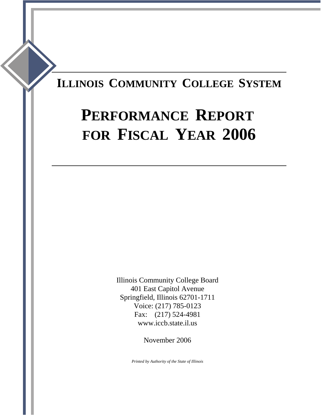## **ILLINOIS COMMUNITY COLLEGE SYSTEM**

# **PERFORMANCE REPORT FOR FISCAL YEAR 2006**

Illinois Community College Board 401 East Capitol Avenue Springfield, Illinois 62701-1711 Voice: (217) 785-0123 Fax: (217) 524-4981 www.iccb.state.il.us

November 2006

*Printed by Authority of the State of Illinois*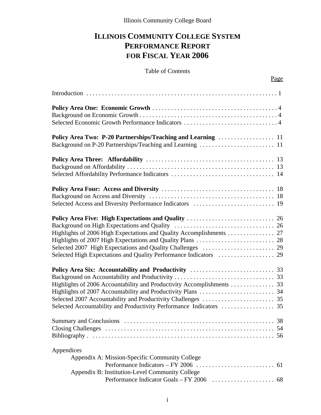## **ILLINOIS COMMUNITY COLLEGE SYSTEM PERFORMANCE REPORT FOR FISCAL YEAR 2006**

#### Table of Contents

| Selected High Expectations and Quality Performance Indicators  29                                               |
|-----------------------------------------------------------------------------------------------------------------|
|                                                                                                                 |
| <b>Summary and Conclusions</b><br>38<br>.                                                                       |
| Appendices<br>Appendix A: Mission-Specific Community College<br>Appendix B: Institution-Level Community College |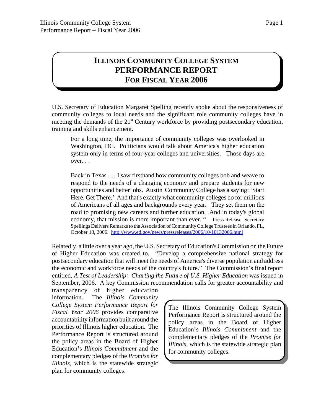### **ILLINOIS COMMUNITY COLLEGE SYSTEM PERFORMANCE REPORT FOR FISCAL YEAR 2006**

U.S. Secretary of Education Margaret Spelling recently spoke about the responsiveness of community colleges to local needs and the significant role community colleges have in meeting the demands of the 21<sup>st</sup> Century workforce by providing postsecondary education, training and skills enhancement.

For a long time, the importance of community colleges was overlooked in Washington, DC. Politicians would talk about America's higher education system only in terms of four-year colleges and universities. Those days are over. . .

Back in Texas . . . I saw firsthand how community colleges bob and weave to respond to the needs of a changing economy and prepare students for new opportunities and better jobs. Austin Community College has a saying: 'Start Here. Get There.' And that's exactly what community colleges do for millions of Americans of all ages and backgrounds every year. They set them on the road to promising new careers and further education. And in today's global economy, that mission is more important than ever. " Press Release Secretary Spellings Delivers Remarks to the Association of Community College Trustees in Orlando, FL, October 13, 2006. http://www.ed.gov/news/pressreleases/2006/10/10132006.html

Relatedly, a little over a year ago, the U.S. Secretary of Education's Commission on the Future of Higher Education was created to, "Develop a comprehensive national strategy for postsecondary education that will meet the needs of America's diverse population and address the economic and workforce needs of the country's future." The Commission's final report entitled, *A Test of Leadership: Charting the Future of U.S. Higher Education* was issued in September, 2006. A key Commission recommendation calls for greater accountability and

transparency of higher education information. The *Illinois Community College System Performance Report for Fiscal Year 2006* provides comparative accountability information built around the priorities of Illinois higher education. The Performance Report is structured around the policy areas in the Board of Higher Education's *Illinois Commitment* and the complementary pledges of the *Promise for Illinois*, which is the statewide strategic plan for community colleges.

The Illinois Community College System Performance Report is structured around the policy areas in the Board of Higher Education's *Illinois Commitment* and the complementary pledges of the *Promise for Illinois*, which is the statewide strategic plan for community colleges.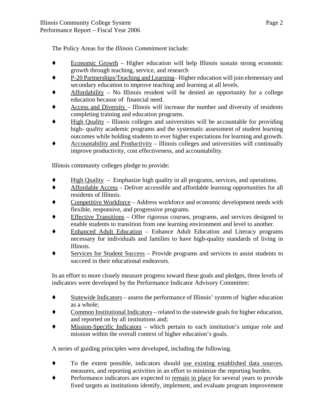The Policy Areas for the *Illinois Commitment* include:

- $E$ conomic Growth Higher education will help Illinois sustain strong economic growth through teaching, service, and research
- ' P-20 Partnerships/Teaching and Learning– Higher education will join elementary and secondary education to improve teaching and learning at all levels.
- Affordability No Illinois resident will be denied an opportunity for a college education because of financial need.
- ' Access and Diversity Illinois will increase the number and diversity of residents completing training and education programs.
- ' High Quality Illinois colleges and universities will be accountable for providing high- quality academic programs and the systematic assessment of student learning outcomes while holding students to ever higher expectations for learning and growth.
- $\triangle$  Accountability and Productivity Illinois colleges and universities will continually improve productivity, cost effectiveness, and accountability.

Illinois community colleges pledge to provide:

- $\blacklozenge$  High Quality Emphasize high quality in all programs, services, and operations.
- ' Affordable Access Deliver accessible and affordable learning opportunities for all residents of Illinois.
- Competitive Workforce Address workforce and economic development needs with flexible, responsive, and progressive programs.
- Effective Transitions Offer rigorous courses, programs, and services designed to enable students to transition from one learning environment and level to another.
- ' Enhanced Adult Education Enhance Adult Education and Literacy programs necessary for individuals and families to have high-quality standards of living in Illinois.
- ◆ Services for Student Success Provide programs and services to assist students to succeed in their educational endeavors.

In an effort to more closely measure progress toward these goals and pledges, three levels of indicators were developed by the Performance Indicator Advisory Committee:

- $\bullet$  Statewide Indicators assess the performance of Illinois' system of higher education as a whole;
- ' Common Institutional Indicators related to the statewide goals for higher education, and reported on by all institutions and;
- ' Mission-Specific Indicators which pertain to each institution's unique role and mission within the overall context of higher education's goals.

A series of guiding principles were developed, including the following.

- ' To the extent possible, indicators should use existing established data sources, measures, and reporting activities in an effort to minimize the reporting burden.
- ' Performance indicators are expected to remain in place for several years to provide fixed targets as institutions identify, implement, and evaluate program improvement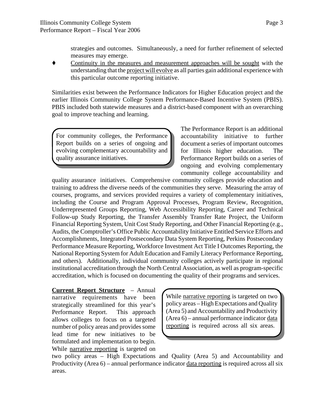strategies and outcomes. Simultaneously, a need for further refinement of selected measures may emerge.

' Continuity in the measures and measurement approaches will be sought with the understanding that the project will evolve as all parties gain additional experience with this particular outcome reporting initiative.

Similarities exist between the Performance Indicators for Higher Education project and the earlier Illinois Community College System Performance-Based Incentive System (PBIS). PBIS included both statewide measures and a district-based component with an overarching goal to improve teaching and learning.

For community colleges, the Performance Report builds on a series of ongoing and evolving complementary accountability and quality assurance initiatives.

The Performance Report is an additional accountability initiative to further document a series of important outcomes for Illinois higher education. The Performance Report builds on a series of ongoing and evolving complementary community college accountability and

quality assurance initiatives. Comprehensive community colleges provide education and training to address the diverse needs of the communities they serve. Measuring the array of courses, programs, and services provided requires a variety of complementary initiatives, including the Course and Program Approval Processes, Program Review, Recognition, Underrepresented Groups Reporting, Web Accessibility Reporting, Career and Technical Follow-up Study Reporting, the Transfer Assembly Transfer Rate Project, the Uniform Financial Reporting System, Unit Cost Study Reporting, and Other Financial Reporting (e.g., Audits, the Comptroller's Office Public Accountability Initiative Entitled Service Efforts and Accomplishments, Integrated Postsecondary Data System Reporting, Perkins Postsecondary Performance Measure Reporting, Workforce Investment Act Title I Outcomes Reporting, the National Reporting System for Adult Education and Family Literacy Performance Reporting, and others). Additionally, individual community colleges actively participate in regional institutional accreditation through the North Central Association, as well as program-specific accreditation, which is focused on documenting the quality of their programs and services.

**Current Report Structure** – Annual narrative requirements have been strategically streamlined for this year's Performance Report. This approach allows colleges to focus on a targeted number of policy areas and provides some lead time for new initiatives to be formulated and implementation to begin. While narrative reporting is targeted on

While narrative reporting is targeted on two policy areas – High Expectations and Quality (Area 5) and Accountability and Productivity  $(Area 6)$  – annual performance indicator data reporting is required across all six areas.

two policy areas – High Expectations and Quality (Area 5) and Accountability and Productivity (Area 6) – annual performance indicator data reporting is required across all six areas.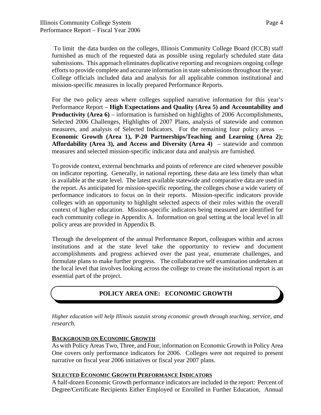To limit the data burden on the colleges, Illinois Community College Board (ICCB) staff furnished as much of the requested data as possible using regularly scheduled state data submissions. This approach eliminates duplicative reporting and recognizes ongoing college efforts to provide complete and accurate information in state submissions throughout the year. College officials included data and analysis for all applicable common institutional and mission-specific measures in locally prepared Performance Reports.

For the two policy areas where colleges supplied narrative information for this year's Performance Report – **High Expectations and Quality (Area 5) and Accountability and Productivity (Area 6)** – information is furnished on highlights of 2006 Accomplishments, Selected 2006 Challenges, Highlights of 2007 Plans, analysis of statewide and common measures, and analysis of Selected Indicators. For the remaining four policy areas – **Economic Growth (Area 1), P-20 Partnerships/Teaching and Learning (Area 2); Affordability (Area 3), and Access and Diversity (Area 4)** – statewide and common measures and selected mission-specific indicator data and analysis are furnished.

To provide context, external benchmarks and points of reference are cited whenever possible on indicator reporting. Generally, in national reporting, these data are less timely than what is available at the state level. The latest available statewide and comparative data are used in the report. As anticipated for mission-specific reporting, the colleges chose a wide variety of performance indicators to focus on in their reports. Mission-specific indicators provide colleges with an opportunity to highlight selected aspects of their roles within the overall context of higher education. Mission-specific indicators being measured are identified for each community college in Appendix A. Information on goal setting at the local level in all policy areas are provided in Appendix B.

Through the development of the annual Performance Report, colleagues within and across institutions and at the state level take the opportunity to review and document accomplishments and progress achieved over the past year, enumerate challenges, and formulate plans to make further progress. The collaborative self examination undertaken at the local level that involves looking across the college to create the institutional report is an essential part of the project.

#### **POLICY AREA ONE: ECONOMIC GROWTH**

*Higher education will help Illinois sustain strong economic growth through teaching, service, and research*.

#### **BACKGROUND ON ECONOMIC GROWTH**

As with Policy Areas Two, Three, and Four, information on Economic Growth in Policy Area One covers only performance indicators for 2006. Colleges were not required to present narrative on fiscal year 2006 initiatives or fiscal year 2007 plans.

#### **SELECTED ECONOMIC GROWTH PERFORMANCE INDICATORS**

A half-dozen Economic Growth performance indicators are included in the report: Percent of Degree/Certificate Recipients Either Employed or Enrolled in Further Education, Annual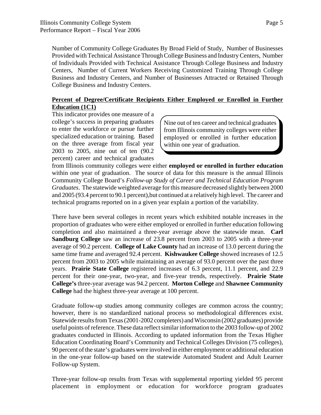Number of Community College Graduates By Broad Field of Study, Number of Businesses Provided with Technical Assistance Through College Business and Industry Centers, Number of Individuals Provided with Technical Assistance Through College Business and Industry Centers, Number of Current Workers Receiving Customized Training Through College Business and Industry Centers, and Number of Businesses Attracted or Retained Through College Business and Industry Centers.

#### **Percent of Degree/Certificate Recipients Either Employed or Enrolled in Further Education (1C1)**

This indicator provides one measure of a college's success in preparing graduates to enter the workforce or pursue further specialized education or training. Based on the three average from fiscal year 2003 to 2005, nine out of ten (90.2 percent) career and technical graduates

Nine out of ten career and technical graduates from Illinois community colleges were either employed or enrolled in further education within one year of graduation.

from Illinois community colleges were either **employed or enrolled in further education** within one year of graduation. The source of data for this measure is the annual Illinois Community College Board's *Follow-up Study of Career and Technical Education Program Graduates*. The statewide weighted average for this measure decreased slightly between 2000 and 2005 (93.4 percent to 90.1 percent),but continued at a relatively high level. The career and technical programs reported on in a given year explain a portion of the variability.

There have been several colleges in recent years which exhibited notable increases in the proportion of graduates who were either employed or enrolled in further education following completion and also maintained a three-year average above the statewide mean. **Carl Sandburg College** saw an increase of 23.8 percent from 2003 to 2005 with a three-year average of 90.2 percent. **College of Lake County** had an increase of 13.0 percent during the same time frame and averaged 92.4 percent. **Kishwaukee College** showed increases of 12.5 percent from 2003 to 2005 while maintaining an average of 93.0 percent over the past three years. **Prairie State College** registered increases of 6.3 percent, 11.1 percent, and 22.9 percent for their one-year, two-year, and five-year trends, respectively. **Prairie State College's** three-year average was 94.2 percent. **Morton College** and **Shawnee Community College** had the highest three-year average at 100 percent.

Graduate follow-up studies among community colleges are common across the country; however, there is no standardized national process so methodological differences exist. Statewide results from Texas (2001-2002 completers) and Wisconsin (2002 graduates) provide useful points of reference. These data reflect similar information to the 2003 follow-up of 2002 graduates conducted in Illinois. According to updated information from the Texas Higher Education Coordinating Board's Community and Technical Colleges Division (75 colleges), 90 percent of the state's graduates were involved in either employment or additional education in the one-year follow-up based on the statewide Automated Student and Adult Learner Follow-up System.

Three-year follow-up results from Texas with supplemental reporting yielded 95 percent placement in employment or education for workforce program graduates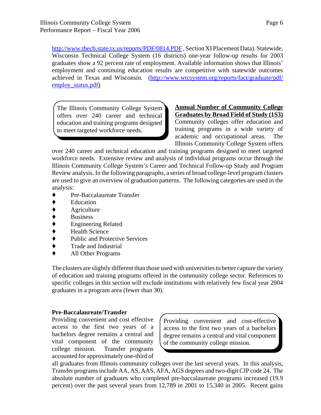http://www.thecb.state.tx.us/reports/PDF/0814.PDF , Section XI Placement Data). Statewide, Wisconsin Technical College System (16 districts) one-year follow-up results for 2003 graduates show a 92 percent rate of employment. Available information shows that Illinois' employment and continuing education results are competitive with statewide outcomes achieved in Texas and Wisconsin. (http://www.wtcsystem.org/reports/fact/graduate/pdf/ employ\_status.pdf)

The Illinois Community College System offers over 240 career and technical education and training programs designed to meet targeted workforce needs.

#### **Annual Number of Community College Graduates by Broad Field of Study (1S3)** Community colleges offer education and training programs in a wide variety of academic and occupational areas. The Illinois Community College System offers

over 240 career and technical education and training programs designed to meet targeted workforce needs. Extensive review and analysis of individual programs occur through the Illinois Community College System's Career and Technical Follow-up Study and Program Review analysis. In the following paragraphs, a series of broad college-level program clusters are used to give an overview of graduation patterns. The following categories are used in the analysis:

- Pre-Baccalaureate Transfer
- ' Education
- Agriculture
- ' Business
- ' Engineering Related
- ' Health Science
- Public and Protective Services
- Trade and Industrial
- All Other Programs

The clusters are slightly different than those used with universities to better capture the variety of education and training programs offered in the community college sector. References to specific colleges in this section will exclude institutions with relatively few fiscal year 2004 graduates in a program area (fewer than 30).

#### **Pre-Baccalaureate/Transfer**

Providing convenient and cost effective access to the first two years of a bachelors degree remains a central and vital component of the community college mission. Transfer programs accounted for approximately one-third of

Providing convenient and cost-effective access to the first two years of a bachelors degree remains a central and vital component of the community college mission.

all graduates from Illinois community colleges over the last several years. In this analysis, Transfer programs include AA, AS, AAS, AFA, AGS degrees and two-digit CIP code 24. The absolute number of graduates who completed pre-baccalaureate programs increased (19.9 percent) over the past several years from 12,789 in 2001 to 15,340 in 2005. Recent gains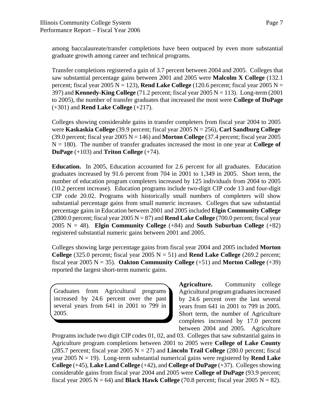among baccalaureate/transfer completions have been outpaced by even more substantial graduate growth among career and technical programs.

Transfer completions registered a gain of 3.7 percent between 2004 and 2005. Colleges that saw substantial percentage gains between 2001 and 2005 were **Malcolm X College** (132.1 percent; fiscal year 2005  $N = 123$ ), **Rend Lake College** (120.6 percent; fiscal year 2005  $N =$ 397) and **Kennedy-King College** (71.2 percent; fiscal year 2005 N = 113). Long-term (2001 to 2005), the number of transfer graduates that increased the most were **College of DuPage** (+301) and **Rend Lake College** (+217).

Colleges showing considerable gains in transfer completers from fiscal year 2004 to 2005 were **Kaskaskia College** (39.9 percent; fiscal year 2005 N = 256), **Carl Sandburg College** (39.0 percent; fiscal year 2005 N = 146) and **Morton College** (37.4 percent; fiscal year 2005 N = 180). The number of transfer graduates increased the most in one year at **College of DuPage** (+103) and **Triton College** (+74).

**Education.** In 2005, Education accounted for 2.6 percent for all graduates. Education graduates increased by 91.6 percent from 704 in 2001 to 1,349 in 2005. Short term, the number of education program completers increased by 125 individuals from 2004 to 2005 (10.2 percent increase). Education programs include two-digit CIP code 13 and four-digit CIP code 20.02. Programs with historically small numbers of completers will show substantial percentage gains from small numeric increases. Colleges that saw substantial percentage gains in Education between 2001 and 2005 included **Elgin Community College** (2800.0 percent; fiscal year  $2005 N = 87$ ) and **Rend Lake College** (700.0 percent; fiscal year 2005  $N = 48$ ). **Elgin Community College**  $(+84)$  and **South Suburban College**  $(+82)$ registered substantial numeric gains between 2001 and 2005.

Colleges showing large percentage gains from fiscal year 2004 and 2005 included **Morton College** (325.0 percent; fiscal year 2005  $N = 51$ ) and **Rend Lake College** (269.2 percent; fiscal year 2005  $N = 35$ ). **Oakton Community College**  $(+51)$  and **Morton College**  $(+39)$ reported the largest short-term numeric gains.

Graduates from Agricultural programs increased by 24.6 percent over the past several years from 641 in 2001 to 799 in 2005.

**Agriculture.** Community college Agricultural program graduates increased by 24.6 percent over the last several years from 641 in 2001 to 799 in 2005. Short term, the number of Agriculture completes increased by 17.0 percent between 2004 and 2005. Agriculture

Programs include two digit CIP codes 01, 02, and 03. Colleges that saw substantial gains in Agriculture program completions between 2001 to 2005 were **College of Lake County** (285.7 percent; fiscal year 2005  $N = 27$ ) and **Lincoln Trail College** (280.0 percent; fiscal year 2005  $N = 19$ ). Long-term substantial numerical gains were registered by **Rend Lake College** (+45), **Lake Land College** (+42), and **College of DuPage** (+37). Colleges showing considerable gains from fiscal year 2004 and 2005 were **College of DuPage** (93.9 percent; fiscal year 2005  $N = 64$ ) and **Black Hawk College** (70.8 percent; fiscal year 2005  $N = 82$ ).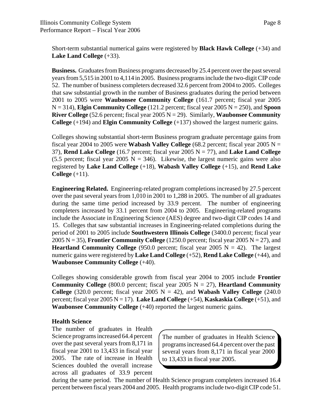Short-term substantial numerical gains were registered by **Black Hawk College** (+34) and **Lake Land College** (+33).

**Business.** Graduates from Business programs decreased by 25.4 percent over the past several years from 5,515 in 2001 to 4,114 in 2005. Business programs include the two-digit CIP code 52. The number of business completers decreased 32.6 percent from 2004 to 2005. Colleges that saw substantial growth in the number of Business graduates during the period between 2001 to 2005 were **Waubonsee Community College** (161.7 percent; fiscal year 2005 N = 314), **Elgin Community College** (121.2 percent; fiscal year 2005 N = 250), and **Spoon River College** (52.6 percent; fiscal year 2005 N = 29). Similarly, **Waubonsee Community College** (+194) and **Elgin Community College** (+137) showed the largest numeric gains.

Colleges showing substantial short-term Business program graduate percentage gains from fiscal year 2004 to 2005 were **Wabash Valley College** (68.2 percent; fiscal year 2005  $N =$ 37), **Rend Lake College** (16.7 percent; fiscal year 2005 N = 77), and **Lake Land College** (5.5 percent; fiscal year 2005 N = 346). Likewise, the largest numeric gains were also registered by **Lake Land College** (+18), **Wabash Valley College** (+15), and **Rend Lake College** (+11).

**Engineering Related.** Engineering-related program completions increased by 27.5 percent over the past several years from 1,010 in 2001 to 1,288 in 2005. The number of all graduates during the same time period increased by 33.9 percent. The number of engineering completers increased by 33.1 percent from 2004 to 2005. Engineering-related programs include the Associate in Engineering Science (AES) degree and two-digit CIP codes 14 and 15. Colleges that saw substantial increases in Engineering-related completions during the period of 2001 to 2005 include **Southwestern Illinois College** (3400.0 percent; fiscal year 2005 N = 35), **Frontier Community College** (1250.0 percent; fiscal year 2005 N = 27), and **Heartland Community College** (950.0 percent; fiscal year 2005  $N = 42$ ). The largest numeric gains were registered by **Lake Land College** (+52), **Rend Lake College** (+44), and **Waubonsee Community College** (+40).

Colleges showing considerable growth from fiscal year 2004 to 2005 include **Frontier Community College** (800.0 percent; fiscal year 2005  $N = 27$ ), **Heartland Community College** (320.0 percent; fiscal year 2005  $N = 42$ ), and **Wabash Valley College** (240.0) percent; fiscal year 2005 N = 17). **Lake Land College** (+54), **Kaskaskia College** (+51), and **Waubonsee Community College** (+40) reported the largest numeric gains.

#### **Health Science**

The number of graduates in Health Science programs increased 64.4 percent over the past several years from 8,171 in fiscal year 2001 to 13,433 in fiscal year 2005. The rate of increase in Health Sciences doubled the overall increase across all graduates of 33.9 percent

The number of graduates in Health Science programs increased 64.4 percent over the past several years from 8,171 in fiscal year 2000 to 13,433 in fiscal year 2005.

during the same period. The number of Health Science program completers increased 16.4 percent between fiscal years 2004 and 2005. Health programs include two-digit CIP code 51.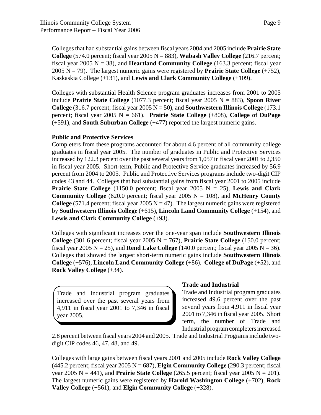Colleges that had substantial gains between fiscal years 2004 and 2005 include **Prairie State College**  $(574.0 \text{ percent};$  fiscal year  $2005 \text{ N} = 883$ ), **Wabash Valley College**  $(216.7 \text{ percent};$ fiscal year 2005  $N = 38$ ), and **Heartland Community College** (163.3 percent; fiscal year 2005 N = 79). The largest numeric gains were registered by **Prairie State College** (+752), Kaskaskia College (+131), and **Lewis and Clark Community College** (+109).

Colleges with substantial Health Science program graduates increases from 2001 to 2005 include **Prairie State College** (1077.3 percent; fiscal year 2005 N = 883), **Spoon River College** (316.7 percent; fiscal year  $2005 \text{ N} = 50$ ), and **Southwestern Illinois College** (173.1) percent; fiscal year 2005  $N = 661$ ). **Prairie State College** (+808), **College of DuPage** (+591), and **South Suburban College** (+477) reported the largest numeric gains.

#### **Public and Protective Services**

Completers from these programs accounted for about 4.6 percent of all community college graduates in fiscal year 2005. The number of graduates in Public and Protective Services increased by 122.3 percent over the past several years from 1,057 in fiscal year 2001 to 2,350 in fiscal year 2005. Short-term, Public and Protective Service graduates increased by 56.9 percent from 2004 to 2005. Public and Protective Services programs include two-digit CIP codes 43 and 44. Colleges that had substantial gains from fiscal year 2001 to 2005 include **Prairie State College** (1150.0 percent; fiscal year 2005  $N = 25$ ), **Lewis and Clark Community College** (620.0 percent; fiscal year 2005  $N = 108$ ), and **McHenry County College** (571.4 percent; fiscal year 2005  $N = 47$ ). The largest numeric gains were registered by **Southwestern Illinois College** (+615), **Lincoln Land Community College** (+154), and **Lewis and Clark Community College** (+93).

Colleges with significant increases over the one-year span include **Southwestern Illinois College** (301.6 percent; fiscal year 2005  $N = 767$ ), **Prairie State College** (150.0 percent; fiscal year 2005  $N = 25$ ), and **Rend Lake College** (140.0 percent; fiscal year 2005  $N = 36$ ). Colleges that showed the largest short-term numeric gains include **Southwestern Illinois College** (+576), **Lincoln Land Community College** (+86), **College of DuPage** (+52), and **Rock Valley College** (+34).

Trade and Industrial program graduates increased over the past several years from 4,911 in fiscal year 2001 to 7,346 in fiscal year 2005.

#### **Trade and Industrial**

Trade and Industrial program graduates increased 49.6 percent over the past several years from 4,911 in fiscal year 2001 to 7,346 in fiscal year 2005. Short term, the number of Trade and Industrial program completers increased

2.8 percent between fiscal years 2004 and 2005. Trade and Industrial Programs include twodigit CIP codes 46, 47, 48, and 49.

Colleges with large gains between fiscal years 2001 and 2005 include **Rock Valley College**  $(445.2 \text{ percent}; \text{fiscal year } 2005 \text{ N} = 687)$ , **Elgin Community College**  $(290.3 \text{ percent}; \text{fiscal})$ year 2005  $N = 441$ ), and **Prairie State College** (265.5 percent; fiscal year 2005  $N = 201$ ). The largest numeric gains were registered by **Harold Washington College** (+702), **Rock Valley College** (+561), and **Elgin Community College** (+328).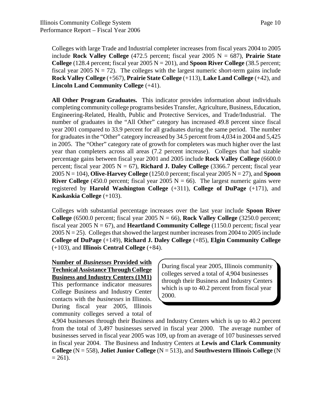Colleges with large Trade and Industrial completer increases from fiscal years 2004 to 2005 include **Rock Valley College** (472.5 percent; fiscal year 2005  $N = 687$ ), **Prairie State College** (128.4 percent; fiscal year 2005  $N = 201$ ), and **Spoon River College** (38.5 percent; fiscal year 2005  $N = 72$ ). The colleges with the largest numeric short-term gains include **Rock Valley College** (+567), **Prairie State College** (+113), **Lake Land College** (+42), and **Lincoln Land Community College** (+41).

**All Other Program Graduates.** This indicator provides information about individuals completing community college programs besides Transfer, Agriculture, Business, Education, Engineering-Related, Health, Public and Protective Services, and Trade/Industrial. The number of graduates in the "All Other" category has increased 49.8 percent since fiscal year 2001 compared to 33.9 percent for all graduates during the same period. The number for graduates in the "Other" category increased by 34.5 percent from 4,034 in 2004 and 5,425 in 2005. The "Other" category rate of growth for completers was much higher over the last year than completers across all areas (7.2 percent increase). Colleges that had sizable percentage gains between fiscal year 2001 and 2005 include **Rock Valley College** (6600.0 percent; fiscal year 2005  $N = 67$ ), **Richard J. Daley College** (3366.7 percent; fiscal year 2005 N = 104), **Olive-Harvey College** (1250.0 percent; fiscal year 2005 N = 27), and **Spoon River College** (450.0 percent; fiscal year 2005  $N = 66$ ). The largest numeric gains were registered by **Harold Washington College** (+311), **College of DuPage** (+171), and **Kaskaskia College** (+103).

Colleges with substantial percentage increases over the last year include **Spoon River College**  $(6500.0 \text{ percent};$  fiscal year  $2005 \text{ N} = 66$ ), **Rock Valley College**  $(3250.0 \text{ percent};$ fiscal year 2005  $N = 67$ ), and **Heartland Community College** (1150.0 percent; fiscal year  $2005$  N = 25). Colleges that showed the largest number increases from 2004 to 2005 include **College of DuPage** (+149), **Richard J. Daley College** (+85), **Elgin Community College** (+103), and **Illinois Central College** (+84).

**Number of** *Businesses* **Provided with Technical Assistance Through College Business and Industry Centers (1M1)** This performance indicator measures College Business and Industry Center contacts with the *businesses* in Illinois. During fiscal year 2005, Illinois community colleges served a total of

During fiscal year 2005, Illinois community colleges served a total of 4,904 businesses through their Business and Industry Centers which is up to 40.2 percent from fiscal year 2000.

4,904 businesses through their Business and Industry Centers which is up to 40.2 percent from the total of 3,497 businesses served in fiscal year 2000. The average number of businesses served in fiscal year 2005 was 109, up from an average of 107 businesses served in fiscal year 2004. The Business and Industry Centers at **Lewis and Clark Community College** (N = 558), **Joliet Junior College** (N = 513), and **Southwestern Illinois College** (N  $= 261$ ).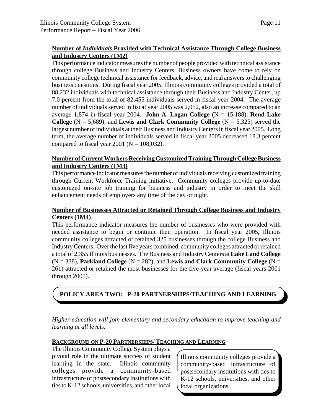#### **Number of** *Individuals* **Provided with Technical Assistance Through College Business and Industry Centers (1M2)**

This performance indicator measures the number of people provided with technical assistance through college Business and Industry Centers. Business owners have come to rely on community college technical assistance for feedback, advice, and real answers to challenging business questions. During fiscal year 2005, Illinois community colleges provided a total of 88,232 individuals with technical assistance through their Business and Industry Center, up 7.0 percent from the total of 82,455 individuals served in fiscal year 2004. The average number of individuals served in fiscal year 2005 was 2,052, also an increase compared to an average 1,874 in fiscal year 2004. **John A. Logan College** (N = 15,188), **Rend Lake College**  $(N = 5,689)$ , and **Lewis and Clark Community College**  $(N = 5.325)$  served the largest number of individuals at their Business and Industry Centers in fiscal year 2005. Long term, the average number of individuals served in fiscal year 2005 decreased 18.3 percent compared to fiscal year 2001 ( $N = 108,032$ ).

#### **Number of Current Workers Receiving Customized Training Through College Business and Industry Centers (1M3)**

This performance indicator measures the number of individuals receiving customized training through Current Workforce Training initiative. Community colleges provide up-to-date customized on-site job training for business and industry in order to meet the skill enhancement needs of employers any time of the day or night.

#### **Number of Businesses Attracted or Retained Through College Business and Industry Centers (1M4)**

This performance indicator measures the number of businesses who were provided with needed assistance to begin or continue their operation. In fiscal year 2005, Illinois community colleges attracted or retained 325 businesses through the college Business and Industry Centers. Over the last five years combined, community colleges attracted or retained a total of 2,355 Illinois businesses. The Business and Industry Centers at **Lake Land College**  $(N = 338)$ , **Parkland College**  $(N = 282)$ , and **Lewis and Clark Community College**  $(N = 1282)$ 261) attracted or retained the most businesses for the five-year average (fiscal years 2001 through 2005).

**POLICY AREA TWO: P-20 PARTNERSHIPS/TEACHING AND LEARNING** 

*Higher education will join elementary and secondary education to improve teaching and learning at all levels.*

#### **BACKGROUND ON P-20 PARTNERSHIPS/ TEACHING AND LEARNING**

The Illinois Community College System plays a pivotal role in the ultimate success of student learning in the state. Illinois community colleges provide a community-based infrastructure of postsecondary institutions with ties to K-12 schools, universities, and other local

Illinois community colleges provide a community-based infrastructure of postsecondary institutions with ties to K-12 schools, universities, and other local organizations.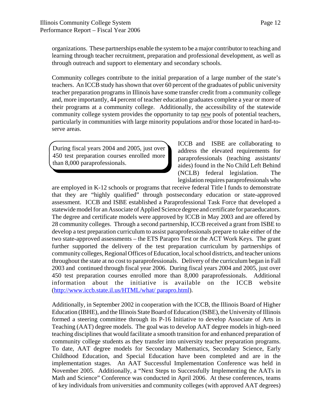organizations. These partnerships enable the system to be a major contributor to teaching and learning through teacher recruitment, preparation and professional development, as well as through outreach and support to elementary and secondary schools.

Community colleges contribute to the initial preparation of a large number of the state's teachers. An ICCB study has shown that over 60 percent of the graduates of public university teacher preparation programs in Illinois have some transfer credit from a community college and, more importantly, 44 percent of teacher education graduates complete a year or more of their programs at a community college. Additionally, the accessibility of the statewide community college system provides the opportunity to tap *new* pools of potential teachers, particularly in communities with large minority populations and/or those located in hard-toserve areas.

During fiscal years 2004 and 2005, just over 450 test preparation courses enrolled more than 8,000 paraprofessionals.

ICCB and ISBE are collaborating to address the elevated requirements for paraprofessionals (teaching assistants/ aides) found in the No Child Left Behind (NCLB) federal legislation. The legislation requires paraprofessionals who

are employed in K-12 schools or programs that receive federal Title I funds to demonstrate that they are "highly qualified" through postsecondary education or state-approved assessment. ICCB and ISBE established a Paraprofessional Task Force that developed a statewide model for an Associate of Applied Science degree and certificate for paraeducators. The degree and certificate models were approved by ICCB in May 2003 and are offered by 28 community colleges. Through a second partnership, ICCB received a grant from ISBE to develop a test preparation curriculum to assist paraprofessionals prepare to take either of the two state-approved assessments – the ETS Parapro Test or the ACT Work Keys. The grant further supported the delivery of the test preparation curriculum by partnerships of community colleges, Regional Offices of Education, local school districts, and teacher unions throughout the state at no cost to paraprofessionals. Delivery of the curriculum began in Fall 2003 and continued through fiscal year 2006. During fiscal years 2004 and 2005, just over 450 test preparation courses enrolled more than 8,000 paraprofessionals. Additional information about the initiative is available on the ICCB website (http://www.iccb.state.il.us/HTML/what/ parapro.html).

Additionally, in September 2002 in cooperation with the ICCB, the Illinois Board of Higher Education (IBHE), and the Illinois State Board of Education (ISBE), the University of Illinois formed a steering committee through its P-16 Initiative to develop Associate of Arts in Teaching (AAT) degree models. The goal was to develop AAT degree models in high-need teaching disciplines that would facilitate a smooth transition for and enhanced preparation of community college students as they transfer into university teacher preparation programs. To date, AAT degree models for Secondary Mathematics, Secondary Science, Early Childhood Education, and Special Education have been completed and are in the implementation stages. An AAT Successful Implementation Conference was held in November 2005. Additionally, a "Next Steps to Successfully Implementing the AATs in Math and Science" Conference was conducted in April 2006. At these conferences, teams of key individuals from universities and community colleges (with approved AAT degrees)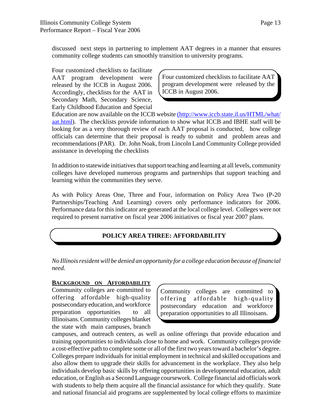discussed next steps in partnering to implement AAT degrees in a manner that ensures community college students can smoothly transition to university programs.

Four customized checklists to facilitate AAT program development were released by the ICCB in August 2006. Accordingly, checklists for the AAT in Secondary Math, Secondary Science, Early Childhood Education and Special

Four customized checklists to facilitate AAT program development were released by the ICCB in August 2006.

Education are now available on the ICCB website (http://www.iccb.state.il.us/HTML/what/ aat.html). The checklists provide information to show what ICCB and IBHE staff will be looking for as a very thorough review of each AAT proposal is conducted, how college officials can determine that their proposal is ready to submit and problem areas and recommendations (PAR). Dr. John Noak, from Lincoln Land Community College provided assistance in developing the checklists

In addition to statewide initiatives that support teaching and learning at all levels, community colleges have developed numerous programs and partnerships that support teaching and learning within the communities they serve.

As with Policy Areas One, Three and Four, information on Policy Area Two (P-20 Partnerships/Teaching And Learning) covers only performance indicators for 2006. Performance data for this indicator are generated at the local college level. Colleges were not required to present narrative on fiscal year 2006 initiatives or fiscal year 2007 plans.

#### **POLICY AREA THREE: AFFORDABILITY**

*No Illinois resident will be denied an opportunity for a college education because of financial need.*

#### **BACKGROUND ON AFFORDABILITY**

Community colleges are committed to offering affordable high-quality postsecondary education, and workforce preparation opportunities to all Illinoisans. Community colleges blanket the state with main campuses, branch

Community colleges are committed to offering affordable high-quality postsecondary education and workforce preparation opportunities to all Illinoisans.

campuses, and outreach centers, as well as online offerings that provide education and training opportunities to individuals close to home and work. Community colleges provide a cost-effective path to complete some or all of the first two years toward a bachelor's degree. Colleges prepare individuals for initial employment in technical and skilled occupations and also allow them to upgrade their skills for advancement in the workplace. They also help individuals develop basic skills by offering opportunities in developmental education, adult education, or English as a Second Language coursework. College financial aid officials work with students to help them acquire all the financial assistance for which they qualify. State and national financial aid programs are supplemented by local college efforts to maximize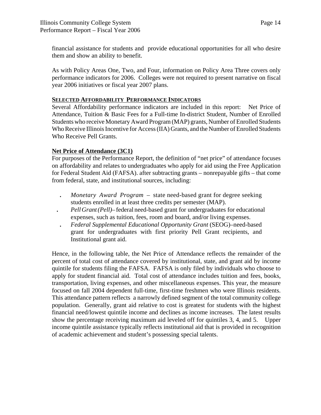financial assistance for students and provide educational opportunities for all who desire them and show an ability to benefit.

As with Policy Areas One, Two, and Four, information on Policy Area Three covers only performance indicators for 2006. Colleges were not required to present narrative on fiscal year 2006 initiatives or fiscal year 2007 plans.

#### **SELECTED AFFORDABILITY PERFORMANCE INDICATORS**

Several Affordability performance indicators are included in this report: Net Price of Attendance, Tuition & Basic Fees for a Full-time In-district Student, Number of Enrolled Students who receive Monetary Award Program (MAP) grants, Number of Enrolled Students Who Receive Illinois Incentive for Access (IIA) Grants, and the Number of Enrolled Students Who Receive Pell Grants.

#### **Net Price of Attendance (3C1)**

For purposes of the Performance Report, the definition of "net price" of attendance focuses on affordability and relates to undergraduates who apply for aid using the Free Application for Federal Student Aid (FAFSA). after subtracting grants – nonrepayable gifts – that come from federal, state, and institutional sources, including:

- **.** *Monetary Award Program*  state need-based grant for degree seeking students enrolled in at least three credits per semester (MAP).
- **.** *Pell Grant (Pell)* federal need-based grant for undergraduates for educational expenses, such as tuition, fees, room and board, and/or living expenses.
- **.** *Federal Supplemental Educational Opportunity Grant* (SEOG)–need-based grant for undergraduates with first priority Pell Grant recipients, and Institutional grant aid.

Hence, in the following table, the Net Price of Attendance reflects the remainder of the percent of total cost of attendance covered by institutional, state, and grant aid by income quintile for students filing the FAFSA. FAFSA is only filed by individuals who choose to apply for student financial aid. Total cost of attendance includes tuition and fees, books, transportation, living expenses, and other miscellaneous expenses. This year, the measure focused on fall 2004 dependent full-time, first-time freshmen who were Illinois residents. This attendance pattern reflects a narrowly defined segment of the total community college population. Generally, grant aid relative to cost is greatest for students with the highest financial need/lowest quintile income and declines as income increases. The latest results show the percentage receiving maximum aid leveled off for quintiles 3, 4, and 5. Upper income quintile assistance typically reflects institutional aid that is provided in recognition of academic achievement and student's possessing special talents.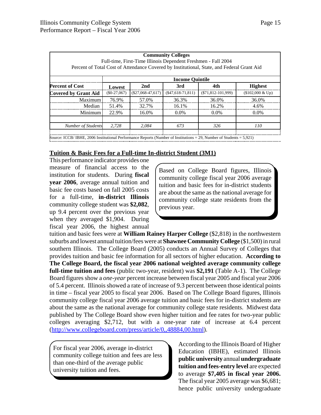| <b>Community Colleges</b><br>Full-time, First-Time Illinois Dependent Freshmen - Fall 2004<br>Percent of Total Cost of Attendance Covered by Institutional, State, and Federal Grant Aid |                        |                     |                     |                         |                    |  |
|------------------------------------------------------------------------------------------------------------------------------------------------------------------------------------------|------------------------|---------------------|---------------------|-------------------------|--------------------|--|
|                                                                                                                                                                                          | <b>Income Quintile</b> |                     |                     |                         |                    |  |
| <b>Percent of Cost</b>                                                                                                                                                                   | Lowest                 | 2nd                 | 3rd                 | 4th                     | <b>Highest</b>     |  |
| <b>Covered by Grant Aid</b>                                                                                                                                                              | $(S0-27,067)$          | $(\$27,068-47,617)$ | $(\$47,618-71,811)$ | $(S71, 812 - 101, 999)$ | $($102,000 \& Up)$ |  |
| Maximum                                                                                                                                                                                  | 76.9%                  | 57.0%               | 36.3%               | 36.0%                   | 36.0%              |  |
| Median                                                                                                                                                                                   | 51.4%                  | 32.7%               | 16.1%               | 16.2%                   | 4.6%               |  |
| Minimum                                                                                                                                                                                  | 22.9%                  | 16.0%               | $0.0\%$             | $0.0\%$                 | $0.0\%$            |  |
| <b>Number of Students</b>                                                                                                                                                                | 2.728                  | 2.084               | 673                 | 326                     | <i>110</i>         |  |

Source: ICCB/ IBHE, 2006 Institutional Performance Reports (Number of Institutions = 29, Number of Students = 5,921)

#### **Tuition & Basic Fees for a Full-time In-district Student (3M1)**

This performance indicator provides one measure of financial access to the institution for students. During **fiscal year 2006**, average annual tuition and basic fee costs based on fall 2005 costs for a full-time, **in-district Illinois** community college student was **\$2,082**, up 9.4 percent over the previous year when they averaged \$1,904. During fiscal year 2006, the highest annual

Based on College Board figures, Illinois community college fiscal year 2006 average tuition and basic fees for in-district students are about the same as the national average for community college state residents from the previous year.

tuition and basic fees were at **William Rainey Harper College** (\$2,818) in the northwestern suburbs and lowest annual tuition/fees were at **Shawnee Community College** (\$1,500) in rural southern Illinois. The College Board (2005) conducts an Annual Survey of Colleges that provides tuition and basic fee information for all sectors of higher education. **According to The College Board, the fiscal year 2006 national weighted average community college full-time tuition and fees** (public two-year, resident) was **\$2,191** (Table A-1). The College Board figures show a *one-year* percent increase between fiscal year 2005 and fiscal year 2006 of 5.4 percent. Illinois showed a rate of increase of 9.3 percent between those identical points in time – fiscal year 2005 to fiscal year 2006. Based on The College Board figures, Illinois community college fiscal year 2006 average tuition and basic fees for in-district students are about the same as the national average for community college state residents. Midwest data published by The College Board show even higher tuition and fee rates for two-year public colleges averaging \$2,712, but with a one-year rate of increase at 6.4 percent (http://www.collegeboard.com/press/article/0,,48884,00.html).

For fiscal year 2006, average in-district community college tuition and fees are less than one-third of the average public university tuition and fees.

According to the Illinois Board of Higher Education (IBHE), estimated Illinois **public university** annual **undergraduate tuition and fees-entry level** are expected to average **\$7,405 in fiscal year 2006.** The fiscal year 2005 average was \$6,681; hence public university undergraduate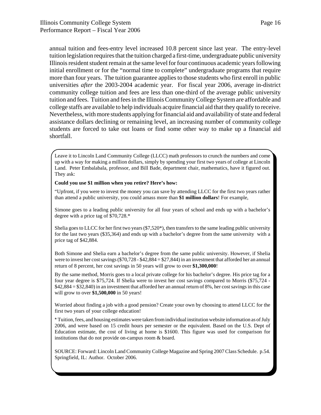annual tuition and fees-entry level increased 10.8 percent since last year. The entry-level tuition legislation requires that the tuition charged a first-time, undergraduate public university Illinois resident student remain at the same level for four continuous academic years following initial enrollment or for the "normal time to complete" undergraduate programs that require more than four years. The tuition guarantee applies to those students who first enroll in public universities *after* the 2003-2004 academic year. For fiscal year 2006, average in-district community college tuition and fees are less than one-third of the average public university tuition and fees. Tuition and fees in the Illinois Community College System are affordable and college staffs are available to help individuals acquire financial aid that they qualify to receive. Nevertheless, with more students applying for financial aid and availability of state and federal assistance dollars declining or remaining level, an increasing number of community college students are forced to take out loans or find some other way to make up a financial aid shortfall.

Leave it to Lincoln Land Community College (LLCC) math professors to crunch the numbers and come up with a way for making a million dollars, simply by spending your first two years of college at Lincoln Land. Peter Embalabala, professor, and Bill Bade, department chair, mathematics, have it figured out. They ask:

#### **Could you use \$1 million when you retire? Here's how:**

"Upfront, if you were to invest the money you can save by attending LLCC for the first two years rather than attend a public university, you could amass more than **\$1 million dollars**! For example,

Simone goes to a leading public university for all four years of school and ends up with a bachelor's degree with a price tag of \$70,728.\*

Shelia goes to LLCC for her first two years (\$7,520\*), then transfers to the same leading public university for the last two years (\$35,364) and ends up with a bachelor's degree from the same university with a price tag of \$42,884.

Both Simone and Shelia earn a bachelor's degree from the same public university. However, if Shelia were to invest her cost savings (\$70,728 - \$42,884 = \$27,844) in an investment that afforded her an annual return of 8 percent, her cost savings in 50 years will grow to over **\$1,300,000**!

By the same method, Morris goes to a local private college for his bachelor's degree. His price tag for a four year degree is \$75,724. If Shelia were to invest her cost savings compared to Morris (\$75,724 - \$42,884 = \$32,840) in an investment that afforded her an annual return of 8%, her cost savings in this case will grow to over **\$1,500,000** in 50 years!

Worried about finding a job with a good pension? Create your own by choosing to attend LLCC for the first two years of your college education!

\* Tuition, fees, and housing estimates were taken from individual institution website information as of July 2006, and were based on 15 credit hours per semester or the equivalent. Based on the U.S. Dept of Education estimate, the cost of living at home is \$1600. This figure was used for comparison for institutions that do not provide on-campus room & board.

SOURCE: Forward: Lincoln Land Community College Magazine and Spring 2007 Class Schedule. p.54. Springfield, IL: Author. October 2006.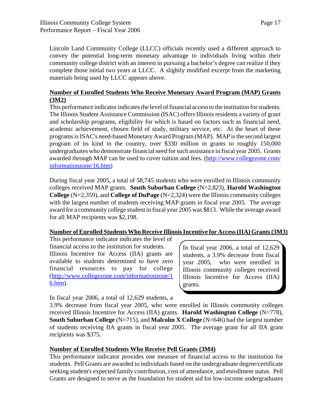Lincoln Land Community College (LLCC) officials recently used a different approach to convey the potential long-term monetary advantage to individuals living within their community college district with an interest in pursuing a bachelor's degree can realize if they complete those initial two years at LLCC. A slightly modified excerpt from the marketing materials being used by LLCC appears above.

#### **Number of Enrolled Students Who Receive Monetary Award Program (MAP) Grants (3M2)**

This performance indicator indicates the level of financial access to the institution for students. The Illinois Student Assistance Commission (ISAC) offers Illinois residents a variety of grant and scholarship programs, eligibility for which is based on factors such as financial need, academic achievement, chosen field of study, military service, etc. At the heart of these programs is ISAC's need-based Monetary Award Program (MAP). MAP is the second largest program of its kind in the country, over \$330 million in grants to roughly 150,000 undergraduates who demonstrate financial need for such assistance in fiscal year 2005. Grants awarded through MAP can be used to cover tuition and fees. (http://www.collegezone.com/ informationzone/16.htm)

During fiscal year 2005, a total of 58,745 students who were enrolled in Illinois community colleges received MAP grants. **South Suburban College** (N=2,823), **Harold Washington College** (N=2,359), and **College of DuPage** (N=2,324) were the Illinois community colleges with the largest number of students receiving MAP grants in fiscal year 2005. The average award for a community college student in fiscal year 2005 was \$813. While the average award for all MAP recipients was \$2,198.

#### **Number of Enrolled Students Who Receive Illinois Incentive for Access (IIA) Grants (3M3)**

This performance indicator indicates the level of financial access to the institution for students. Illinois Incentive for Access (IIA) grants are available to students determined to have zero financial resources to pay for college (http://www.collegezone.com/informationzone/1 6.htm).

In fiscal year 2006, a total of 12,629 students, a 3.9% decrease from fiscal year 2005, who were enrolled in Illinois community colleges received Illinois Incentive for Access (IIA) grants.

In fiscal year 2006, a total of 12,629 students, a

3.9% decrease from fiscal year 2005, who were enrolled in Illinois community colleges received Illinois Incentive for Access (IIA) grants. **Harold Washington College** (N=778), **South Suburban College** (N=715), and **Malcolm X College** (N=646) had the largest number of students receiving IIA grants in fiscal year 2005. The average grant for all IIA grant recipients was \$375.

#### **Number of Enrolled Students Who Receive Pell Grants (3M4)**

This performance indicator provides one measure of financial access to the institution for students. Pell Grants are awarded to individuals based on the undergraduate degree/certificate seeking student's expected family contribution, cost of attendance, and enrollment status. Pell Grants are designed to serve as the foundation for student aid for low-income undergraduates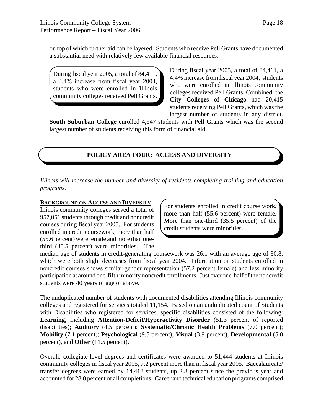on top of which further aid can be layered. Students who receive Pell Grants have documented a substantial need with relatively few available financial resources.

During fiscal year 2005, a total of 84,411, a 4.4% increase from fiscal year 2004, students who were enrolled in Illinois community colleges received Pell Grants. During fiscal year 2005, a total of 84,411, a 4.4% increase from fiscal year 2004, students who were enrolled in Illinois community colleges received Pell Grants. Combined, the **City Colleges of Chicago** had 20,415 students receiving Pell Grants, which was the largest number of students in any district.

**South Suburban College** enrolled 4,647 students with Pell Grants which was the second largest number of students receiving this form of financial aid.

#### **POLICY AREA FOUR: ACCESS AND DIVERSITY**

*Illinois will increase the number and diversity of residents completing training and education programs.*

#### **BACKGROUND ON ACCESS AND DIVERSITY**

Illinois community colleges served a total of 957,051 students through credit and noncredit courses during fiscal year 2005. For students enrolled in credit coursework, more than half (55.6 percent) were female and more than onethird (35.5 percent) were minorities. The

For students enrolled in credit course work, more than half (55.6 percent) were female. More than one-third (35.5 percent) of the credit students were minorities.

median age of students in credit-generating coursework was 26.1 with an average age of 30.8, which were both slight decreases from fiscal year 2004. Information on students enrolled in noncredit courses shows similar gender representation (57.2 percent female) and less minority participation at around one-fifth minority noncredit enrollments. Just over one-half of the noncredit students were 40 years of age or above.

The unduplicated number of students with documented disabilities attending Illinois community colleges and registered for services totaled 11,154. Based on an unduplicated count of Students with Disabilities who registered for services, specific disabilities consisted of the following: **Learning**, including **Attention-Deficit/Hyperactivity Disorder** (51.3 percent of reported disabilities); **Auditory** (4.5 percent); **Systematic/Chronic Health Problems** (7.0 percent); **Mobility** (7.1 percent); **Psychological** (9.5 percent); **Visual** (3.9 percent), **Developmental** (5.0 percent), and **Other** (11.5 percent).

Overall, collegiate-level degrees and certificates were awarded to 51,444 students at Illinois community colleges in fiscal year 2005, 7.2 percent more than in fiscal year 2005. Baccalaureate/ transfer degrees were earned by 14,418 students, up 2.8 percent since the previous year and accounted for 28.0 percent of all completions. Career and technical education programs comprised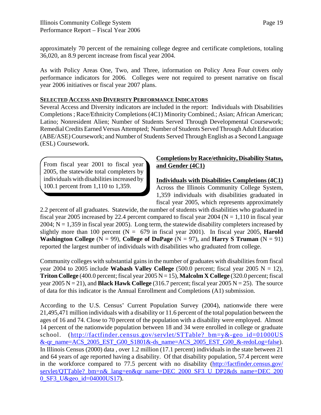approximately 70 percent of the remaining college degree and certificate completions, totaling 36,020, an 8.9 percent increase from fiscal year 2004.

As with Policy Areas One, Two, and Three, information on Policy Area Four covers only performance indicators for 2006. Colleges were not required to present narrative on fiscal year 2006 initiatives or fiscal year 2007 plans.

#### **SELECTED ACCESS AND DIVERSITY PERFORMANCE INDICATORS**

Several Access and Diversity indicators are included in the report: Individuals with Disabilities Completions ; Race/Ethnicity Completions (4C1) Minority Combined.; Asian; African American; Latino; Nonresident Alien; Number of Students Served Through Developmental Coursework; Remedial Credits Earned Versus Attempted; Number of Students Served Through Adult Education (ABE/ASE) Coursework; and Number of Students Served Through English as a Second Language (ESL) Coursework.

From fiscal year 2001 to fiscal year 2005, the statewide total completers by individuals with disabilities increased by 100.1 percent from 1,110 to 1,359.

#### **Completions by Race/ethnicity, Disability Status, and Gender (4C1)**

**Individuals with Disabilities Completions (4C1)**

Across the Illinois Community College System, 1,359 individuals with disabilities graduated in fiscal year 2005, which represents approximately

2.2 percent of all graduates. Statewide, the number of students with disabilities who graduated in fiscal year 2005 increased by 22.4 percent compared to fiscal year 2004 ( $N = 1,110$  in fiscal year 2004;  $N = 1,359$  in fiscal year 2005). Long term, the statewide disability completers increased by slightly more than 100 percent  $(N = 679)$  in fiscal year 2001). In fiscal year 2005, **Harold Washington College**  $(N = 99)$ , College of DuPage  $(N = 97)$ , and Harry S Truman  $(N = 91)$ reported the largest number of individuals with disabilities who graduated from college.

Community colleges with substantial gains in the number of graduates with disabilities from fiscal year 2004 to 2005 include **Wabash Valley College**  $(500.0$  percent; fiscal year 2005 N = 12), **Triton College** (400.0 percent; fiscal year  $2005 N = 15$ ), **Malcolm X College** (320.0 percent; fiscal year  $2005 N = 21$ ), and **Black Hawk College** (316.7 percent; fiscal year  $2005 N = 25$ ). The source of data for this indicator is the Annual Enrollment and Completions (A1) submission.

According to the U.S. Census' Current Population Survey (2004), nationwide there were 21,495,471 million individuals with a disability or 11.6 percent of the total population between the ages of 16 and 74. Close to 70 percent of the population with a disability were employed. Almost 14 percent of the nationwide population between 18 and 34 were enrolled in college or graduate school. (http://factfinder.census.gov/servlet/STTable? bm=y&-geo\_id=01000US &-qr\_name=ACS\_2005\_EST\_G00\_S1801&-ds\_name=ACS\_2005\_EST\_G00\_&-redoLog=false). In Illinois Census (2000) data , over 1.2 million (17.1 percent) individuals in the state between 21 and 64 years of age reported having a disability. Of that disability population, 57.4 percent were in the workforce compared to 77.5 percent with no disability (http://factfinder.census.gov/ servlet/QTTable?\_bm=n&\_lang=en&qr\_name=DEC\_2000\_SF3\_U\_DP2&ds\_name=DEC\_200 0\_SF3\_U&geo\_id=04000US17).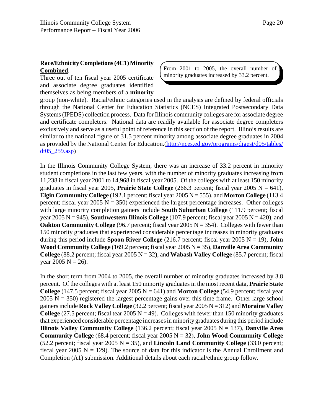#### **Race/Ethnicity Completions (4C1) Minority Combined**.

Three out of ten fiscal year 2005 certificate and associate degree graduates identified themselves as being members of a **minority** From 2001 to 2005, the overall number of minority graduates increased by 33.2 percent.

group (non-white). Racial/ethnic categories used in the analysis are defined by federal officials through the National Center for Education Statistics (NCES) Integrated Postsecondary Data Systems (IPEDS) collection process. Data for Illinois community colleges are for associate degree and certificate completers. National data are readily available for associate degree completers exclusively and serve as a useful point of reference in this section of the report. Illinois results are similar to the national figure of 31.5 percent minority among associate degree graduates in 2004 as provided by the National Center for Education.(http://nces.ed.gov/programs/digest/d05/tables/ dt05\_259.asp)

In the Illinois Community College System, there was an increase of 33.2 percent in minority student completions in the last few years, with the number of minority graduates increasing from 11,238 in fiscal year 2001 to 14,968 in fiscal year 2005. Of the colleges with at least 150 minority graduates in fiscal year 2005, **Prairie State College**  $(266.3 \text{ percent}; \text{fised year } 2005 \text{ N} = 641)$ , **Elgin Community College** (192.1 percent; fiscal year 2005 N = 555), and **Morton College** (113.4 percent; fiscal year  $2005 \text{ N} = 350$ ) experienced the largest percentage increases. Other colleges with large minority completion gainers include **South Suburban College** (111.9 percent; fiscal year 2005 N = 945), **Southwestern Illinois College** (107.9 percent; fiscal year 2005 N = 420), and **Oakton Community College** (96.7 percent; fiscal year  $2005 \text{ N} = 354$ ). Colleges with fewer than 150 minority graduates that experienced considerable percentage increases in minority graduates during this period include **Spoon River College** (216.7 percent; fiscal year 2005 N = 19), **John Wood Community College** (169.2 percent; fiscal year 2005 N = 35), **Danville Area Community College** (88.2 percent; fiscal year 2005  $N = 32$ ), and **Wabash Valley College** (85.7 percent; fiscal year 2005  $N = 26$ ).

In the short term from 2004 to 2005, the overall number of minority graduates increased by 3.8 percent. Of the colleges with at least 150 minority graduates in the most recent data, **Prairie State College** (147.5 percent; fiscal year 2005  $N = 641$ ) and **Morton College** (54.9 percent; fiscal year  $2005$  N = 350) registered the largest percentage gains over this time frame. Other large school gainers include **Rock Valley College** (32.2 percent; fiscal year 2005 N = 312) and **Moraine Valley College** (27.5 percent; fiscal tear 2005  $N = 49$ ). Colleges with fewer than 150 minority graduates that experienced considerable percentage increases in minority graduates during this period include **Illinois Valley Community College** (136.2 percent; fiscal year 2005  $N = 137$ ), **Danville Area Community College** (68.4 percent; fiscal year 2005 N = 32), **John Wood Community College** (52.2 percent; fiscal year 2005  $N = 35$ ), and **Lincoln Land Community College** (33.0 percent; fiscal year 2005  $N = 129$ ). The source of data for this indicator is the Annual Enrollment and Completion (A1) submission. Additional details about each racial/ethnic group follow.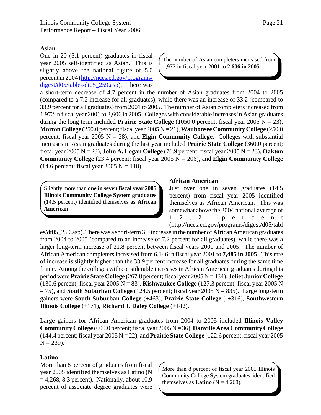#### **Asian**

One in 20 (5.1 percent) graduates in fiscal year 2005 self-identified as Asian. This is slightly above the national figure of 5.0 percent in 2004 (http://nces.ed.gov/programs/ digest/d05/tables/dt05\_259.asp). There was

The number of Asian completers increased from 1,972 in fiscal year 2001 to **2,606 in 2005.**

a short-term decrease of 4.7 percent in the number of Asian graduates from 2004 to 2005 (compared to a 7.2 increase for all graduates), while there was an increase of 33.2 (compared to 33.9 percent for all graduates) from 2001 to 2005. The number of Asian completers increased from 1,972 in fiscal year 2001 to 2,606 in 2005. Colleges with considerable increases in Asian graduates during the long term included **Prairie State College** (1050.0 percent; fiscal year 2005  $N = 23$ ), **Morton College** (250.0 percent; fiscal year 2005 N = 21), **Waubonsee Community College** (250.0 percent; fiscal year 2005  $N = 28$ ), and **Elgin Community College**. Colleges with substantial increases in Asian graduates during the last year included **Prairie State College** (360.0 percent; fiscal year 2005 N = 23), **John A. Logan College** (76.9 percent; fiscal year 2005 N = 23), **Oakton Community College** (23.4 percent; fiscal year 2005  $N = 206$ ), and **Elgin Community College**  $(14.6 \text{ percent}; \text{fiscal year } 2005 \text{ N} = 118).$ 

Slightly more than **one in seven fiscal year 2005 Illinois Community College System graduates** (14.5 percent) identified themselves as **African American**.

#### **African American**

Just over one in seven graduates (14.5 percent) from fiscal year 2005 identified themselves as African American. This was somewhat above the 2004 national average of 12.2 percent (http://nces.ed.gov/programs/digest/d05/tabl

es/dt05\_259.asp). There was a short-term 3.5 increase in the number of African American graduates from 2004 to 2005 (compared to an increase of 7.2 percent for all graduates), while there was a larger long-term increase of 21.8 percent between fiscal years 2001 and 2005. The number of African American completers increased from 6,146 in fiscal year 2001 to **7,485 in 2005**. This rate of increase is slightly higher than the 33.9 percent increase for all graduates during the same time frame. Among the colleges with considerable increases in African American graduates during this period were **Prairie State College** (267.8 percent; fiscal year 2005 N = 434), **Joliet Junior College** (130.6 percent; fiscal year 2005 N = 83), **Kishwaukee College** (127.3 percent; fiscal year 2005 N = 75), and **South Suburban College** (124.5 percent; fiscal year 2005 N = 835). Large long-term gainers were **South Suburban College** (+463), **Prairie State College** ( +316), **Southwestern Illinois College** (+171), **Richard J. Daley College** (+142).

Large gainers for African American graduates from 2004 to 2005 included **Illinois Valley Community College** (600.0 percent; fiscal year 2005 N = 36), **Danville Area Community College** (144.4 percent; fiscal year 2005 N = 22), and **Prairie State College** (122.6 percent; fiscal year 2005  $N = 239$ ).

#### **Latino**

More than 8 percent of graduates from fiscal year 2005 identified themselves as Latino (N  $= 4,268, 8.3$  percent). Nationally, about 10.9 percent of associate degree graduates were

More than 8 percent of fiscal year 2005 Illinois Community College System graduates identified themselves as **Latino** ( $N = 4,268$ ).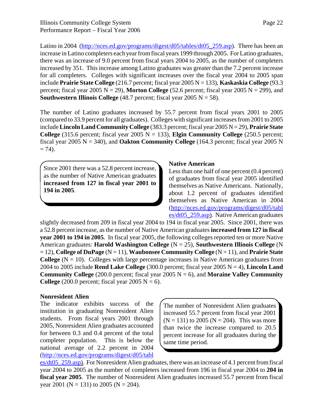Latino in 2004 (http://nces.ed.gov/programs/digest/d05/tables/dt05 259.asp). There has been an increase in Latino completers each year from fiscal years 1999 through 2005. For Latino graduates, there was an increase of 9.0 percent from fiscal years 2004 to 2005, as the number of completers increased by 351. This increase among Latino graduates was greater than the 7.2 percent increase for all completers. Colleges with significant increases over the fiscal year 2004 to 2005 span include **Prairie State College** (216.7 percent; fiscal year 2005 N = 133), **Kaskaskia College** (93.3 percent; fiscal year 2005  $N = 29$ ), **Morton College** (52.6 percent; fiscal year 2005  $N = 299$ ), and **Southwestern Illinois College** (48.7 percent; fiscal year 2005  $N = 58$ ).

The number of Latino graduates increased by 55.7 percent from fiscal years 2001 to 2005 (compared to 33.9 percent for all graduates). Colleges with significant increases from 2001 to 2005 include **Lincoln Land Community College** (383.3 percent; fiscal year 2005 N = 29), **Prairie State College** (315.6 percent; fiscal year 2005  $N = 133$ ), **Elgin Community College** (250.5 percent; fiscal year 2005  $N = 340$ ), and **Oakton Community College** (164.3 percent; fiscal year 2005 N  $= 74$ ).

Since 2001 there was a 52.8 percent increase, as the number of Native American graduates **increased from 127 in fiscal year 2001 to 194 in 2005**.

#### **Native American**

Less than one half of one percent (0.4 percent) of graduates from fiscal year 2005 identified themselves as Native Americans. Nationally, about 1.2 percent of graduates identified themselves as Native American in 2004 (http://nces.ed.gov/programs/digest/d05/tabl es/dt05\_259.asp). Native American graduates

slightly decreased from 209 in fiscal year 2004 to 194 in fiscal year 2005. Since 2001, there was a 52.8 percent increase, as the number of Native American graduates **increased from 127 in fiscal year 2001 to 194 in 2005**. In fiscal year 2005, the following colleges reported ten or more Native American graduates: **Harold Washington College** (N = 25), **Southwestern Illinois College** (N = 12), **College of DuPage** (N = 11), **Waubonsee Community College** (N = 11), and **Prairie State College**  $(N = 10)$ . Colleges with large percentage increases in Native American graduates from 2004 to 2005 include **Rend Lake College** (300.0 percent; fiscal year 2005 N = 4), **Lincoln Land Community College** (200.0 percent; fiscal year 2005  $N = 6$ ), and **Moraine Valley Community College** (200.0 percent; fiscal year 2005  $N = 6$ ).

#### **Nonresident Alien**

The indicator exhibits success of the institution in graduating Nonresident Alien students. From fiscal years 2001 through 2005, Nonresident Alien graduates accounted for between 0.3 and 0.4 percent of the total completer population. This is below the national average of 2.2 percent in 2004 (http://nces.ed.gov/programs/digest/d05/tabl

The number of Nonresident Alien graduates increased 55.7 percent from fiscal year 2001  $(N = 131)$  to 2005 (N = 204). This was more than twice the increase compared to 20.5 percent increase for all graduates during the same time period.

es/dt05\_259.asp). For Nonresident Alien graduates, there was an increase of 4.1 percent from fiscal year 2004 to 2005 as the number of completers increased from 196 in fiscal year 2004 to **204 in fiscal year 2005**. The number of Nonresident Alien graduates increased 55.7 percent from fiscal year 2001 ( $N = 131$ ) to 2005 ( $N = 204$ ).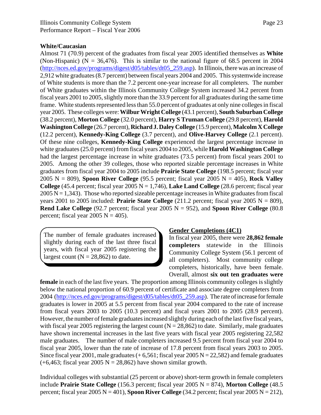#### **White/Caucasian**

Almost 71 (70.9) percent of the graduates from fiscal year 2005 identified themselves as **White** (Non-Hispanic) ( $N = 36,476$ ). This is similar to the national figure of 68.5 percent in 2004 (http://nces.ed.gov/programs/digest/d05/tables/dt05\_259.asp). In Illinois, there was an increase of 2,912 white graduates (8.7 percent) between fiscal years 2004 and 2005. This systemwide increase of White students is more than the 7.2 percent one-year increase for all completers. The number of White graduates within the Illinois Community College System increased 34.2 percent from fiscal years 2001 to 2005, slightly more than the 33.9 percent for all graduates during the same time frame. White students represented less than 55.0 percent of graduates at only nine colleges in fiscal year 2005. These colleges were: **Wilbur Wright College** (43.1 percent), **South Suburban College** (38.2 percent), **Morton College** (32.0 percent), **Harry S Truman College** (29.8 percent), **Harold Washington College** (26.7 percent), **Richard J. Daley College** (15.9 percent), **Malcolm X College** (12.2 percent), **Kennedy-King College** (3.7 percent), and **Olive-Harvey College** (2.1 percent). Of these nine colleges, **Kennedy-King College** experienced the largest percentage increase in white graduates (25.0 percent) from fiscal years 2004 to 2005, while **Harold Washington College** had the largest percentage increase in white graduates (73.5 percent) from fiscal years 2001 to 2005. Among the other 39 colleges, those who reported sizable percentage increases in White graduates from fiscal year 2004 to 2005 include **Prairie State College** (198.5 percent; fiscal year 2005 N = 809), **Spoon River College** (95.5 percent; fiscal year 2005 N = 405), **Rock Valley College** (45.4 percent; fiscal year  $2005 N = 1,746$ ), **Lake Land College** (28.6 percent; fiscal year  $2005 N = 1,343$ . Those who reported sizeable percentage increases in White graduates from fiscal years 2001 to 2005 included: **Prairie State College**  $(211.2 \text{ percent}; \text{fiscal year } 2005 \text{ N} = 809)$ , **Rend Lake College** (92.7 percent; fiscal year 2005  $N = 952$ ), and **Spoon River College** (80.8) percent; fiscal year 2005  $N = 405$ ).

The number of female graduates increased slightly during each of the last three fiscal years, with fiscal year 2005 registering the largest count  $(N = 28,862)$  to date.

#### **Gender Completions (4C1)**

In fiscal year 2005, there were **28,862 female completers** statewide in the Illinois Community College System (56.1 percent of all completers). Most community college completers, historically, have been female. Overall, almost **six out ten graduates were**

**female** in each of the last five years. The proportion among Illinois community colleges is slightly below the national proportion of 60.9 percent of certificate and associate degree completers from 2004 (http://nces.ed.gov/programs/digest/d05/tables/dt05\_259.asp). The rate of increase for female graduates is lower in 2005 at 5.5 percent from fiscal year 2004 compared to the rate of increase from fiscal years 2003 to 2005 (10.3 percent) and fiscal years 2001 to 2005 (28.9 percent). However, the number of female graduates increased slightly during each of the last five fiscal years, with fiscal year 2005 registering the largest count ( $N = 28,862$ ) to date. Similarly, male graduates have shown incremental increases in the last five years with fiscal year 2005 registering 22,582 male graduates. The number of male completers increased 9.5 percent from fiscal year 2004 to fiscal year 2005, lower than the rate of increase of 17.8 percent from fiscal years 2003 to 2005. Since fiscal year 2001, male graduates  $(+6,561;$  fiscal year 2005 N = 22,582) and female graduates  $(+6,463;$  fiscal year 2005 N = 28,862) have shown similar growth.

Individual colleges with substantial (25 percent or above) short-term growth in female completers include **Prairie State College** (156.3 percent; fiscal year 2005 N = 874), **Morton College** (48.5 percent; fiscal year  $2005 \text{ N} = 401$ ), **Spoon River College** (34.2 percent; fiscal year  $2005 \text{ N} = 212$ ),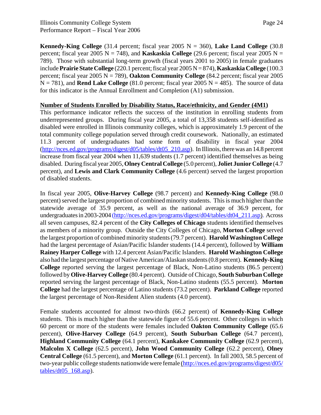**Kennedy-King College** (31.4 percent; fiscal year 2005  $N = 360$ ), **Lake Land College** (30.8) percent; fiscal year 2005  $N = 748$ ), and **Kaskaskia College** (29.6 percent; fiscal year 2005  $N =$ 789). Those with substantial long-term growth (fiscal years 2001 to 2005) in female graduates include **Prairie State College** (220.1 percent; fiscal year 2005 N = 874), **Kaskaskia College** (100.3 percent; fiscal year 2005 N = 789), **Oakton Community College** (84.2 percent; fiscal year 2005  $N = 781$ ), and **Rend Lake College** (81.0 percent; fiscal year 2005  $N = 485$ ). The source of data for this indicator is the Annual Enrollment and Completion (A1) submission.

#### **Number of Students Enrolled by Disability Status, Race/ethnicity, and Gender (4M1)**

This performance indicator reflects the success of the institution in enrolling students from underrepresented groups. During fiscal year 2005, a total of 13,358 students self-identified as disabled were enrolled in Illinois community colleges, which is approximately 1.9 percent of the total community college population served through credit coursework. Nationally, an estimated 11.3 percent of undergraduates had some form of disability in fiscal year 2004 (http://nces.ed.gov/programs/digest/d05/tables/dt05\_210.asp). In Illinois, there was an 14.8 percent increase from fiscal year 2004 when 11,639 students (1.7 percent) identified themselves as being disabled. During fiscal year 2005, **Olney Central College** (5.0 percent), **Joliet Junior College** (4.7 percent), and **Lewis and Clark Community College** (4.6 percent) served the largest proportion of disabled students.

In fiscal year 2005, **Olive-Harvey College** (98.7 percent) and **Kennedy-King College** (98.0 percent) served the largest proportion of combined minority students. This is much higher than the statewide average of 35.9 percent, as well as the national average of 36.9 percent, for undergraduates in 2003-2004 (http://nces.ed.gov/programs/digest/d04/tables/dt04\_211.asp). Across all seven campuses, 82.4 percent of the **City Colleges of Chicago** students identified themselves as members of a minority group. Outside the City Colleges of Chicago, **Morton College** served the largest proportion of combined minority students (79.7 percent). **Harold Washington College** had the largest percentage of Asian/Pacific Islander students (14.4 percent), followed by **William Rainey Harper College** with 12.4 percent Asian/Pacific Islanders. **Harold Washington College** also had the largest percentage of Native American/Alaskan students (0.8 percent). **Kennedy-King College** reported serving the largest percentage of Black, Non-Latino students (86.5 percent) followed by **Olive-Harvey College** (80.4 percent). Outside of Chicago, **South Suburban College** reported serving the largest percentage of Black, Non-Latino students (55.5 percent). **Morton College** had the largest percentage of Latino students (73.2 percent). **Parkland College** reported the largest percentage of Non-Resident Alien students (4.0 percent).

Female students accounted for almost two-thirds (66.2 percent) of **Kennedy-King College** students. This is much higher than the statewide figure of 55.6 percent. Other colleges in which 60 percent or more of the students were females included **Oakton Community College** (65.6 percent), **Olive-Harvey College** (64.9 percent), **South Suburban College** (64.7 percent), **Highland Community College** (64.1 percent), **Kankakee Community College** (62.9 percent), **Malcolm X College** (62.5 percent), **John Wood Community College** (62.2 percent), **Olney Central College** (61.5 percent), and **Morton College** (61.1 percent). In fall 2003, 58.5 percent of two-year public college students nationwide were female (http://nces.ed.gov/programs/digest/d05/  $tables/dt05$  168.asp).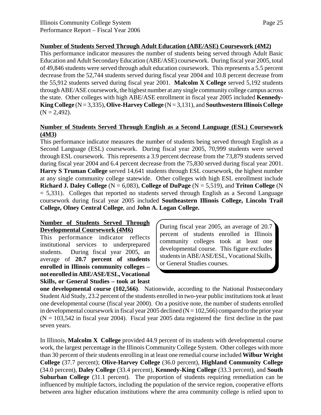#### **Number of Students Served Through Adult Education (ABE/ASE) Coursework (4M2)**

This performance indicator measures the number of students being served through Adult Basic Education and Adult Secondary Education (ABE/ASE) coursework. During fiscal year 2005, total of 49,846 students were served through adult education coursework. This represents a 5.5 percent decrease from the 52,744 students served during fiscal year 2004 and 10.8 percent decrease from the 55,912 students served during fiscal year 2001. **Malcolm X College** served 5,192 students through ABE/ASE coursework, the highest number at any single community college campus across the state. Other colleges with high ABE/ASE enrollment in fiscal year 2005 included **Kennedy-King College** (N = 3,335), **Olive-Harvey College** (N = 3,131), and **Southwestern Illinois College**  $(N = 2,492)$ .

#### **Number of Students Served Through English as a Second Language (ESL) Coursework (4M3)**

This performance indicator measures the number of students being served through English as a Second Language (ESL) coursework. During fiscal year 2005, 70,999 students were served through ESL coursework. This represents a 3.9 percent decrease from the 73,879 students served during fiscal year 2004 and 6.4 percent decrease from the 75,830 served during fiscal year 2001. **Harry S Truman College** served 14,641 students through ESL coursework, the highest number at any single community college statewide. Other colleges with high ESL enrollment include **Richard J. Daley College** (N = 6,083), **College of DuPage** (N = 5,519), and **Triton College** (N  $= 5,331$ ). Colleges that reported no students served through English as a Second Language coursework during fiscal year 2005 included **Southeastern Illinois College, Lincoln Trail College, Olney Central College**, and **John A. Logan College.** 

#### **Number of Students Served Through Developmental Coursework (4M6)**

This performance indicator reflects institutional services to underprepared students. During fiscal year 2005, an average of **20.7 percent of students enrolled in Illinois community colleges – not enrolled in ABE/ASE/ESL, Vocational Skills, or General Studies – took at least**

During fiscal year 2005, an average of 20.7 percent of students enrolled in Illinois community colleges took at least one developmental course. This figure excludes students in ABE/ASE/ESL, Vocational Skills, or General Studies courses.

**one developmental course (102,566)**. Nationwide, according to the National Postsecondary Student Aid Study, 23.2 percent of the students enrolled in two-year public institutions took at least one developmental course (fiscal year 2000). On a positive note, the number of students enrolled in developmental coursework in fiscal year 2005 declined ( $N = 102,566$ ) compared to the prior year  $(N = 103,542)$  in fiscal year 2004). Fiscal year 2005 data registered the first decline in the past seven years.

In Illinois, **Malcolm X College** provided 44.9 percent of its students with developmental course work, the largest percentage in the Illinois Community College System. Other colleges with more than 30 percent of their students enrolling in at least one remedial course included **Wilbur Wright College** (37.7 percent); **Olive-Harvey College** (36.0 percent), **Highland Community College** (34.0 percent), **Daley College** (33.4 percent), **Kennedy-King College** (33.3 percent), and **South Suburban College** (31.1 percent). The proportion of students requiring remediation can be influenced by multiple factors, including the population of the service region, cooperative efforts between area higher education institutions where the area community college is relied upon to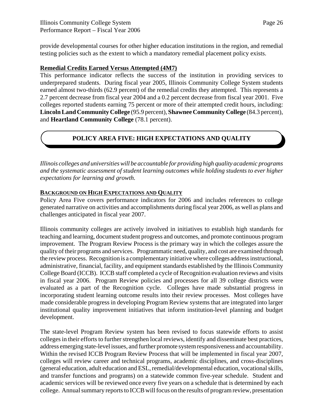provide developmental courses for other higher education institutions in the region, and remedial testing policies such as the extent to which a mandatory remedial placement policy exists.

#### **Remedial Credits Earned Versus Attempted (4M7)**

This performance indicator reflects the success of the institution in providing services to underprepared students. During fiscal year 2005, Illinois Community College System students earned almost two-thirds (62.9 percent) of the remedial credits they attempted. This represents a 2.7 percent decrease from fiscal year 2004 and a 0.2 percent decrease from fiscal year 2001. Five colleges reported students earning 75 percent or more of their attempted credit hours, including: **Lincoln Land Community College** (95.9 percent), **Shawnee Community College** (84.3 percent), and **Heartland Community College** (78.1 percent).

#### **POLICY AREA FIVE: HIGH EXPECTATIONS AND QUALITY**

*Illinois colleges and universities will be accountable for providing high quality academic programs and the systematic assessment of student learning outcomes while holding students to ever higher expectations for learning and growth.*

#### **BACKGROUND ON HIGH EXPECTATIONS AND QUALITY**

Policy Area Five covers performance indicators for 2006 and includes references to college generated narrative on activities and accomplishments during fiscal year 2006, as well as plans and challenges anticipated in fiscal year 2007.

Illinois community colleges are actively involved in initiatives to establish high standards for teaching and learning, document student progress and outcomes, and promote continuous program improvement. The Program Review Process is the primary way in which the colleges assure the quality of their programs and services. Programmatic need, quality, and cost are examined through the review process. Recognition is a complementary initiative where colleges address instructional, administrative, financial, facility, and equipment standards established by the Illinois Community College Board (ICCB). ICCB staff completed a cycle of Recognition evaluation reviews and visits in fiscal year 2006. Program Review policies and processes for all 39 college districts were evaluated as a part of the Recognition cycle. Colleges have made substantial progress in incorporating student learning outcome results into their review processes. Most colleges have made considerable progress in developing Program Review systems that are integrated into larger institutional quality improvement initiatives that inform institution-level planning and budget development.

The state-level Program Review system has been revised to focus statewide efforts to assist colleges in their efforts to further strengthen local reviews, identify and disseminate best practices, address emerging state-level issues, and further promote system responsiveness and accountability. Within the revised ICCB Program Review Process that will be implemented in fiscal year 2007, colleges will review career and technical programs, academic disciplines, and cross-disciplines (general education, adult education and ESL, remedial/developmental education, vocational skills, and transfer functions and programs) on a statewide common five-year schedule. Student and academic services will be reviewed once every five years on a schedule that is determined by each college. Annual summary reports to ICCB will focus on the results of program review, presentation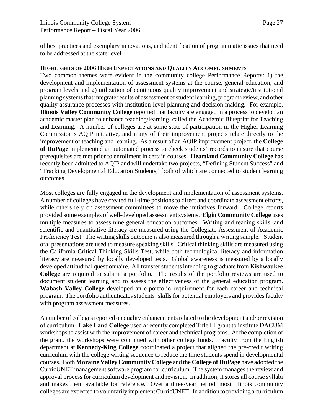of best practices and exemplary innovations, and identification of programmatic issues that need to be addressed at the state level.

#### **HIGHLIGHTS OF 2006 HIGH EXPECTATIONS AND QUALITY ACCOMPLISHMENTS**

Two common themes were evident in the community college Performance Reports: 1) the development and implementation of assessment systems at the course, general education, and program levels and 2) utilization of continuous quality improvement and strategic/institutional planning systems that integrate results of assessment of student learning, program review, and other quality assurance processes with institution-level planning and decision making. For example, **Illinois Valley Community College** reported that faculty are engaged in a process to develop an academic master plan to enhance teaching/learning, called the Academic Blueprint for Teaching and Learning. A number of colleges are at some state of participation in the Higher Learning Commission's AQIP initiative, and many of their improvement projects relate directly to the improvement of teaching and learning. As a result of an AQIP improvement project, the **College of DuPage** implemented an automated process to check students' records to ensure that course prerequisites are met prior to enrollment in certain courses. **Heartland Community College** has recently been admitted to AQIP and will undertake two projects, "Defining Student Success" and "Tracking Developmental Education Students," both of which are connected to student learning outcomes.

Most colleges are fully engaged in the development and implementation of assessment systems. A number of colleges have created full-time positions to direct and coordinate assessment efforts, while others rely on assessment committees to move the initiatives forward. College reports provided some examples of well-developed assessment systems. **Elgin Community College** uses multiple measures to assess nine general education outcomes. Writing and reading skills, and scientific and quantitative literacy are measured using the Collegiate Assessment of Academic Proficiency Test. The writing skills outcome is also measured through a writing sample. Student oral presentations are used to measure speaking skills. Critical thinking skills are measured using the California Critical Thinking Skills Test, while both technological literacy and information literacy are measured by locally developed tests. Global awareness is measured by a locally developed attitudinal questionnaire. All transfer students intending to graduate from **Kishwaukee College** are required to submit a portfolio. The results of the portfolio reviews are used to document student learning and to assess the effectiveness of the general education program. **Wabash Valley College** developed an e-portfolio requirement for each career and technical program. The portfolio authenticates students' skills for potential employers and provides faculty with program assessment measures.

A number of colleges reported on quality enhancements related to the development and/or revision of curriculum. **Lake Land College** used a recently completed Title III grant to institute DACUM workshops to assist with the improvement of career and technical programs. At the completion of the grant, the workshops were continued with other college funds. Faculty from the English department at **Kennedy-King College** coordinated a project that aligned the pre-credit writing curriculum with the college writing sequence to reduce the time students spend in developmental courses. Both **Moraine Valley Community College** and the **College of DuPage** have adopted the CurricUNET management software program for curriculum. The system manages the review and approval process for curriculum development and revision. In addition, it stores all course syllabi and makes them available for reference. Over a three-year period, most Illinois community colleges are expected to voluntarily implement CurricUNET. In addition to providing a curriculum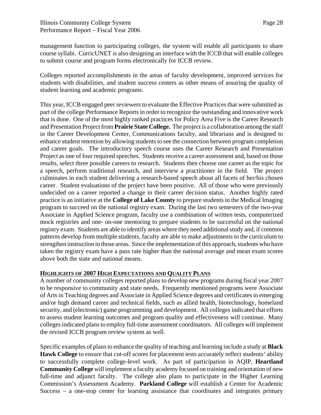management function to participating colleges, the system will enable all participants to share course syllabi. CurricUNET is also designing an interface with the ICCB that will enable colleges to submit course and program forms electronically for ICCB review.

Colleges reported accomplishments in the areas of faculty development, improved services for students with disabilities, and student success centers as other means of assuring the quality of student learning and academic programs.

This year, ICCB engaged peer reviewers to evaluate the Effective Practices that were submitted as part of the college Performance Reports in order to recognize the outstanding and innovative work that is done. One of the most highly ranked practices for Policy Area Five is the Career Research and Presentation Project from **Prairie State College.** The project is a collaboration among the staff in the Career Development Center, Communications faculty, and librarians and is designed to enhance student retention by allowing students to see the connection between program completion and career goals. The introductory speech course uses the Career Research and Presentation Project as one of four required speeches. Students receive a career assessment and, based on those results, select three possible careers to research. Students then choose one career as the topic for a speech, perform traditional research, and interview a practitioner in the field. The project culminates in each student delivering a research-based speech about all facets of her/his chosen career. Student evaluations of the project have been positive. All of those who were previously undecided on a career reported a change in their career decision status. Another highly rated practice is an initiative at the **College of Lake County** to prepare students in the Medical Imaging program to succeed on the national registry exam. During the last two semesters of the two-year Associate in Applied Science program, faculty use a combination of written tests, computerized mock registries and one- on-one mentoring to prepare students to be successful on the national registry exam. Students are able to identify areas where they need additional study and, if common patterns develop from multiple students, faculty are able to make adjustments to the curriculum to strengthen instruction in those areas. Since the implementation of this approach, students who have taken the registry exam have a pass rate higher than the national average and mean exam scores above both the state and national means.

#### **HIGHLIGHTS OF 2007 HIGH EXPECTATIONS AND QUALITY PLANS**

A number of community colleges reported plans to develop new programs during fiscal year 2007 to be responsive to community and state needs. Frequently mentioned programs were Associate of Arts in Teaching degrees and Associate in Applied Science degrees and certificates in emerging and/or high demand career and technical fields, such as allied health, biotechnology, homeland security, and (electronic) game programming and development. All colleges indicated that efforts to assess student learning outcomes and program quality and effectiveness will continue. Many colleges indicated plans to employ full-time assessment coordinators. All colleges will implement the revised ICCB program review system as well.

Specific examples of plans to enhance the quality of teaching and learning include a study at **Black Hawk College** to ensure that cut-off scores for placement tests accurately reflect students' ability to successfully complete college-level work. As part of participation in AQIP, **Heartland Community College** will implement a faculty academy focused on training and orientation of new full-time and adjunct faculty. The college also plans to participate in the Higher Learning Commission's Assessment Academy. **Parkland College** will establish a Center for Academic Success – a one-stop center for learning assistance that coordinates and integrates primary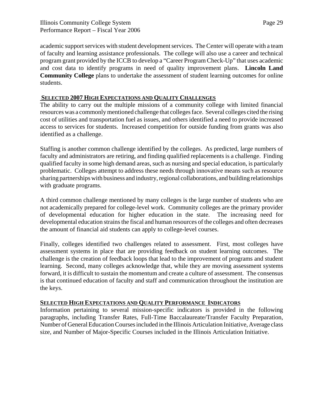academic support services with student development services. The Center will operate with a team of faculty and learning assistance professionals. The college will also use a career and technical program grant provided by the ICCB to develop a "Career Program Check-Up" that uses academic and cost data to identify programs in need of quality improvement plans. **Lincoln Land Community College** plans to undertake the assessment of student learning outcomes for online students.

#### **SELECTED 2007 HIGH EXPECTATIONS AND QUALITY CHALLENGES**

The ability to carry out the multiple missions of a community college with limited financial resources was a commonly mentioned challenge that colleges face. Several colleges cited the rising cost of utilities and transportation fuel as issues, and others identified a need to provide increased access to services for students. Increased competition for outside funding from grants was also identified as a challenge.

Staffing is another common challenge identified by the colleges. As predicted, large numbers of faculty and administrators are retiring, and finding qualified replacements is a challenge. Finding qualified faculty in some high demand areas, such as nursing and special education, is particularly problematic. Colleges attempt to address these needs through innovative means such as resource sharing partnerships with business and industry, regional collaborations, and building relationships with graduate programs.

A third common challenge mentioned by many colleges is the large number of students who are not academically prepared for college-level work. Community colleges are the primary provider of developmental education for higher education in the state. The increasing need for developmental education strains the fiscal and human resources of the colleges and often decreases the amount of financial aid students can apply to college-level courses.

Finally, colleges identified two challenges related to assessment. First, most colleges have assessment systems in place that are providing feedback on student learning outcomes. The challenge is the creation of feedback loops that lead to the improvement of programs and student learning. Second, many colleges acknowledge that, while they are moving assessment systems forward, it is difficult to sustain the momentum and create a culture of assessment. The consensus is that continued education of faculty and staff and communication throughout the institution are the keys.

#### **SELECTED HIGH EXPECTATIONS AND QUALITY PERFORMANCE INDICATORS**

Information pertaining to several mission-specific indicators is provided in the following paragraphs, including Transfer Rates, Full-Time Baccalaureate/Transfer Faculty Preparation, Number of General Education Courses included in the Illinois Articulation Initiative, Average class size, and Number of Major-Specific Courses included in the Illinois Articulation Initiative.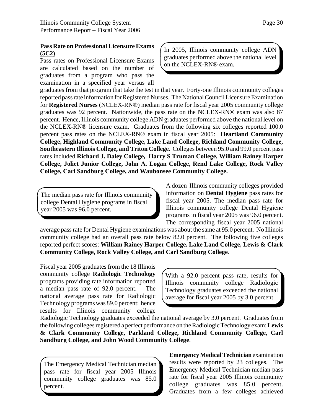#### **Pass Rate on Professional Licensure Exams (5C2)**

Pass rates on Professional Licensure Exams are calculated based on the number of graduates from a program who pass the examination in a specified year versus all In 2005, Illinois community college ADN graduates performed above the national level on the NCLEX-RN® exam.

graduates from that program that take the test in that year. Forty-one Illinois community colleges reported pass rate information for Registered Nurses. The National Council Licensure Examination for **Registered Nurses** (NCLEX-RN®) median pass rate for fiscal year 2005 community college graduates was 92 percent. Nationwide, the pass rate on the NCLEX-RN® exam was also 87 percent. Hence, Illinois community college ADN graduates performed above the national level on the NCLEX-RN® licensure exam. Graduates from the following six colleges reported 100.0 percent pass rates on the NCLEX-RN® exam in fiscal year 2005: **Heartland Community College, Highland Community College, Lake Land College, Richland Community College, Southeastern Illinois College, and Triton College**. Colleges between 95.0 and 99.0 percent pass rates included **Richard J. Daley College, Harry S Truman College, William Rainey Harper College, Joliet Junior College, John A. Logan College, Rend Lake College, Rock Valley College, Carl Sandburg College, and Waubonsee Community College.**

The median pass rate for Illinois community college Dental Hygiene programs in fiscal year 2005 was 96.0 percent.

A dozen Illinois community colleges provided information on **Dental Hygiene** pass rates for fiscal year 2005. The median pass rate for Illinois community college Dental Hygiene programs in fiscal year 2005 was 96.0 percent. The corresponding fiscal year 2005 national

average pass rate for Dental Hygiene examinations was about the same at 95.0 percent. No Illinois community college had an overall pass rate below 82.0 percent. The following five colleges reported perfect scores: **William Rainey Harper College, Lake Land College, Lewis & Clark Community College, Rock Valley College, and Carl Sandburg College**.

Fiscal year 2005 graduates from the 18 Illinois community college **Radiologic Technology** programs providing rate information reported a median pass rate of 92.0 percent. The national average pass rate for Radiologic Technology programs was 89.0 percent; hence results for Illinois community college

With a 92.0 percent pass rate, results for Illinois community college Radiologic Technology graduates exceeded the national average for fiscal year 2005 by 3.0 percent.

Radiologic Technology graduates exceeded the national average by 3.0 percent. Graduates from the following colleges registered a perfect performance on the Radiologic Technology exam: **Lewis & Clark Community College, Parkland College, Richland Community College, Carl Sandburg College, and John Wood Community College**.

The Emergency Medical Technician median pass rate for fiscal year 2005 Illinois community college graduates was 85.0 percent.

**Emergency Medical Technician** examination results were reported by 23 colleges. The Emergency Medical Technician median pass rate for fiscal year 2005 Illinois community college graduates was 85.0 percent. Graduates from a few colleges achieved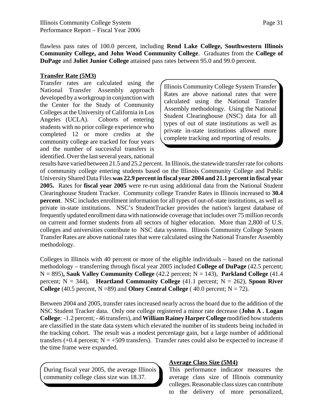flawless pass rates of 100.0 percent, including **Rend Lake College, Southwestern Illinois Community College, and John Wood Community College**. Graduates from the **College of DuPage** and **Joliet Junior College** attained pass rates between 95.0 and 99.0 percent.

#### **Transfer Rate (5M3)**

Transfer rates are calculated using the National Transfer Assembly approach developed by a workgroup in conjunction with the Center for the Study of Community Colleges at the University of California in Los Angeles (UCLA). Cohorts of entering students with no prior college experience who completed 12 or more credits at the community college are tracked for four years and the number of successful transfers is identified. Over the last several years, national

Illinois Community College System Transfer Rates are above national rates that were calculated using the National Transfer Assembly methodology. Using the National Student Clearinghouse (NSC) data for all types of out of state institutions as well as private in-state institutions allowed more complete tracking and reporting of results.

results have varied between 21.5 and 25.2 percent. In Illinois, the statewide transfer rate for cohorts of community college entering students based on the Illinois Community College and Public University Shared Data Files **was 22.9 percent in fiscal year 2004 and 21.1 percent in fiscal year 2005.** Rates for **fiscal year 2005** were re-run using additional data from the National Student Clearinghouse Student Tracker. Community college Transfer Rates in Illinois increased to **30.4 percent**. NSC includes enrollment information for all types of out-of-state institutions, as well as private in-state institutions. NSC's StudentTracker provides the nation's largest database of frequently updated enrollment data with nationwide coverage that includes over 75 million records on current and former students from all sectors of higher education. More than 2,800 of U.S. colleges and universities contribute to NSC data systems. Illinois Community College System Transfer Rates are above national rates that were calculated using the National Transfer Assembly methodology.

Colleges in Illinois with 40 percent or more of the eligible individuals – based on the national methodology – transferring through fiscal year 2005 included **College of DuPage** (42.5 percent;  $N = 895$ ), Sauk Valley Community College  $(42.2 \text{ percent}; N = 143)$ , Parkland College  $(41.4 \text{ m})$ percent;  $N = 344$ ), **Heartland Community College** (41.1 percent;  $N = 262$ ), **Spoon River College** (40.5 percent,  $N = 89$ ) and **Olney Central College** (40.0 percent;  $N = 72$ ).

Between 2004 and 2005, transfer rates increased nearly across the board due to the addition of the NSC Student Tracker data. Only one college registered a minor rate decrease (**John A . Logan College**: -1.2 percent; - 46 transfers), and **William Rainey Harper College** modified how students are classified in the state data system which elevated the number of its students being included in the tracking cohort. The result was a modest percentage gain, but a large number of additional transfers  $(+0.4$  percent; N =  $+509$  transfers). Transfer rates could also be expected to increase if the time frame were expanded.

During fiscal year 2005, the average Illinois community college class size was 18.37.

#### **Average Class Size (5M4)**

This performance indicator measures the average class size of Illinois community colleges. Reasonable class sizes can contribute to the delivery of more personalized,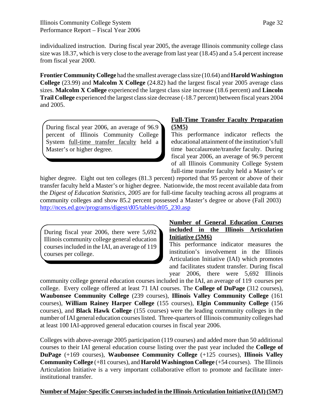Page 32

individualized instruction. During fiscal year 2005, the average Illinois community college class size was 18.37, which is very close to the average from last year (18.45) and a 5.4 percent increase from fiscal year 2000.

**Frontier Community College** had the smallest average class size (10.64) and **Harold Washington College** (23.99) and **Malcolm X College** (24.82) had the largest fiscal year 2005 average class sizes. **Malcolm X College** experienced the largest class size increase (18.6 percent) and **Lincoln Trail College** experienced the largest class size decrease (-18.7 percent) between fiscal years 2004 and 2005.

During fiscal year 2006, an average of 96.9 percent of Illinois Community College System full-time transfer faculty held a Master's or higher degree.

#### **Full-Time Transfer Faculty Preparation (5M5)**

This performance indicator reflects the educational attainment of the institution's full time baccalaureate/transfer faculty. During fiscal year 2006, an average of 96.9 percent of all Illinois Community College System full-time transfer faculty held a Master's or

higher degree. Eight out ten colleges (81.3 percent) reported that 95 percent or above of their transfer faculty held a Master's or higher degree. Nationwide, the most recent available data from the *Digest of Education Statistics, 2005* are for full-time faculty teaching across all programs at community colleges and show 85.2 percent possessed a Master's degree or above (Fall 2003) http://nces.ed.gov/programs/digest/d05/tables/dt05\_230.asp

During fiscal year 2006, there were 5,692 Illinois community college general education courses included in the IAI, an average of 119 courses per college.

#### **Number of General Education Courses included in the Illinois Articulation Initiative (5M6)**

This performance indicator measures the institution's involvement in the Illinois Articulation Initiative (IAI) which promotes and facilitates student transfer. During fiscal year 2006, there were 5,692 Illinois

community college general education courses included in the IAI, an average of 119 courses per college. Every college offered at least 71 IAI courses. The **College of DuPage** (312 courses), **Waubonsee Community College** (239 courses), **Illinois Valley Community College** (161 courses), **William Rainey Harper College** (155 courses), **Elgin Community College** (156 courses), and **Black Hawk College** (155 courses) were the leading community colleges in the number of IAI general education courses listed. Three-quarters of Illinois community colleges had at least 100 IAI-approved general education courses in fiscal year 2006.

Colleges with above-average 2005 participation (119 courses) and added more than 50 additional courses to their IAI general education course listing over the past year included the **College of DuPage** (+169 courses), **Waubonsee Community College** (+125 courses), **Illinois Valley Community College** (+81 courses), and **Harold Washington College** (+54 courses). The Illinois Articulation Initiative is a very important collaborative effort to promote and facilitate interinstitutional transfer.

#### **Number of Major-Specific Courses included in the Illinois Articulation Initiative (IAI) (5M7)**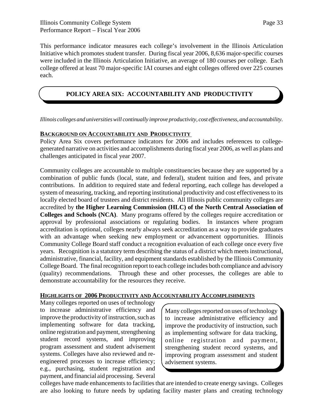This performance indicator measures each college's involvement in the Illinois Articulation Initiative which promotes student transfer. During fiscal year 2006, 8,636 major-specific courses were included in the Illinois Articulation Initiative, an average of 180 courses per college. Each college offered at least 70 major-specific IAI courses and eight colleges offered over 225 courses each.

#### **POLICY AREA SIX: ACCOUNTABILITY AND PRODUCTIVITY**

*Illinois colleges and universities will continually improve productivity, cost effectiveness, and accountability.*

#### **BACKGROUND ON ACCOUNTABILITY AND PRODUCTIVITY**

Policy Area Six covers performance indicators for 2006 and includes references to collegegenerated narrative on activities and accomplishments during fiscal year 2006, as well as plans and challenges anticipated in fiscal year 2007.

Community colleges are accountable to multiple constituencies because they are supported by a combination of public funds (local, state, and federal), student tuition and fees, and private contributions. In addition to required state and federal reporting, each college has developed a system of measuring, tracking, and reporting institutional productivity and cost effectiveness to its locally elected board of trustees and district residents. All Illinois public community colleges are accredited by **the Higher Learning Commission (HLC) of the North Central Association of Colleges and Schools (NCA)**. Many programs offered by the colleges require accreditation or approval by professional associations or regulating bodies. In instances where program accreditation is optional, colleges nearly always seek accreditation as a way to provide graduates with an advantage when seeking new employment or advancement opportunities. Illinois Community College Board staff conduct a recognition evaluation of each college once every five years. Recognition is a statutory term describing the status of a district which meets instructional, administrative, financial, facility, and equipment standards established by the Illinois Community College Board. The final recognition report to each college includes both compliance and advisory (quality) recommendations. Through these and other processes, the colleges are able to demonstrate accountability for the resources they receive.

#### **HIGHLIGHTS OF 2006 PRODUCTIVITY AND ACCOUNTABILITY ACCOMPLISHMENTS**

Many colleges reported on uses of technology to increase administrative efficiency and improve the productivity of instruction, such as implementing software for data tracking, online registration and payment, strengthening student record systems, and improving program assessment and student advisement systems. Colleges have also reviewed and reengineered processes to increase efficiency; e.g., purchasing, student registration and payment, and financial aid processing. Several

Many colleges reported on uses of technology to increase administrative efficiency and improve the productivity of instruction, such as implementing software for data tracking, online registration and payment, strengthening student record systems, and improving program assessment and student advisement systems.

colleges have made enhancements to facilities that are intended to create energy savings. Colleges are also looking to future needs by updating facility master plans and creating technology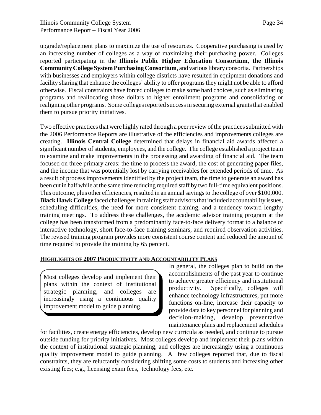upgrade/replacement plans to maximize the use of resources. Cooperative purchasing is used by an increasing number of colleges as a way of maximizing their purchasing power. Colleges reported participating in the **Illinois Public Higher Education Consortium, the Illinois Community College System Purchasing Consortium**, and various library consortia. Partnerships with businesses and employers within college districts have resulted in equipment donations and facility sharing that enhance the colleges' ability to offer programs they might not be able to afford otherwise. Fiscal constraints have forced colleges to make some hard choices, such as eliminating

programs and reallocating those dollars to higher enrollment programs and consolidating or realigning other programs. Some colleges reported success in securing external grants that enabled them to pursue priority initiatives. Two effective practices that were highly rated through a peer review of the practices submitted with

the 2006 Performance Reports are illustrative of the efficiencies and improvements colleges are creating. **Illinois Central College** determined that delays in financial aid awards affected a significant number of students, employees, and the college. The college established a project team to examine and make improvements in the processing and awarding of financial aid. The team focused on three primary areas: the time to process the award, the cost of generating paper files, and the income that was potentially lost by carrying receivables for extended periods of time. As a result of process improvements identified by the project team, the time to generate an award has been cut in half while at the same time reducing required staff by two full-time equivalent positions. This outcome, plus other efficiencies, resulted in an annual savings to the college of over \$100,000. **Black Hawk College** faced challenges in training staff advisors that included accountability issues, scheduling difficulties, the need for more consistent training, and a tendency toward lengthy training meetings. To address these challenges, the academic advisor training program at the college has been transformed from a predominantly face-to-face delivery format to a balance of interactive technology, short face-to-face training seminars, and required observation activities. The revised training program provides more consistent course content and reduced the amount of time required to provide the training by 65 percent.

#### **HIGHLIGHTS OF 2007 PRODUCTIVITY AND ACCOUNTABILITY PLANS**

Most colleges develop and implement their plans within the context of institutional strategic planning, and colleges are increasingly using a continuous quality improvement model to guide planning.

In general, the colleges plan to build on the accomplishments of the past year to continue to achieve greater efficiency and institutional productivity. Specifically, colleges will enhance technology infrastructures, put more functions on-line, increase their capacity to provide data to key personnel for planning and decision-making, develop preventative maintenance plans and replacement schedules

for facilities, create energy efficiencies, develop new curricula as needed, and continue to pursue outside funding for priority initiatives. Most colleges develop and implement their plans within the context of institutional strategic planning, and colleges are increasingly using a continuous quality improvement model to guide planning. A few colleges reported that, due to fiscal constraints, they are reluctantly considering shifting some costs to students and increasing other existing fees; e.g., licensing exam fees, technology fees, etc.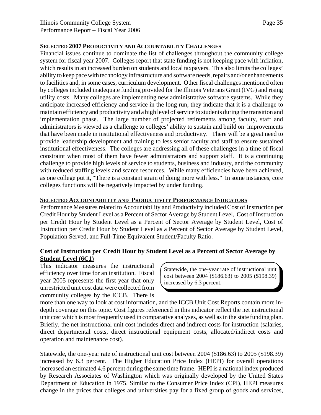#### **SELECTED 2007 PRODUCTIVITY AND ACCOUNTABILITY CHALLENGES**

Financial issues continue to dominate the list of challenges throughout the community college system for fiscal year 2007. Colleges report that state funding is not keeping pace with inflation, which results in an increased burden on students and local taxpayers. This also limits the colleges' ability to keep pace with technology infrastructure and software needs, repairs and/or enhancements to facilities and, in some cases, curriculum development. Other fiscal challenges mentioned often by colleges included inadequate funding provided for the Illinois Veterans Grant (IVG) and rising utility costs. Many colleges are implementing new administrative software systems. While they anticipate increased efficiency and service in the long run, they indicate that it is a challenge to maintain efficiency and productivity and a high level of service to students during the transition and implementation phase. The large number of projected retirements among faculty, staff and administrators is viewed as a challenge to colleges' ability to sustain and build on improvements that have been made in institutional effectiveness and productivity. There will be a great need to provide leadership development and training to less senior faculty and staff to ensure sustained institutional effectiveness. The colleges are addressing all of these challenges in a time of fiscal constraint when most of them have fewer administrators and support staff. It is a continuing challenge to provide high levels of service to students, business and industry, and the community with reduced staffing levels and scarce resources. While many efficiencies have been achieved, as one college put it, "There is a constant strain of doing more with less." In some instances, core colleges functions will be negatively impacted by under funding.

# **SELECTED ACCOUNTABILITY AND PRODUCTIVITY PERFORMANCE INDICATORS**

Performance Measures related to Accountability and Productivity included Cost of Instruction per Credit Hour by Student Level as a Percent of Sector Average by Student Level, Cost of Instruction per Credit Hour by Student Level as a Percent of Sector Average by Student Level, Cost of Instruction per Credit Hour by Student Level as a Percent of Sector Average by Student Level, Population Served, and Full-Time Equivalent Student/Faculty Ratio.

# **Cost of Instruction per Credit Hour by Student Level as a Percent of Sector Average by Student Level (6C1)**

This indicator measures the instructional efficiency over time for an institution. Fiscal year 2005 represents the first year that only unrestricted unit cost data were collected from community colleges by the ICCB. There is

Statewide, the one-year rate of instructional unit cost between 2004 (\$186.63) to 2005 (\$198.39) increased by 6.3 percent.

more than one way to look at cost information, and the ICCB Unit Cost Reports contain more indepth coverage on this topic. Cost figures referenced in this indicator reflect the net instructional unit cost which is most frequently used in comparative analyses, as well as in the state funding plan. Briefly, the net instructional unit cost includes direct and indirect costs for instruction (salaries, direct departmental costs, direct instructional equipment costs, allocated/indirect costs and operation and maintenance cost).

Statewide, the one-year rate of instructional unit cost between 2004 (\$186.63) to 2005 (\$198.39) increased by 6.3 percent. The Higher Education Price Index (HEPI) for overall operations increased an estimated 4.6 percent during the same time frame. HEPI is a national index produced by Research Associates of Washington which was originally developed by the United States Department of Education in 1975. Similar to the Consumer Price Index (CPI), HEPI measures change in the prices that colleges and universities pay for a fixed group of goods and services,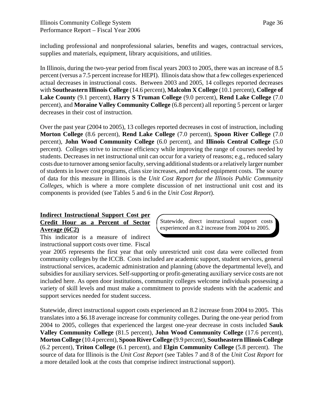including professional and nonprofessional salaries, benefits and wages, contractual services, supplies and materials, equipment, library acquisitions, and utilities.

In Illinois, during the two-year period from fiscal years 2003 to 2005, there was an increase of 8.5 percent (versus a 7.5 percent increase for HEPI). Illinois data show that a few colleges experienced actual decreases in instructional costs. Between 2003 and 2005, 14 colleges reported decreases with **Southeastern Illinois College** (14.6 percent), **Malcolm X College** (10.1 percent), **College of Lake County** (9.1 percent), **Harry S Truman College** (9.0 percent), **Rend Lake College** (7.0 percent), and **Moraine Valley Community College** (6.8 percent) all reporting 5 percent or larger decreases in their cost of instruction.

Over the past year (2004 to 2005), 13 colleges reported decreases in cost of instruction, including **Morton College** (8.6 percent), **Rend Lake College** (7.0 percent), **Spoon River College** (7.0 percent), **John Wood Community College** (6.0 percent), and **Illinois Central College** (5.0 percent). Colleges strive to increase efficiency while improving the range of courses needed by students. Decreases in net instructional unit can occur for a variety of reasons; e.g., reduced salary costs due to turnover among senior faculty, serving additional students or a relatively larger number of students in lower cost programs, class size increases, and reduced equipment costs. The source of data for this measure in Illinois is the *Unit Cost Report for the Illinois Public Community Colleges*, which is where a more complete discussion of net instructional unit cost and its components is provided (see Tables 5 and 6 in the *Unit Cost Report*).

# **Indirect Instructional Support Cost per Credit Hour as a Percent of Sector Average (6C2)**

Statewide, direct instructional support costs experienced an 8.2 increase from 2004 to 2005.

This indicator is a measure of indirect instructional support costs over time. Fiscal

year 2005 represents the first year that only unrestricted unit cost data were collected from community colleges by the ICCB. Costs included are academic support, student services, general instructional services, academic administration and planning (above the departmental level), and subsidies for auxiliary services. Self-supporting or profit-generating auxiliary service costs are not included here. As open door institutions, community colleges welcome individuals possessing a variety of skill levels and must make a commitment to provide students with the academic and support services needed for student success.

Statewide, direct instructional support costs experienced an 8.2 increase from 2004 to 2005. This translates into a \$6.18 average increase for community colleges. During the one-year period from 2004 to 2005, colleges that experienced the largest one-year decrease in costs included **Sauk Valley Community College** (81.5 percent), **John Wood Community College** (17.6 percent), **Morton College** (10.4 percent), **Spoon River College** (9.9 percent), **Southeastern Illinois College** (6.2 percent), **Triton College** (6.1 percent), and **Elgin Community College** (5.8 percent). The source of data for Illinois is the *Unit Cost Report* (see Tables 7 and 8 of the *Unit Cost Report* for a more detailed look at the costs that comprise indirect instructional support).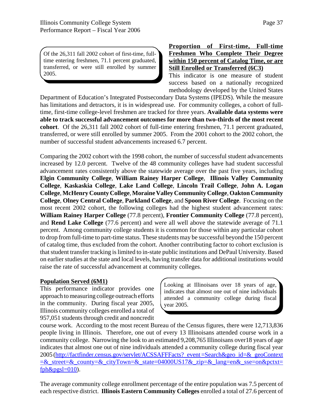Of the 26,311 fall 2002 cohort of first-time, fulltime entering freshmen, 71.1 percent graduated, transferred, or were still enrolled by summer 2005.

**Proportion of First-time, Full-time Freshmen Who Complete Their Degree within 150 percent of Catalog Time, or are Still Enrolled or Transferred (6C3)** This indicator is one measure of student

success based on a nationally recognized methodology developed by the United States

Department of Education's Integrated Postsecondary Data Systems (IPEDS). While the measure has limitations and detractors, it is in widespread use. For community colleges, a cohort of fulltime, first-time college-level freshmen are tracked for three years. **Available data systems were able to track successful advancement outcomes for more than two-thirds of the most recent cohort**. Of the 26,311 fall 2002 cohort of full-time entering freshmen, 71.1 percent graduated, transferred, or were still enrolled by summer 2005. From the 2001 cohort to the 2002 cohort, the number of successful student advancements increased 6.7 percent.

Comparing the 2002 cohort with the 1998 cohort, the number of successful student advancements increased by 12.0 percent. Twelve of the 48 community colleges have had student successful advancement rates consistently above the statewide average over the past five years, including **Elgin Community College**, **William Rainey Harper College**, **Illinois Valley Community College**, **Kaskaskia College**, **Lake Land College**, **Lincoln Trail College**, **John A. Logan College**, **McHenry County College**, **Moraine Valley Community College**, **Oakton Community College**, **Olney Central College**, **Parkland College**, and **Spoon River College**. Focusing on the most recent 2002 cohort, the following colleges had the highest student advancement rates: **William Rainey Harper College** (77.8 percent), **Frontier Community College** (77.8 percent), and **Rend Lake College** (77.6 percent) and were all well above the statewide average of 71.1 percent. Among community college students it is common for those within any particular cohort to drop from full-time to part-time status. These students may be successful beyond the 150 percent of catalog time, thus excluded from the cohort. Another contributing factor to cohort exclusion is that student transfer tracking is limited to in-state public institutions and DePaul University. Based on earlier studies at the state and local levels, having transfer data for additional institutions would raise the rate of successful advancement at community colleges.

#### **Population Served (6M1)**

This performance indicator provides one approach to measuring college outreach efforts in the community. During fiscal year 2005, Illinois community colleges enrolled a total of 957,051 students through credit and noncredit

Looking at Illinoisans over 18 years of age, indicates that almost one out of nine individuals attended a community college during fiscal year 2005.

course work. According to the most recent Bureau of the Census figures, there were 12,713,836 people living in Illinois. Therefore, one out of every 13 Illinoisans attended course work in a community college. Narrowing the look to an estimated 9,208,765 Illinoisans over18 years of age indicates that almost one out of nine individuals attended a community college during fiscal year 2005 (http://factfinder.census.gov/servlet/ACSSAFFFacts?\_event =Search&geo\_id=&\_geoContext =&\_street=&\_county=&\_cityTown=&\_state=04000US17&\_zip=&\_lang=en&\_sse=on&pctxt=  $fph\&pgsl=010$ ).

The average community college enrollment percentage of the entire population was 7.5 percent of each respective district. **Illinois Eastern Community Colleges** enrolled a total of 27.6 percent of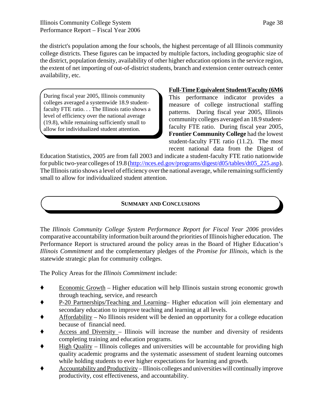the district's population among the four schools, the highest percentage of all Illinois community college districts. These figures can be impacted by multiple factors, including geographic size of the district, population density, availability of other higher education options in the service region, the extent of net importing of out-of-district students, branch and extension center outreach center availability, etc.

During fiscal year 2005, Illinois community colleges averaged a systemwide 18.9 studentfaculty FTE ratio. . . The Illinois ratio shows a level of efficiency over the national average (19.8), while remaining sufficiently small to allow for individualized student attention.

## **Full-Time Equivalent Student/Faculty (6M6**

This performance indicator provides a measure of college instructional staffing patterns. During fiscal year 2005, Illinois community colleges averaged an 18.9 studentfaculty FTE ratio. During fiscal year 2005, **Frontier Community College** had the lowest student-faculty FTE ratio (11.2). The most recent national data from the Digest of

Education Statistics, 2005 are from fall 2003 and indicate a student-faculty FTE ratio nationwide for public two-year colleges of 19.8 (http://nces.ed.gov/programs/digest/d05/tables/dt05\_225.asp). The Illinois ratio shows a level of efficiency over the national average, while remaining sufficiently small to allow for individualized student attention.

# **SUMMARY AND CONCLUSIONS**

The *Illinois Community College System Performance Report for Fiscal Year 2006* provides comparative accountability information built around the priorities of Illinois higher education. The Performance Report is structured around the policy areas in the Board of Higher Education's *Illinois Commitment* and the complementary pledges of the *Promise for Illinois*, which is the statewide strategic plan for community colleges.

The Policy Areas for the *Illinois Commitment* include:

- ◆ Economic Growth Higher education will help Illinois sustain strong economic growth through teaching, service, and research
- ' P-20 Partnerships/Teaching and Learning– Higher education will join elementary and secondary education to improve teaching and learning at all levels.
- ' Affordability No Illinois resident will be denied an opportunity for a college education because of financial need.
- ' Access and Diversity Illinois will increase the number and diversity of residents completing training and education programs.
- ' High Quality Illinois colleges and universities will be accountable for providing high quality academic programs and the systematic assessment of student learning outcomes while holding students to ever higher expectations for learning and growth.
- ' Accountability and Productivity Illinois colleges and universities will continually improve productivity, cost effectiveness, and accountability.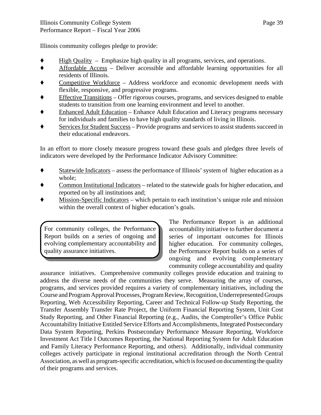Illinois community colleges pledge to provide:

- ' High Quality Emphasize high quality in all programs, services, and operations.
- ' Affordable Access Deliver accessible and affordable learning opportunities for all residents of Illinois.
- ' Competitive Workforce Address workforce and economic development needs with flexible, responsive, and progressive programs.
- Effective Transitions Offer rigorous courses, programs, and services designed to enable students to transition from one learning environment and level to another.
- ' Enhanced Adult Education Enhance Adult Education and Literacy programs necessary for individuals and families to have high quality standards of living in Illinois.
- Services for Student Success Provide programs and services to assist students succeed in their educational endeavors.

In an effort to more closely measure progress toward these goals and pledges three levels of indicators were developed by the Performance Indicator Advisory Committee:

- $\blacklozenge$  Statewide Indicators assess the performance of Illinois' system of higher education as a whole;
- ' Common Institutional Indicators related to the statewide goals for higher education, and reported on by all institutions and;
- ' Mission-Specific Indicators which pertain to each institution's unique role and mission within the overall context of higher education's goals.

For community colleges, the Performance Report builds on a series of ongoing and evolving complementary accountability and quality assurance initiatives.

The Performance Report is an additional accountability initiative to further document a series of important outcomes for Illinois higher education. For community colleges, the Performance Report builds on a series of ongoing and evolving complementary community college accountability and quality

assurance initiatives. Comprehensive community colleges provide education and training to address the diverse needs of the communities they serve. Measuring the array of courses, programs, and services provided requires a variety of complementary initiatives, including the Course and Program Approval Processes, Program Review, Recognition, Underrepresented Groups Reporting, Web Accessibility Reporting, Career and Technical Follow-up Study Reporting, the Transfer Assembly Transfer Rate Project, the Uniform Financial Reporting System, Unit Cost Study Reporting, and Other Financial Reporting (e.g., Audits, the Comptroller's Office Public Accountability Initiative Entitled Service Efforts and Accomplishments, Integrated Postsecondary Data System Reporting, Perkins Postsecondary Performance Measure Reporting, Workforce Investment Act Title I Outcomes Reporting, the National Reporting System for Adult Education and Family Literacy Performance Reporting, and others). Additionally, individual community colleges actively participate in regional institutional accreditation through the North Central Association, as well as program-specific accreditation, which is focused on documenting the quality of their programs and services.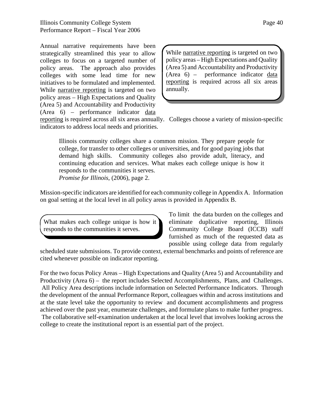Annual narrative requirements have been strategically streamlined this year to allow colleges to focus on a targeted number of policy areas. The approach also provides colleges with some lead time for new initiatives to be formulated and implemented. While narrative reporting is targeted on two policy areas – High Expectations and Quality (Area 5) and Accountability and Productivity (Area 6) – performance indicator data

While narrative reporting is targeted on two policy areas – High Expectations and Quality (Area 5) and Accountability and Productivity (Area 6) – performance indicator data reporting is required across all six areas annually.

reporting is required across all six areas annually. Colleges choose a variety of mission-specific indicators to address local needs and priorities.

Illinois community colleges share a common mission. They prepare people for college, for transfer to other colleges or universities, and for good paying jobs that demand high skills. Community colleges also provide adult, literacy, and continuing education and services. What makes each college unique is how it responds to the communities it serves. *Promise for Illinois*, (2006), page 2.

Mission-specific indicators are identified for each community college in Appendix A. Information on goal setting at the local level in all policy areas is provided in Appendix B.

What makes each college unique is how it responds to the communities it serves.

To limit the data burden on the colleges and eliminate duplicative reporting, Illinois Community College Board (ICCB) staff furnished as much of the requested data as possible using college data from regularly

scheduled state submissions. To provide context, external benchmarks and points of reference are cited whenever possible on indicator reporting.

For the two focus Policy Areas – High Expectations and Quality (Area 5) and Accountability and Productivity (Area 6) – the report includes Selected Accomplishments, Plans, and Challenges. All Policy Area descriptions include information on Selected Performance Indicators. Through the development of the annual Performance Report, colleagues within and across institutions and at the state level take the opportunity to review and document accomplishments and progress achieved over the past year, enumerate challenges, and formulate plans to make further progress. The collaborative self-examination undertaken at the local level that involves looking across the college to create the institutional report is an essential part of the project.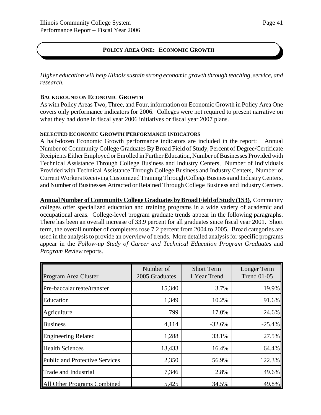# **POLICY AREA ONE: ECONOMIC GROWTH**

*Higher education will help Illinois sustain strong economic growth through teaching, service, and research.*

#### **BACKGROUND ON ECONOMIC GROWTH**

As with Policy Areas Two, Three, and Four, information on Economic Growth in Policy Area One covers only performance indicators for 2006. Colleges were not required to present narrative on what they had done in fiscal year 2006 initiatives or fiscal year 2007 plans.

#### **SELECTED ECONOMIC GROWTH PERFORMANCE INDICATORS**

A half-dozen Economic Growth performance indicators are included in the report: Annual Number of Community College Graduates By Broad Field of Study, Percent of Degree/Certificate Recipients Either Employed or Enrolled in Further Education, Number of Businesses Provided with Technical Assistance Through College Business and Industry Centers, Number of Individuals Provided with Technical Assistance Through College Business and Industry Centers, Number of Current Workers Receiving Customized Training Through College Business and Industry Centers, and Number of Businesses Attracted or Retained Through College Business and Industry Centers.

**Annual Number of Community College Graduates by Broad Field of Study (1S3).** Community colleges offer specialized education and training programs in a wide variety of academic and occupational areas. College-level program graduate trends appear in the following paragraphs. There has been an overall increase of 33.9 percent for all graduates since fiscal year 2001. Short term, the overall number of completers rose 7.2 percent from 2004 to 2005. Broad categories are used in the analysis to provide an overview of trends. More detailed analysis for specific programs appear in the *Follow-up Study of Career and Technical Education Program Graduates* and *Program Review* reports.

| Program Area Cluster                  | Number of<br>2005 Graduates | <b>Short Term</b><br>1 Year Trend | Longer Term<br><b>Trend 01-05</b> |
|---------------------------------------|-----------------------------|-----------------------------------|-----------------------------------|
| Pre-baccalaureate/transfer            | 15,340                      | 3.7%                              | 19.9%                             |
| Education                             | 1,349                       | 10.2%                             | 91.6%                             |
| Agriculture                           | 799                         | 17.0%                             | 24.6%                             |
| <b>Business</b>                       | 4,114                       | $-32.6%$                          | $-25.4%$                          |
| <b>Engineering Related</b>            | 1,288                       | 33.1%                             | 27.5%                             |
| <b>Health Sciences</b>                | 13,433                      | 16.4%                             | 64.4%                             |
| <b>Public and Protective Services</b> | 2,350                       | 56.9%                             | 122.3%                            |
| <b>Trade and Industrial</b>           | 7,346                       | 2.8%                              | 49.6%                             |
| All Other Programs Combined           | 5,425                       | 34.5%                             | 49.8%                             |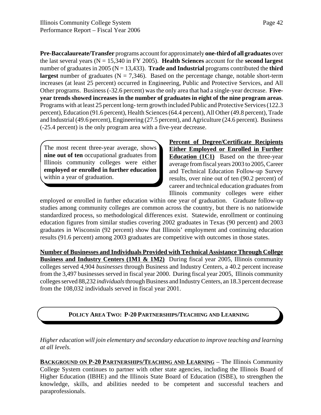**Pre-Baccalaureate/Transfer** programs account for approximately **one-third of all graduates** over the last several years (N = 15,340 in FY 2005). **Health Sciences** account for the **second largest** number of graduates in 2005 (N = 13,433). **Trade and Industrial** programs contributed the **third largest** number of graduates ( $N = 7,346$ ). Based on the percentage change, notable short-term increases (at least 25 percent) occurred in Engineering, Public and Protective Services, and All Other programs. Business (-32.6 percent) was the only area that had a single-year decrease. **Fiveyear trends showed increases in the number of graduates in eight of the nine program areas**. Programs with at least 25 percent long- term growth included Public and Protective Services (122.3 percent), Education (91.6 percent), Health Sciences (64.4 percent), All Other (49.8 percent), Trade and Industrial (49.6 percent), Engineering (27.5 percent), and Agriculture (24.6 percent). Business (-25.4 percent) is the only program area with a five-year decrease.

The most recent three-year average, shows **nine out of ten** occupational graduates from Illinois community colleges were either **employed or enrolled in further education** within a year of graduation.

**Percent of Degree/Certificate Recipients Either Employed or Enrolled in Further Education (1C1)** Based on the three-year average from fiscal years 2003 to 2005, Career and Technical Education Follow-up Survey results, over nine out of ten (90.2 percent) of career and technical education graduates from Illinois community colleges were either

employed or enrolled in further education within one year of graduation. Graduate follow-up studies among community colleges are common across the country, but there is no nationwide standardized process, so methodological differences exist. Statewide, enrollment or continuing education figures from similar studies covering 2002 graduates in Texas (90 percent) and 2003 graduates in Wisconsin (92 percent) show that Illinois' employment and continuing education results (91.6 percent) among 2003 graduates are competitive with outcomes in those states.

**Number of Businesses and Individuals Provided with Technical Assistance Through College Business and Industry Centers (1M1 & 1M2)** During fiscal year 2005, Illinois community colleges served 4,904 *businesses* through Business and Industry Centers, a 40.2 percent increase from the 3,497 businesses served in fiscal year 2000. During fiscal year 2005, Illinois community colleges served 88,232 *individuals* through Business and Industry Centers, an 18.3 percent decrease from the 108,032 individuals served in fiscal year 2001.

# **POLICY AREA TWO: P-20 PARTNERSHIPS/TEACHING AND LEARNING**

*Higher education will join elementary and secondary education to improve teaching and learning at all levels.*

**BACKGROUND ON P-20 PARTNERSHIPS/TEACHING AND LEARNING** – The Illinois Community College System continues to partner with other state agencies, including the Illinois Board of Higher Education (IBHE) and the Illinois State Board of Education (ISBE), to strengthen the knowledge, skills, and abilities needed to be competent and successful teachers and paraprofessionals.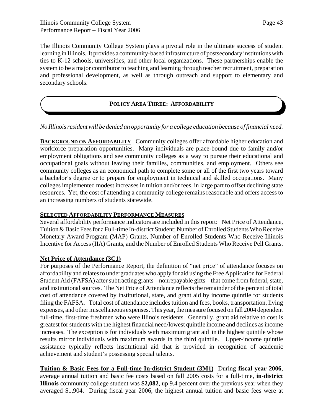The Illinois Community College System plays a pivotal role in the ultimate success of student learning in Illinois. It provides a community-based infrastructure of postsecondary institutions with ties to K-12 schools, universities, and other local organizations. These partnerships enable the system to be a major contributor to teaching and learning through teacher recruitment, preparation and professional development, as well as through outreach and support to elementary and secondary schools.

# **POLICY AREA THREE: AFFORDABILITY**

## *No Illinois resident will be denied an opportunity for a college education because of financial need.*

**BACKGROUND ON AFFORDABILITY**– Community colleges offer affordable higher education and workforce preparation opportunities. Many individuals are place-bound due to family and/or employment obligations and see community colleges as a way to pursue their educational and occupational goals without leaving their families, communities, and employment. Others see community colleges as an economical path to complete some or all of the first two years toward a bachelor's degree or to prepare for employment in technical and skilled occupations. Many colleges implemented modest increases in tuition and/or fees, in large part to offset declining state resources. Yet, the cost of attending a community college remains reasonable and offers access to an increasing numbers of students statewide.

#### **SELECTED AFFORDABILITY PERFORMANCE MEASURES**

Several affordability performance indicators are included in this report: Net Price of Attendance, Tuition & Basic Fees for a Full-time In-district Student; Number of Enrolled Students Who Receive Monetary Award Program (MAP) Grants, Number of Enrolled Students Who Receive Illinois Incentive for Access (IIA) Grants, and the Number of Enrolled Students Who Receive Pell Grants.

#### **Net Price of Attendance (3C1)**

For purposes of the Performance Report, the definition of "net price" of attendance focuses on affordability and relates to undergraduates who apply for aid using the Free Application for Federal Student Aid (FAFSA) after subtracting grants – nonrepayable gifts – that come from federal, state, and institutional sources. The Net Price of Attendance reflects the remainder of the percent of total cost of attendance covered by institutional, state, and grant aid by income quintile for students filing the FAFSA. Total cost of attendance includes tuition and fees, books, transportation, living expenses, and other miscellaneous expenses. This year, the measure focused on fall 2004 dependent full-time, first-time freshmen who were Illinois residents. Generally, grant aid relative to cost is greatest for students with the highest financial need/lowest quintile income and declines as income increases. The exception is for individuals with maximum grant aid in the highest quintile whose results mirror individuals with maximum awards in the third quintile. Upper-income quintile assistance typically reflects institutional aid that is provided in recognition of academic achievement and student's possessing special talents.

**Tuition & Basic Fees for a Full-time In-district Student (3M1)** During **fiscal year 2006**, average annual tuition and basic fee costs based on fall 2005 costs for a full-time, **in-district Illinois** community college student was **\$2,082**, up 9.4 percent over the previous year when they averaged \$1,904. During fiscal year 2006, the highest annual tuition and basic fees were at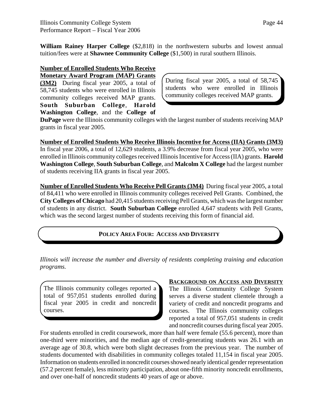Page 44

**William Rainey Harper College** (\$2,818) in the northwestern suburbs and lowest annual tuition/fees were at **Shawnee Community College** (\$1,500) in rural southern Illinois.

# **Number of Enrolled Students Who Receive**

**Monetary Award Program (MAP) Grants (3M2)** During fiscal year 2005, a total of 58,745 students who were enrolled in Illinois community colleges received MAP grants. **South Suburban College**, **Harold Washington College**, and the **College of**

During fiscal year 2005, a total of 58,745 students who were enrolled in Illinois community colleges received MAP grants.

**DuPage** were the Illinois community colleges with the largest number of students receiving MAP grants in fiscal year 2005.

**Number of Enrolled Students Who Receive Illinois Incentive for Access (IIA) Grants (3M3)** In fiscal year 2006, a total of 12,629 students, a 3.9% decrease from fiscal year 2005, who were enrolled in Illinois community colleges received Illinois Incentive for Access (IIA) grants. **Harold Washington College**, **South Suburban College**, and **Malcolm X College** had the largest number of students receiving IIA grants in fiscal year 2005.

**Number of Enrolled Students Who Receive Pell Grants (3M4)** During fiscal year 2005, a total of 84,411 who were enrolled in Illinois community colleges received Pell Grants. Combined, the **City Colleges of Chicago** had 20,415 students receiving Pell Grants, which was the largest number of students in any district. **South Suburban College** enrolled 4,647 students with Pell Grants, which was the second largest number of students receiving this form of financial aid.

# **POLICY AREA FOUR: ACCESS AND DIVERSITY**

*Illinois will increase the number and diversity of residents completing training and education programs.*

The Illinois community colleges reported a total of 957,051 students enrolled during fiscal year 2005 in credit and noncredit courses.

#### **BACKGROUND ON ACCESS AND DIVERSITY**

The Illinois Community College System serves a diverse student clientele through a variety of credit and noncredit programs and courses. The Illinois community colleges reported a total of 957,051 students in credit and noncredit courses during fiscal year 2005.

For students enrolled in credit coursework, more than half were female (55.6 percent), more than one-third were minorities, and the median age of credit-generating students was 26.1 with an average age of 30.8, which were both slight decreases from the previous year. The number of students documented with disabilities in community colleges totaled 11,154 in fiscal year 2005. Information on students enrolled in noncredit courses showed nearly identical gender representation (57.2 percent female), less minority participation, about one-fifth minority noncredit enrollments, and over one-half of noncredit students 40 years of age or above.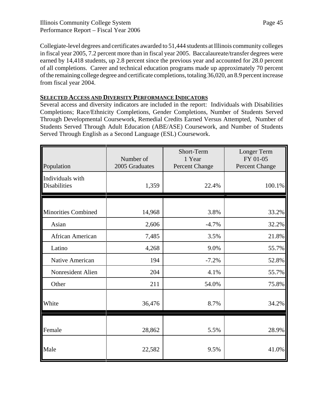Collegiate-level degrees and certificates awarded to 51,444 students at Illinois community colleges in fiscal year 2005, 7.2 percent more than in fiscal year 2005. Baccalaureate/transfer degrees were earned by 14,418 students, up 2.8 percent since the previous year and accounted for 28.0 percent of all completions. Career and technical education programs made up approximately 70 percent of the remaining college degree and certificate completions, totaling 36,020, an 8.9 percent increase from fiscal year 2004.

# **SELECTED ACCESS AND DIVERSITY PERFORMANCE INDICATORS**

Several access and diversity indicators are included in the report: Individuals with Disabilities Completions; Race/Ethnicity Completions, Gender Completions, Number of Students Served Through Developmental Coursework, Remedial Credits Earned Versus Attempted, Number of Students Served Through Adult Education (ABE/ASE) Coursework, and Number of Students Served Through English as a Second Language (ESL) Coursework.

| Population                              | Number of<br>2005 Graduates | Short-Term<br>1 Year<br>Percent Change | Longer Term<br>FY 01-05<br>Percent Change |
|-----------------------------------------|-----------------------------|----------------------------------------|-------------------------------------------|
| Individuals with<br><b>Disabilities</b> | 1,359                       | 22.4%                                  | 100.1%                                    |
| <b>Minorities Combined</b>              | 14,968                      | 3.8%                                   | 33.2%                                     |
| Asian                                   | 2,606                       | $-4.7%$                                | 32.2%                                     |
| African American                        | 7,485                       | 3.5%                                   | 21.8%                                     |
| Latino                                  | 4,268                       | 9.0%                                   | 55.7%                                     |
| Native American                         | 194                         | $-7.2%$                                | 52.8%                                     |
| Nonresident Alien                       | 204                         | 4.1%                                   | 55.7%                                     |
| Other                                   | 211                         | 54.0%                                  | 75.8%                                     |
| White                                   | 36,476                      | 8.7%                                   | 34.2%                                     |
| Female                                  | 28,862                      | 5.5%                                   | 28.9%                                     |
| Male                                    | 22,582                      | 9.5%                                   | 41.0%                                     |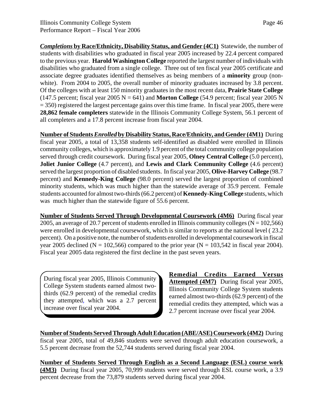*Completions* **by Race/Ethnicity, Disability Status, and Gender (4C1)** Statewide, the number of students with disabilities who graduated in fiscal year 2005 increased by 22.4 percent compared to the previous year. **Harold Washington College** reported the largest number of individuals with disabilities who graduated from a single college. Three out of ten fiscal year 2005 certificate and associate degree graduates identified themselves as being members of a **minority** group (nonwhite). From 2004 to 2005, the overall number of minority graduates increased by 3.8 percent. Of the colleges with at least 150 minority graduates in the most recent data, **Prairie State College** (147.5 percent; fiscal year 2005  $N = 641$ ) and **Morton College** (54.9 percent; fiscal year 2005 N  $= 350$ ) registered the largest percentage gains over this time frame. In fiscal year 2005, there were **28,862 female completers** statewide in the Illinois Community College System, 56.1 percent of all completers and a 17.8 percent increase from fiscal year 2004.

**Number of Students** *Enrolled* **by Disability Status, Race/Ethnicity, and Gender (4M1)** During fiscal year 2005, a total of 13,358 students self-identified as disabled were enrolled in Illinois community colleges, which is approximately 1.9 percent of the total community college population served through credit coursework. During fiscal year 2005, **Olney Central College** (5.0 percent), **Joliet Junior College** (4.7 percent), and **Lewis and Clark Community College** (4.6 percent) served the largest proportion of disabled students. In fiscal year 2005, **Olive-Harvey College** (98.7 percent) and **Kennedy-King College** (98.0 percent) served the largest proportion of combined minority students, which was much higher than the statewide average of 35.9 percent. Female students accounted for almost two-thirds (66.2 percent) of **Kennedy-King College** students, which was much higher than the statewide figure of 55.6 percent.

**Number of Students Served Through Developmental Coursework (4M6)** During fiscal year 2005, an average of 20.7 percent of students enrolled in Illinois community colleges ( $N = 102,566$ ) were enrolled in developmental coursework, which is similar to reports at the national level ( 23.2 percent). On a positive note, the number of students enrolled in developmental coursework in fiscal year 2005 declined (N = 102,566) compared to the prior year (N = 103,542 in fiscal year 2004). Fiscal year 2005 data registered the first decline in the past seven years.

During fiscal year 2005, Illinois Community College System students earned almost twothirds (62.9 percent) of the remedial credits they attempted, which was a 2.7 percent increase over fiscal year 2004.

**Remedial Credits Earned Versus** Attempted (4M7) During fiscal year 2005, Illinois Community College System students earned almost two-thirds (62.9 percent) of the remedial credits they attempted, which was a 2.7 percent increase over fiscal year 2004.

**Number of Students Served Through Adult Education (ABE/ASE) Coursework (4M2)** During fiscal year 2005, total of 49,846 students were served through adult education coursework, a 5.5 percent decrease from the 52,744 students served during fiscal year 2004.

**Number of Students Served Through English as a Second Language (ESL) course work (4M3)** During fiscal year 2005, 70,999 students were served through ESL course work, a 3.9 percent decrease from the 73,879 students served during fiscal year 2004.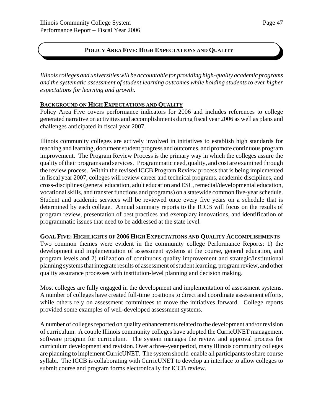# **POLICY AREA FIVE: HIGH EXPECTATIONS AND QUALITY**

*Illinois colleges and universities will be accountable for providing high-quality academic programs and the systematic assessment of student learning outcomes while holding students to ever higher expectations for learning and growth.*

#### **BACKGROUND ON HIGH EXPECTATIONS AND QUALITY**

Policy Area Five covers performance indicators for 2006 and includes references to college generated narrative on activities and accomplishments during fiscal year 2006 as well as plans and challenges anticipated in fiscal year 2007.

Illinois community colleges are actively involved in initiatives to establish high standards for teaching and learning, document student progress and outcomes, and promote continuous program improvement. The Program Review Process is the primary way in which the colleges assure the quality of their programs and services. Programmatic need, quality, and cost are examined through the review process. Within the revised ICCB Program Review process that is being implemented in fiscal year 2007, colleges will review career and technical programs, academic disciplines, and cross-disciplines (general education, adult education and ESL, remedial/developmental education, vocational skills, and transfer functions and programs) on a statewide common five-year schedule. Student and academic services will be reviewed once every five years on a schedule that is determined by each college. Annual summary reports to the ICCB will focus on the results of program review, presentation of best practices and exemplary innovations, and identification of programmatic issues that need to be addressed at the state level.

#### **GOAL FIVE: HIGHLIGHTS OF 2006 HIGH EXPECTATIONS AND QUALITY ACCOMPLISHMENTS**

Two common themes were evident in the community college Performance Reports: 1) the development and implementation of assessment systems at the course, general education, and program levels and 2) utilization of continuous quality improvement and strategic/institutional planning systems that integrate results of assessment of student learning, program review, and other quality assurance processes with institution-level planning and decision making.

Most colleges are fully engaged in the development and implementation of assessment systems. A number of colleges have created full-time positions to direct and coordinate assessment efforts, while others rely on assessment committees to move the initiatives forward. College reports provided some examples of well-developed assessment systems.

A number of colleges reported on quality enhancements related to the development and/or revision of curriculum. A couple Illinois community colleges have adopted the CurricUNET management software program for curriculum. The system manages the review and approval process for curriculum development and revision. Over a three-year period, many Illinois community colleges are planning to implement CurricUNET. The system should enable all participants to share course syllabi. The ICCB is collaborating with CurricUNET to develop an interface to allow colleges to submit course and program forms electronically for ICCB review.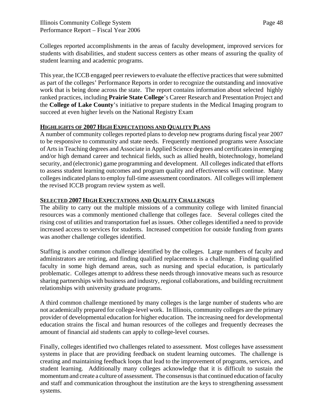Colleges reported accomplishments in the areas of faculty development, improved services for students with disabilities, and student success centers as other means of assuring the quality of student learning and academic programs.

This year, the ICCB engaged peer reviewers to evaluate the effective practices that were submitted as part of the colleges' Performance Reports in order to recognize the outstanding and innovative work that is being done across the state. The report contains information about selected highly ranked practices, including **Prairie State College**'s Career Research and Presentation Project and the **College of Lake County**'s initiative to prepare students in the Medical Imaging program to succeed at even higher levels on the National Registry Exam

# **HIGHLIGHTS OF 2007 HIGH EXPECTATIONS AND QUALITY PLANS**

A number of community colleges reported plans to develop new programs during fiscal year 2007 to be responsive to community and state needs. Frequently mentioned programs were Associate of Arts in Teaching degrees and Associate in Applied Science degrees and certificates in emerging and/or high demand career and technical fields, such as allied health, biotechnology, homeland security, and (electronic) game programming and development. All colleges indicated that efforts to assess student learning outcomes and program quality and effectiveness will continue. Many colleges indicated plans to employ full-time assessment coordinators. All colleges will implement the revised ICCB program review system as well.

# **SELECTED 2007 HIGH EXPECTATIONS AND QUALITY CHALLENGES**

The ability to carry out the multiple missions of a community college with limited financial resources was a commonly mentioned challenge that colleges face. Several colleges cited the rising cost of utilities and transportation fuel as issues. Other colleges identified a need to provide increased access to services for students. Increased competition for outside funding from grants was another challenge colleges identified.

Staffing is another common challenge identified by the colleges. Large numbers of faculty and administrators are retiring, and finding qualified replacements is a challenge. Finding qualified faculty in some high demand areas, such as nursing and special education, is particularly problematic. Colleges attempt to address these needs through innovative means such as resource sharing partnerships with business and industry, regional collaborations, and building recruitment relationships with university graduate programs.

A third common challenge mentioned by many colleges is the large number of students who are not academically prepared for college-level work. In Illinois, community colleges are the primary provider of developmental education for higher education. The increasing need for developmental education strains the fiscal and human resources of the colleges and frequently decreases the amount of financial aid students can apply to college-level courses.

Finally, colleges identified two challenges related to assessment. Most colleges have assessment systems in place that are providing feedback on student learning outcomes. The challenge is creating and maintaining feedback loops that lead to the improvement of programs, services, and student learning. Additionally many colleges acknowledge that it is difficult to sustain the momentum and create a culture of assessment. The consensus is that continued education of faculty and staff and communication throughout the institution are the keys to strengthening assessment systems.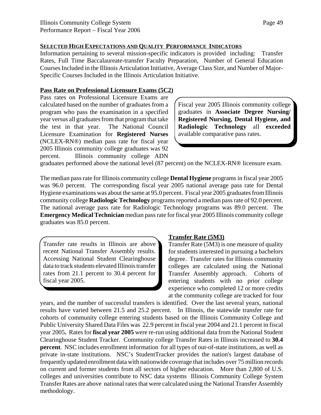#### **SELECTED HIGH EXPECTATIONS AND QUALITY PERFORMANCE INDICATORS**

Information pertaining to several mission-specific indicators is provided including: Transfer Rates, Full Time Baccalaureate-transfer Faculty Preparation, Number of General Education Courses Included in the Illinois Articulation Initiative, Average Class Size, and Number of Major-Specific Courses Included in the Illinois Articulation Initiative.

#### **Pass Rate on Professional Licensure Exams (5C2)**

Pass rates on Professional Licensure Exams are calculated based on the number of graduates from a program who pass the examination in a specified year versus all graduates from that program that take the test in that year. The National Council Licensure Examination for **Registered Nurses** (NCLEX-RN®) median pass rate for fiscal year 2005 Illinois community college graduates was 92 percent. Illinois community college ADN

Fiscal year 2005 Illinois community college graduates in **Associate Degree Nursing/ Registered Nursing, Dental Hygiene, and Radiologic Technology** all **exceeded** available comparative pass rates.

graduates performed above the national level (87 percent) on the NCLEX-RN® licensure exam.

The median pass rate for Illinois community college **Dental Hygiene** programs in fiscal year 2005 was 96.0 percent. The corresponding fiscal year 2005 national average pass rate for Dental Hygiene examinations was about the same at 95.0 percent. Fiscal year 2005 graduates from Illinois community college **Radiologic Technology** programs reported a median pass rate of 92.0 percent. The national average pass rate for Radiologic Technology programs was 89.0 percent. The **Emergency Medical Technician** median pass rate for fiscal year 2005 Illinois community college graduates was 85.0 percent.

Transfer rate results in Illinois are above recent National Transfer Assembly results. Accessing National Student Clearinghouse data to track students elevated Illinois transfer rates from 21.1 percent to 30.4 percent for fiscal year 2005.

# **Transfer Rate (5M3)**

Transfer Rate (5M3) is one measure of quality for students interested in pursuing a bachelors degree. Transfer rates for Illinois community colleges are calculated using the National Transfer Assembly approach. Cohorts of entering students with no prior college experience who completed 12 or more credits at the community college are tracked for four

years, and the number of successful transfers is identified. Over the last several years, national results have varied between 21.5 and 25.2 percent. In Illinois, the statewide transfer rate for cohorts of community college entering students based on the Illinois Community College and Public University Shared Data Files was 22.9 percent in fiscal year 2004 and 21.1 percent in fiscal year 2005**.** Rates for **fiscal year 2005** were re-run using additional data from the National Student Clearinghouse Student Tracker. Community college Transfer Rates in Illinois increased to **30.4 percent**. NSC includes enrollment information for all types of out-of-state institutions, as well as private in-state institutions. NSC's StudentTracker provides the nation's largest database of frequently updated enrollment data with nationwide coverage that includes over 75 million records on current and former students from all sectors of higher education. More than 2,800 of U.S. colleges and universities contribute to NSC data systems Illinois Community College System Transfer Rates are above national rates that were calculated using the National Transfer Assembly methodology.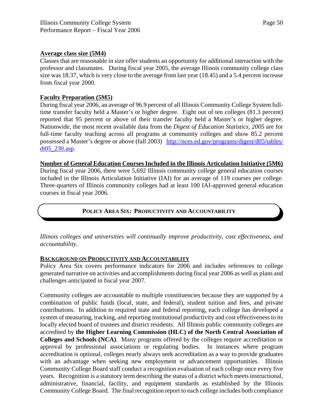#### **Average class size (5M4)**

Classes that are reasonable in size offer students an opportunity for additional interaction with the professor and classmates. During fiscal year 2005, the average Illinois community college class size was 18.37, which is very close to the average from last year (18.45) and a 5.4 percent increase from fiscal year 2000.

#### **Faculty Preparation (5M5)**

During fiscal year 2006, an average of 96.9 percent of all Illinois Community College System fulltime transfer faculty held a Master's or higher degree. Eight out of ten colleges (81.3 percent) reported that 95 percent or above of their transfer faculty held a Master's or higher degree. Nationwide, the most recent available data from the *Digest of Education Statistics, 2005* are for full-time faculty teaching across all programs at community colleges and show 85.2 percent possessed a Master's degree or above (fall 2003) http://nces.ed.gov/programs/digest/d05/tables/ dt05\_230.asp.

#### **Number of General Education Courses Included in the Illinois Articulation Initiative (5M6)** During fiscal year 2006, there were 5,692 Illinois community college general education courses included in the Illinois Articulation Initiative (IAI) for an average of 119 courses per college. Three-quarters of Illinois community colleges had at least 100 IAI-approved general education

courses in fiscal year 2006.

# **POLICY AREA SIX: PRODUCTIVITY AND ACCOUNTABILITY**

*Illinois colleges and universities will continually improve productivity, cost effectiveness, and accountability.*

#### **BACKGROUND ON PRODUCTIVITY AND ACCOUNTABILITY**

Policy Area Six covers performance indicators for 2006 and includes references to college generated narrative on activities and accomplishments during fiscal year 2006 as well as plans and challenges anticipated in fiscal year 2007.

Community colleges are accountable to multiple constituencies because they are supported by a combination of public funds (local, state, and federal), student tuition and fees, and private contributions. In addition to required state and federal reporting, each college has developed a system of measuring, tracking, and reporting institutional productivity and cost effectiveness to its locally elected board of trustees and district residents. All Illinois public community colleges are accredited by **the Higher Learning Commission (HLC) of the North Central Association of Colleges and Schools (NCA)**. Many programs offered by the colleges require accreditation or approval by professional associations or regulating bodies. In instances where program accreditation is optional, colleges nearly always seek accreditation as a way to provide graduates with an advantage when seeking new employment or advancement opportunities. Illinois Community College Board staff conduct a recognition evaluation of each college once every five years. Recognition is a statutory term describing the status of a district which meets instructional, administrative, financial, facility, and equipment standards as established by the Illinois Community College Board. The final recognition report to each college includes both compliance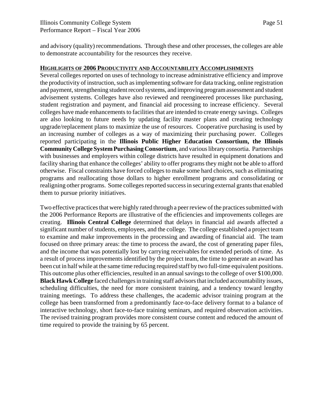and advisory (quality) recommendations. Through these and other processes, the colleges are able to demonstrate accountability for the resources they receive.

#### **HIGHLIGHTS OF 2006 PRODUCTIVITY AND ACCOUNTABILITY ACCOMPLISHMENTS**

Several colleges reported on uses of technology to increase administrative efficiency and improve the productivity of instruction, such as implementing software for data tracking, online registration and payment, strengthening student record systems, and improving program assessment and student advisement systems. Colleges have also reviewed and reengineered processes like purchasing, student registration and payment, and financial aid processing to increase efficiency. Several colleges have made enhancements to facilities that are intended to create energy savings. Colleges are also looking to future needs by updating facility master plans and creating technology upgrade/replacement plans to maximize the use of resources. Cooperative purchasing is used by an increasing number of colleges as a way of maximizing their purchasing power. Colleges reported participating in the **Illinois Public Higher Education Consortium, the Illinois Community College System Purchasing Consortium**, and various library consortia. Partnerships with businesses and employers within college districts have resulted in equipment donations and facility sharing that enhance the colleges' ability to offer programs they might not be able to afford otherwise. Fiscal constraints have forced colleges to make some hard choices, such as eliminating programs and reallocating those dollars to higher enrollment programs and consolidating or realigning other programs. Some colleges reported success in securing external grants that enabled them to pursue priority initiatives.

Two effective practices that were highly rated through a peer review of the practices submitted with the 2006 Performance Reports are illustrative of the efficiencies and improvements colleges are creating. **Illinois Central College** determined that delays in financial aid awards affected a significant number of students, employees, and the college. The college established a project team to examine and make improvements in the processing and awarding of financial aid. The team focused on three primary areas: the time to process the award, the cost of generating paper files, and the income that was potentially lost by carrying receivables for extended periods of time. As a result of process improvements identified by the project team, the time to generate an award has been cut in half while at the same time reducing required staff by two full-time equivalent positions. This outcome plus other efficiencies, resulted in an annual savings to the college of over \$100,000. **Black Hawk College** faced challenges in training staff advisors that included accountability issues, scheduling difficulties, the need for more consistent training, and a tendency toward lengthy training meetings. To address these challenges, the academic advisor training program at the college has been transformed from a predominantly face-to-face delivery format to a balance of interactive technology, short face-to-face training seminars, and required observation activities. The revised training program provides more consistent course content and reduced the amount of time required to provide the training by 65 percent.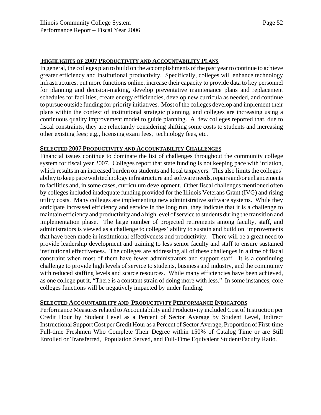#### **HIGHLIGHTS OF 2007 PRODUCTIVITY AND ACCOUNTABILITY PLANS**

In general, the colleges plan to build on the accomplishments of the past year to continue to achieve greater efficiency and institutional productivity. Specifically, colleges will enhance technology infrastructures, put more functions online, increase their capacity to provide data to key personnel for planning and decision-making, develop preventative maintenance plans and replacement schedules for facilities, create energy efficiencies, develop new curricula as needed, and continue to pursue outside funding for priority initiatives. Most of the colleges develop and implement their plans within the context of institutional strategic planning, and colleges are increasing using a continuous quality improvement model to guide planning. A few colleges reported that, due to fiscal constraints, they are reluctantly considering shifting some costs to students and increasing other existing fees; e.g., licensing exam fees, technology fees, etc.

#### **SELECTED 2007 PRODUCTIVITY AND ACCOUNTABILITY CHALLENGES**

Financial issues continue to dominate the list of challenges throughout the community college system for fiscal year 2007. Colleges report that state funding is not keeping pace with inflation, which results in an increased burden on students and local taxpayers. This also limits the colleges' ability to keep pace with technology infrastructure and software needs, repairs and/or enhancements to facilities and, in some cases, curriculum development. Other fiscal challenges mentioned often by colleges included inadequate funding provided for the Illinois Veterans Grant (IVG) and rising utility costs. Many colleges are implementing new administrative software systems. While they anticipate increased efficiency and service in the long run, they indicate that it is a challenge to maintain efficiency and productivity and a high level of service to students during the transition and implementation phase. The large number of projected retirements among faculty, staff, and administrators is viewed as a challenge to colleges' ability to sustain and build on improvements that have been made in institutional effectiveness and productivity. There will be a great need to provide leadership development and training to less senior faculty and staff to ensure sustained institutional effectiveness. The colleges are addressing all of these challenges in a time of fiscal constraint when most of them have fewer administrators and support staff. It is a continuing challenge to provide high levels of service to students, business and industry, and the community with reduced staffing levels and scarce resources. While many efficiencies have been achieved, as one college put it, "There is a constant strain of doing more with less." In some instances, core colleges functions will be negatively impacted by under funding.

## **SELECTED ACCOUNTABILITY AND PRODUCTIVITY PERFORMANCE INDICATORS**

Performance Measures related to Accountability and Productivity included Cost of Instruction per Credit Hour by Student Level as a Percent of Sector Average by Student Level, Indirect Instructional Support Cost per Credit Hour as a Percent of Sector Average, Proportion of First-time Full-time Freshmen Who Complete Their Degree within 150% of Catalog Time or are Still Enrolled or Transferred, Population Served, and Full-Time Equivalent Student/Faculty Ratio.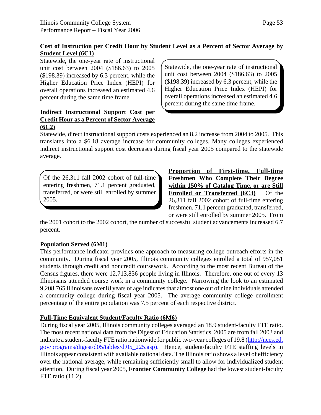# **Cost of Instruction per Credit Hour by Student Level as a Percent of Sector Average by Student Level (6C1)**

Statewide, the one-year rate of instructional unit cost between 2004 (\$186.63) to 2005 (\$198.39) increased by 6.3 percent, while the Higher Education Price Index (HEPI) for overall operations increased an estimated 4.6 percent during the same time frame.

### **Indirect Instructional Support Cost per Credit Hour as a Percent of Sector Average (6C2)**

Statewide, the one-year rate of instructional unit cost between 2004 (\$186.63) to 2005 (\$198.39) increased by 6.3 percent, while the Higher Education Price Index (HEPI) for overall operations increased an estimated 4.6 percent during the same time frame.

Statewide, direct instructional support costs experienced an 8.2 increase from 2004 to 2005. This translates into a \$6.18 average increase for community colleges. Many colleges experienced indirect instructional support cost decreases during fiscal year 2005 compared to the statewide average.

Of the 26,311 fall 2002 cohort of full-time entering freshmen, 71.1 percent graduated, transferred, or were still enrolled by summer 2005.

**Proportion of First-time, Full-time Freshmen Who Complete Their Degree within 150% of Catalog Time, or are Still Enrolled or Transferred (6C3)** Of the 26,311 fall 2002 cohort of full-time entering freshmen, 71.1 percent graduated, transferred, or were still enrolled by summer 2005. From

the 2001 cohort to the 2002 cohort, the number of successful student advancements increased 6.7 percent.

# **Population Served (6M1)**

This performance indicator provides one approach to measuring college outreach efforts in the community. During fiscal year 2005, Illinois community colleges enrolled a total of 957,051 students through credit and noncredit coursework. According to the most recent Bureau of the Census figures, there were 12,713,836 people living in Illinois. Therefore, one out of every 13 Illinoisans attended course work in a community college. Narrowing the look to an estimated 9,208,765 Illinoisans over18 years of age indicates that almost one out of nine individuals attended a community college during fiscal year 2005. The average community college enrollment percentage of the entire population was 7.5 percent of each respective district.

# **Full-Time Equivalent Student/Faculty Ratio (6M6)**

During fiscal year 2005, Illinois community colleges averaged an 18.9 student-faculty FTE ratio. The most recent national data from the Digest of Education Statistics, 2005 are from fall 2003 and indicate a student-faculty FTE ratio nationwide for public two-year colleges of 19.8 (http://nces.ed. gov/programs/digest/d05/tables/dt05\_225.asp). Hence, student/faculty FTE staffing levels in Illinois appear consistent with available national data. The Illinois ratio shows a level of efficiency over the national average, while remaining sufficiently small to allow for individualized student attention. During fiscal year 2005, **Frontier Community College** had the lowest student-faculty FTE ratio (11.2).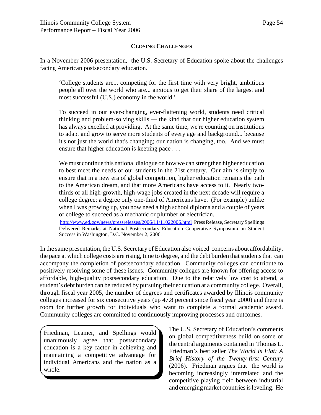#### **CLOSING CHALLENGES**

In a November 2006 presentation, the U.S. Secretary of Education spoke about the challenges facing American postsecondary education.

'College students are... competing for the first time with very bright, ambitious people all over the world who are... anxious to get their share of the largest and most successful (U.S.) economy in the world.'

To succeed in our ever-changing, ever-flattening world, students need critical thinking and problem-solving skills — the kind that our higher education system has always excelled at providing. At the same time, we're counting on institutions to adapt and grow to serve more students of every age and background... because it's not just the world that's changing; our nation is changing, too. And we must ensure that higher education is keeping pace . . .

We must continue this national dialogue on how we can strengthen higher education to best meet the needs of our students in the 21st century. Our aim is simply to ensure that in a new era of global competition, higher education remains the path to the American dream, and that more Americans have access to it. Nearly twothirds of all high-growth, high-wage jobs created in the next decade will require a college degree; a degree only one-third of Americans have. (For example) unlike when I was growing up, you now need a high school diploma and a couple of years of college to succeed as a mechanic or plumber or electrician.

http://www.ed.gov/news/pressreleases/2006/11/11022006.html Press Release, Secretary Spellings Delivered Remarks at National Postsecondary Education Cooperative Symposium on Student Success in Washington, D.C. November 2, 2006.

In the same presentation, the U.S. Secretary of Education also voiced concerns about affordability, the pace at which college costs are rising, time to degree, and the debt burden that students that can accompany the completion of postsecondary education. Community colleges can contribute to positively resolving some of these issues. Community colleges are known for offering access to affordable, high-quality postsecondary education. Due to the relatively low cost to attend, a student's debt burden can be reduced by pursuing their education at a community college. Overall, through fiscal year 2005, the number of degrees and certificates awarded by Illinois community colleges increased for six consecutive years (up 47.8 percent since fiscal year 2000) and there is room for further growth for individuals who want to complete a formal academic award. Community colleges are committed to continuously improving processes and outcomes.

Friedman, Leamer, and Spellings would unanimously agree that postsecondary education is a key factor in achieving and maintaining a competitive advantage for individual Americans and the nation as a whole.

The U.S. Secretary of Education's comments on global competitiveness build on some of the central arguments contained in Thomas L. Friedman's best seller *The World Is Flat: A Brief History of the Twenty-first Century* (2006). Friedman argues that the world is becoming increasingly interrelated and the competitive playing field between industrial and emerging market countries is leveling. He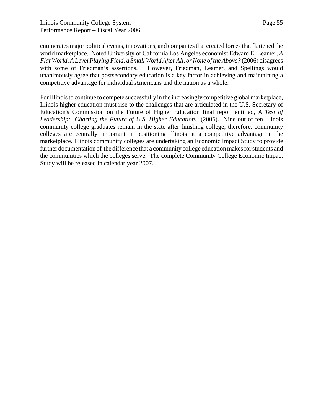enumerates major political events, innovations, and companies that created forces that flattened the world marketplace. Noted University of California Los Angeles economist Edward E. Leamer, *A Flat World, A Level Playing Field, a Small World After All, or None of the Above?* (2006) disagrees with some of Friedman's assertions. However, Friedman, Leamer, and Spellings would unanimously agree that postsecondary education is a key factor in achieving and maintaining a competitive advantage for individual Americans and the nation as a whole.

For Illinois to continue to compete successfully in the increasingly competitive global marketplace, Illinois higher education must rise to the challenges that are articulated in the U.S. Secretary of Education's Commission on the Future of Higher Education final report entitled, *A Test of Leadership: Charting the Future of U.S. Higher Education*. (2006). Nine out of ten Illinois community college graduates remain in the state after finishing college; therefore, community colleges are centrally important in positioning Illinois at a competitive advantage in the marketplace. Illinois community colleges are undertaking an Economic Impact Study to provide further documentation of the difference that a community college education makes for students and the communities which the colleges serve. The complete Community College Economic Impact Study will be released in calendar year 2007.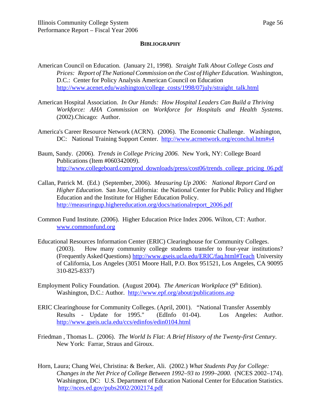#### **BIBLIOGRAPHY**

- American Council on Education. (January 21, 1998). *Straight Talk About College Costs and Prices: Report of The National Commission on the Cost of Higher Education.* Washington, D.C.: Center for Policy Analysis American Council on Education http://www.acenet.edu/washington/college\_costs/1998/07july/straight\_talk.html
- American Hospital Association. *In Our Hands: How Hospital Leaders Can Build a Thriving Workforce: AHA Commission on Workforce for Hospitals and Health Systems*. (2002).Chicago: Author.
- America's Career Resource Network (ACRN). (2006). The Economic Challenge. Washington, DC: National Training Support Center. http://www.acrnetwork.org/econchal.htm#s4
- Baum, Sandy. (2006). *Trends in College Pricing 2006.* New York, NY: College Board Publications (Item #060342009). http://www.collegeboard.com/prod\_downloads/press/cost06/trends\_college\_pricing\_06.pdf
- Callan, Patrick M. (Ed.) (September, 2006). *Measuring Up 2006: National Report Card on Higher Education.* San Jose, California: the National Center for Public Policy and Higher Education and the Institute for Higher Education Policy. http://measuringup.highereducation.org/docs/nationalreport\_2006.pdf
- Common Fund Institute. (2006). Higher Education Price Index 2006. Wilton, CT: Author. www.commonfund.org
- Educational Resources Information Center (ERIC) Clearinghouse for Community Colleges. (2003). How many community college students transfer to four-year institutions? (Frequently Asked Questions) http://www.gseis.ucla.edu/ERIC/faq.html#Teach University of California, Los Angeles (3051 Moore Hall, P.O. Box 951521, Los Angeles, CA 90095 310-825-8337)
- Employment Policy Foundation. (August 2004). *The American Workplace* (9<sup>th</sup> Edition). Washington, D.C.: Author. http://www.epf.org/about/publications.asp
- ERIC Clearinghouse for Community Colleges. (April, 2001). "National Transfer Assembly Results - Update for 1995." (EdInfo 01-04). Los Angeles: Author. http://www.gseis.ucla.edu/ccs/edinfos/edin0104.html
- Friedman , Thomas L. (2006). *The World Is Flat: A Brief History of the Twenty-first Century*. New York: Farrar, Straus and Giroux.
- Horn, Laura; Chang Wei, Christina: & Berker, Ali. (2002.) *What Students Pay for College: Changes in the Net Price of College Between 1992–93 to 1999–2000.* (NCES 2002–174). Washington, DC: U.S. Department of Education National Center for Education Statistics. http://nces.ed.gov/pubs2002/2002174.pdf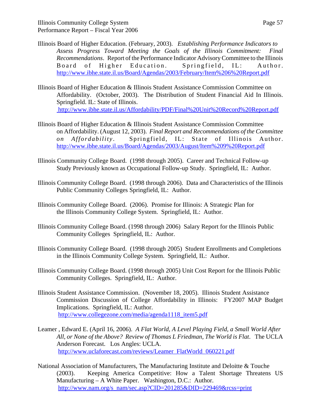- Illinois Board of Higher Education. (February, 2003). *Establishing Performance Indicators to Assess Progress Toward Meeting the Goals of the Illinois Commitment: Final Recommendations*. Report of the Performance Indicator Advisory Committee to the Illinois Board of Higher Education. Springfield, IL: Author. http://www.ibhe.state.il.us/Board/Agendas/2003/February/Item%206%20Report.pdf
- Illinois Board of Higher Education & Illinois Student Assistance Commission Committee on Affordability. (October, 2003). The Distribution of Student Financial Aid In Illinois. Springfield. IL: State of Illinois. http://www.ibhe.state.il.us/Affordability/PDF/Final%20Unit%20Record%20Report.pdf
- Illinois Board of Higher Education & Illinois Student Assistance Commission Committee on Affordability. (August 12, 2003). *Final Report and Recommendations of the Committee on Affordability* . Springfield, IL: State of Illinois Author. http://www.ibhe.state.il.us/Board/Agendas/2003/August/Item%209%20Report.pdf
- Illinois Community College Board. (1998 through 2005). Career and Technical Follow-up Study Previously known as Occupational Follow-up Study. Springfield, IL: Author.
- Illinois Community College Board. (1998 through 2006). Data and Characteristics of the Illinois Public Community Colleges Springfield, IL: Author.
- Illinois Community College Board. (2006). Promise for Illinois: A Strategic Plan for the Illinois Community College System. Springfield, IL: Author.
- Illinois Community College Board. (1998 through 2006) Salary Report for the Illinois Public Community Colleges Springfield, IL: Author.
- Illinois Community College Board. (1998 through 2005) Student Enrollments and Completions in the Illinois Community College System. Springfield, IL: Author.
- Illinois Community College Board. (1998 through 2005) Unit Cost Report for the Illinois Public Community Colleges. Springfield, IL: Author.
- Illinois Student Assistance Commission. (November 18, 2005). Illinois Student Assistance Commission Discussion of College Affordability in Illinois: FY2007 MAP Budget Implications. Springfield, IL: Author. http://www.collegezone.com/media/agenda1118\_item5.pdf
- Leamer , Edward E. (April 16, 2006). *A Flat World, A Level Playing Field, a Small World After All, or None of the Above? Review of Thomas L Friedman, The World is Flat*. The UCLA Anderson Forecast. Los Angles: UCLA. http://www.uclaforecast.com/reviews/Leamer\_FlatWorld\_060221.pdf
- National Association of Manufacturers, The Manufacturing Institute and Deloitte & Touche (2003). Keeping America Competitive: How a Talent Shortage Threatens US Manufacturing – A White Paper. Washington, D.C.: Author. http://www.nam.org/s\_nam/sec.asp?CID=201285&DID=229469&rcss=print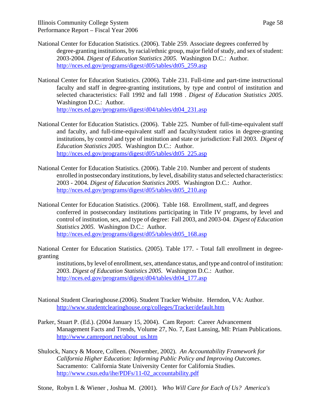- National Center for Education Statistics. (2006). Table 259. Associate degrees conferred by degree-granting institutions, by racial/ethnic group, major field of study, and sex of student: 2003-2004. *Digest of Education Statistics 2005.* Washington D.C.: Author. http://nces.ed.gov/programs/digest/d05/tables/dt05\_259.asp
- National Center for Education Statistics. (2006). Table 231. Full-time and part-time instructional faculty and staff in degree-granting institutions, by type and control of institution and selected characteristics: Fall 1992 and fall 1998 . *Digest of Education Statistics 2005.* Washington D.C.: Author.

http://nces.ed.gov/programs/digest/d04/tables/dt04\_231.asp

- National Center for Education Statistics. (2006). Table 225. Number of full-time-equivalent staff and faculty, and full-time-equivalent staff and faculty/student ratios in degree-granting institutions, by control and type of institution and state or jurisdiction: Fall 2003. *Digest of Education Statistics 2005.* Washington D.C.: Author. http://nces.ed.gov/programs/digest/d05/tables/dt05\_225.asp
- National Center for Education Statistics. (2006). Table 210. Number and percent of students enrolled in postsecondary institutions, by level, disability status and selected characteristics: 2003 - 2004. *Digest of Education Statistics 2005.* Washington D.C.: Author. http://nces.ed.gov/programs/digest/d05/tables/dt05\_210.asp
- National Center for Education Statistics. (2006). Table 168. Enrollment, staff, and degrees conferred in postsecondary institutions participating in Title IV programs, by level and control of institution, sex, and type of degree: Fall 2003, and 2003-04. *Digest of Education Statistics 2005.* Washington D.C.: Author. http://nces.ed.gov/programs/digest/d05/tables/dt05\_168.asp

National Center for Education Statistics. (2005). Table 177. - Total fall enrollment in degreegranting

institutions, by level of enrollment, sex, attendance status, and type and control of institution: 2003. *Digest of Education Statistics 2005.* Washington D.C.: Author. http://nces.ed.gov/programs/digest/d04/tables/dt04\_177.asp

- National Student Clearinghouse.(2006). Student Tracker Website. Herndon, VA: Author. http://www.studentclearinghouse.org/colleges/Tracker/default.htm
- Parker, Stuart P. (Ed.). (2004 January 15, 2004). Cam Report: Career Advancement Management Facts and Trends, Volume 27, No. 7, East Lansing, MI: Priam Publications. http://www.camreport.net/about\_us.htm
- Shulock, Nancy & Moore, Colleen. (November, 2002). *An Accountability Framework for California Higher Education: Informing Public Policy and Improving Outcomes*. Sacramento: California State University Center for California Studies. http://www.csus.edu/ihe/PDFs/11-02\_accountability.pdf

Stone, Robyn I. & Wiener , Joshua M. (2001). *Who Will Care for Each of Us? America's*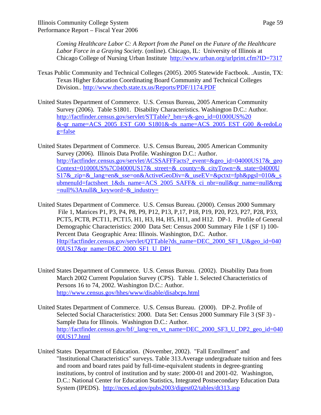*Coming Healthcare Labor C: A Report from the Panel on the Future of the Healthcare Labor Force in a Graying Society.* (online). Chicago, IL: University of Illinois at Chicago College of Nursing Urban Institute http://www.urban.org/urlprint.cfm?ID=7317

- Texas Public Community and Technical Colleges (2005). 2005 Statewide Factbook. .Austin, TX: Texas Higher Education Coordinating Board Community and Technical Colleges Division.. http://www.thecb.state.tx.us/Reports/PDF/1174.PDF
- United States Department of Commerce. U.S. Census Bureau, 2005 American Community Survey (2006). Table S1801. Disability Characteristics. Washington D.C.: Author. http://factfinder.census.gov/servlet/STTable?\_bm=y&-geo\_id=01000US%20 &-qr\_name=ACS\_2005\_EST\_G00\_S1801&-ds\_name=ACS\_2005\_EST\_G00\_&-redoLo  $g = false$

United States Department of Commerce. U.S. Census Bureau, 2005 American Community Survey (2006). Illinois Data Profile. Washington D.C.: Author. http://factfinder.census.gov/servlet/ACSSAFFFacts?\_event=&geo\_id=04000US17&\_geo Context=01000US%7C04000US17&\_street=&\_county=&\_cityTown=&\_state=04000U  $S17&\text{zip=⟨=en&}$  sse=on&ActiveGeoDiv=&\_useEV=&pctxt=fph&pgsl=010&\_s ubmenuId=factsheet\_1&ds\_name=ACS\_2005\_SAFF&\_ci\_nbr=null&qr\_name=null&reg  $=$ null%3Anull& keyword $=$ & industry $=$ 

- United States Department of Commerce. U.S. Census Bureau. (2000). Census 2000 Summary File 1, Matrices P1, P3, P4, P8, P9, P12, P13, P,17, P18, P19, P20, P23, P27, P28, P33, PCT5, PCT8, PCT11, PCT15, H1, H3, H4, H5, H11, and H12. DP-1. Profile of General Demographic Characteristics: 2000 Data Set: Census 2000 Summary File 1 (SF 1) 100- Percent Data Geographic Area: Illinois. Washington, D.C. Author. Http//factfinder.census.gov/servlet/QTTable?ds\_name=DEC\_2000\_SF1\_U&geo\_id=040 00US17&qr\_name=DEC\_2000\_SF1\_U\_DP1
- United States Department of Commerce. U.S. Census Bureau. (2002). Disability Data from March 2002 Current Population Survey (CPS). Table 1. Selected Characteristics of Persons 16 to 74, 2002. Washington D.C.: Author. http://www.census.gov/hhes/www/disable/disabcps.html
- United States Department of Commerce. U.S. Census Bureau. (2000). DP-2. Profile of Selected Social Characteristics: 2000. Data Set: Census 2000 Summary File 3 (SF 3) - Sample Data for Illinois. Washington D.C.: Author. http://factfinder.census.gov/bf/\_lang=en\_vt\_name=DEC\_2000\_SF3\_U\_DP2\_geo\_id=040 00US17.html
- United States Department of Education. (November, 2002). "Fall Enrollment" and "Institutional Characteristics" surveys. Table 313.Average undergraduate tuition and fees and room and board rates paid by full-time-equivalent students in degree-granting institutions, by control of institution and by state: 2000-01 and 2001-02. Washington, D.C.: National Center for Education Statistics, Integrated Postsecondary Education Data System (IPEDS). http://nces.ed.gov/pubs2003/digest02/tables/dt313.asp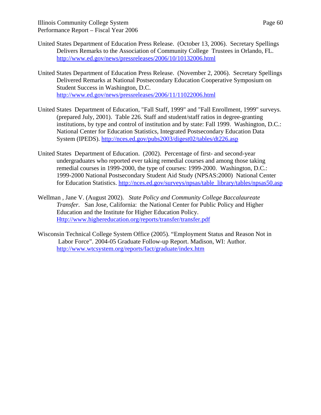- United States Department of Education Press Release. (October 13, 2006). Secretary Spellings Delivers Remarks to the Association of Community College Trustees in Orlando, FL. http://www.ed.gov/news/pressreleases/2006/10/10132006.html
- United States Department of Education Press Release. (November 2, 2006). Secretary Spellings Delivered Remarks at National Postsecondary Education Cooperative Symposium on Student Success in Washington, D.C. http://www.ed.gov/news/pressreleases/2006/11/11022006.html
- United States Department of Education, "Fall Staff, 1999" and "Fall Enrollment, 1999" surveys. (prepared July, 2001). Table 226. Staff and student/staff ratios in degree-granting institutions, by type and control of institution and by state: Fall 1999. Washington, D.C.: National Center for Education Statistics, Integrated Postsecondary Education Data System (IPEDS). http://nces.ed.gov/pubs2003/digest02/tables/dt226.asp
- United States Department of Education. (2002). Percentage of first- and second-year undergraduates who reported ever taking remedial courses and among those taking remedial courses in 1999-2000, the type of courses: 1999-2000. Washington, D.C.: 1999-2000 National Postsecondary Student Aid Study (NPSAS:2000) National Center for Education Statistics. http://nces.ed.gov/surveys/npsas/table\_library/tables/npsas50.asp
- Wellman , Jane V. (August 2002). *State Policy and Community College Baccalaureate Transfer*. San Jose, California: the National Center for Public Policy and Higher Education and the Institute for Higher Education Policy. Http://www.highereducation.org/reports/transfer/transfer.pdf
- Wisconsin Technical College System Office (2005). "Employment Status and Reason Not in Labor Force". 2004-05 Graduate Follow-up Report. Madison, WI: Author. http://www.wtcsystem.org/reports/fact/graduate/index.htm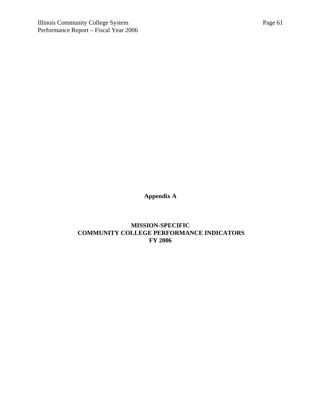**Appendix A**

**MISSION-SPECIFIC COMMUNITY COLLEGE PERFORMANCE INDICATORS FY 2006**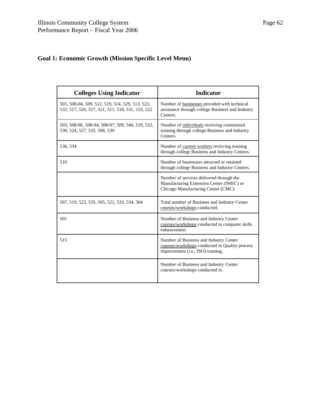# **Goal 1: Economic Growth (Mission Specific Level Menu)**

| <b>Colleges Using Indicator</b>                                                                     | <b>Indicator</b>                                                                                                              |
|-----------------------------------------------------------------------------------------------------|-------------------------------------------------------------------------------------------------------------------------------|
| 503, 508-04, 509, 512, 519, 514, 529, 513, 523,<br>532, 517, 526, 527, 521, 511, 518, 531, 533, 522 | Number of businesses provided with technical<br>assistance through college Business and Industry<br>Centers.                  |
| 503, 508-06, 508-04, 508-07, 509, 540, 519, 532,<br>530, 524, 527, 535, 506, 539                    | Number of individuals receiving customized.<br>training through college Business and Industry<br>Centers.                     |
| 536, 534                                                                                            | Number of current workers receiving training<br>through college Business and Industry Centers.                                |
| 516                                                                                                 | Number of businesses attracted or retained<br>through college Business and Industry Centers.                                  |
|                                                                                                     | Number of services delivered through the<br>Manufacturing Extension Center (IMEC) or<br>Chicago Manufacturing Center (CMC).   |
| 507, 519, 523, 535, 505, 521, 533, 534, 504                                                         | Total number of Business and Industry Center<br>courses/workshops conducted.                                                  |
| 501                                                                                                 | Number of Business and Industry Center<br>courses/workshops conducted in computer skills<br>enhancement.                      |
| 515                                                                                                 | Number of Business and Industry Center<br>courses/workshops conducted in Quality process<br>improvement (i.e., ISO) training. |
|                                                                                                     | Number of Business and Industry Center<br>courses/workshops conducted in.                                                     |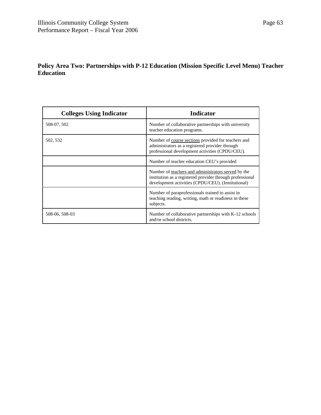| <b>Colleges Using Indicator</b> | <b>Indicator</b>                                                                                                                                                       |
|---------------------------------|------------------------------------------------------------------------------------------------------------------------------------------------------------------------|
| 508-07, 502                     | Number of collaborative partnerships with university<br>teacher education programs.                                                                                    |
| 502, 532                        | Number of course sections provided for teachers and<br>administrators as a registered provider through<br>professional development activities (CPDU/CEU).              |
|                                 | Number of teacher education CEU's provided                                                                                                                             |
|                                 | Number of teachers and administrators served by the<br>institution as a registered provider through professional<br>development activities (CPDU/CEU). (Institutional) |
|                                 | Number of paraprofessionals trained to assist in<br>teaching reading, writing, math or readiness in these<br>subjects.                                                 |
| 508-06, 508-03                  | Number of collaborative partnerships with K-12 schools<br>and/or school districts.                                                                                     |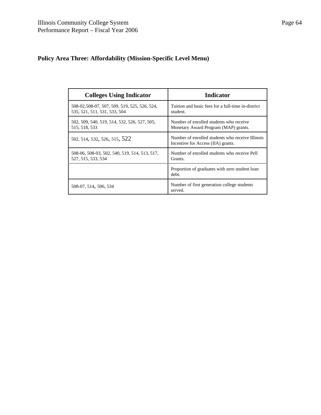# **Policy Area Three: Affordability (Mission-Specific Level Menu)**

| <b>Colleges Using Indicator</b>                                              | <b>Indicator</b>                                                                       |
|------------------------------------------------------------------------------|----------------------------------------------------------------------------------------|
| 508-02,508-07, 507, 509, 519, 525, 526, 524,<br>535, 521, 511, 531, 533, 504 | Tuition and basic fees for a full-time in-district<br>student.                         |
| 502, 509, 540, 519, 514, 532, 526, 527, 505,<br>515, 518, 533                | Number of enrolled students who receive<br>Monetary Award Program (MAP) grants.        |
| 502, 514, 532, 526, 515, 522                                                 | Number of enrolled students who receive Illinois<br>Incentive for Access (IIA) grants. |
| 508-06, 508-03, 502, 540, 519, 514, 513, 517,<br>527, 515, 533, 534          | Number of enrolled students who receive Pell<br>Grants.                                |
|                                                                              | Proportion of graduates with zero student loan<br>debt.                                |
| 508-07, 514, 506, 534                                                        | Number of first generation college students<br>served.                                 |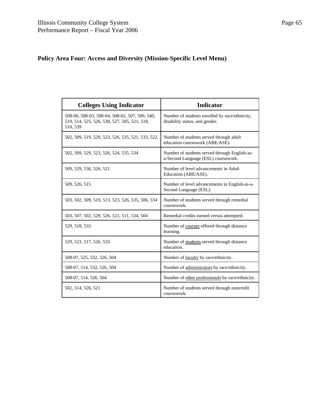# **Policy Area Four: Access and Diversity (Mission-Specific Level Menu)**

| <b>Colleges Using Indicator</b>                                                                            | <b>Indicator</b>                                                                     |
|------------------------------------------------------------------------------------------------------------|--------------------------------------------------------------------------------------|
| 508-06, 508-03, 508-04, 508-02, 507, 509, 540,<br>519, 514, 525, 526, 530, 527, 505, 521, 518,<br>510, 539 | Number of students enrolled by race/ethnicity,<br>disability status, and gender.     |
| 502, 509, 519, 529, 523, 526, 535, 521, 533, 522                                                           | Number of students served through adult<br>education coursework (ABE/ASE).           |
| 502, 509, 529, 523, 526, 524, 535, 534                                                                     | Number of students served through English-as-<br>a-Second Language (ESL) coursework. |
| 509, 529, 536, 526, 521                                                                                    | Number of level advancements in Adult<br>Education (ABE/ASE).                        |
| 509, 526, 515                                                                                              | Number of level advancements in English-as-a-<br>Second Language (ESL).              |
| 503, 502, 509, 519, 513, 523, 526, 535, 506, 534                                                           | Number of students served through remedial<br>coursework.                            |
| 503, 507, 502, 529, 526, 521, 511, 534, 504                                                                | Remedial credits earned versus attempted.                                            |
| 529, 518, 533                                                                                              | Number of courses offered through distance<br>learning.                              |
| 529, 523, 517, 526, 533                                                                                    | Number of students served through distance<br>education.                             |
| 508-07, 525, 532, 526, 504                                                                                 | Number of faculty by race/ethnicity.                                                 |
| 508-07, 514, 532, 526, 504                                                                                 | Number of administrators by race/ethnicity.                                          |
| 508-07, 514, 526, 504                                                                                      | Number of other professionals by race/ethnicity.                                     |
| 502, 514, 526, 521                                                                                         | Number of students served through noncredit<br>coursework.                           |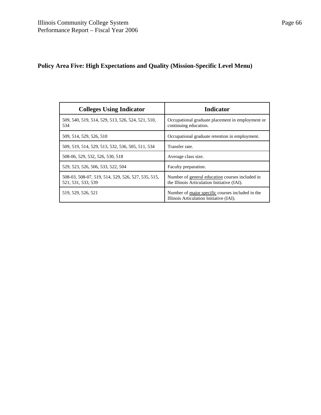# **Policy Area Five: High Expectations and Quality (Mission-Specific Level Menu)**

| <b>Colleges Using Indicator</b>                                          | <b>Indicator</b>                                                                               |
|--------------------------------------------------------------------------|------------------------------------------------------------------------------------------------|
| 509, 540, 519, 514, 529, 513, 526, 524, 521, 510,<br>534                 | Occupational graduate placement in employment or<br>continuing education.                      |
| 509, 514, 529, 526, 510                                                  | Occupational graduate retention in employment.                                                 |
| 509, 519, 514, 529, 513, 532, 536, 505, 511, 534                         | Transfer rate.                                                                                 |
| 508-06, 529, 532, 526, 530, 518                                          | Average class size.                                                                            |
| 529, 523, 526, 506, 533, 522, 504                                        | Faculty preparation.                                                                           |
| 508-03, 508-07, 519, 514, 529, 526, 527, 535, 515,<br>521, 531, 533, 539 | Number of general education courses included in<br>the Illinois Articulation Initiative (IAI). |
| 519, 529, 526, 521                                                       | Number of major specific courses included in the<br>Illinois Articulation Initiative (IAI).    |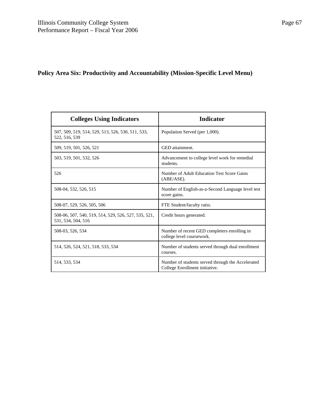# **Policy Area Six: Productivity and Accountability (Mission-Specific Level Menu)**

| <b>Colleges Using Indicators</b>                                           | <b>Indicator</b>                                                                    |
|----------------------------------------------------------------------------|-------------------------------------------------------------------------------------|
| 507, 509, 519, 514, 529, 513, 526, 530, 511, 533,<br>522, 516, 539         | Population Served (per 1,000).                                                      |
| 509, 519, 501, 526, 521                                                    | GED attainment.                                                                     |
| 503, 519, 501, 532, 526                                                    | Advancement to college level work for remedial<br>students.                         |
| 526                                                                        | Number of Adult Education Test Score Gains<br>$(ABE/ASE)$ .                         |
| 508-04, 532, 526, 515                                                      | Number of English-as-a-Second Language level test<br>score gains.                   |
| 508-07, 529, 526, 505, 506                                                 | FTE Student/faculty ratio.                                                          |
| 508-06, 507, 540, 519, 514, 529, 526, 527, 535, 521,<br>531, 534, 504, 516 | Credit hours generated.                                                             |
| 508-03, 526, 534                                                           | Number of recent GED completers enrolling in<br>college level coursework.           |
| 514, 526, 524, 521, 518, 533, 534                                          | Number of students served through dual enrollment<br>courses.                       |
| 514, 533, 534                                                              | Number of students served through the Accelerated<br>College Enrollment initiative. |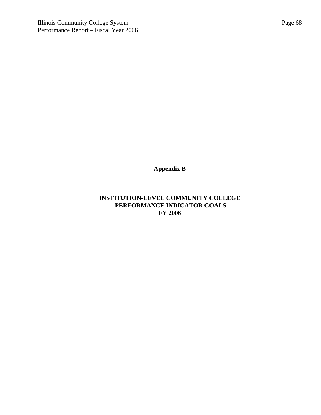**Appendix B**

# **INSTITUTION-LEVEL COMMUNITY COLLEGE PERFORMANCE INDICATOR GOALS FY 2006**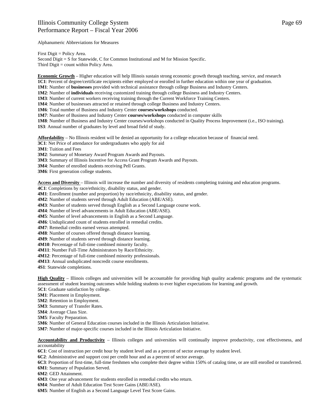#### Illinois Community College System Performance Report – Fiscal Year 2006

Alphanumeric Abbreviations for Measures

First Digit = Policy Area.

Second Digit = S for Statewide, C for Common Institutional and M for Mission Specific. Third Digit = count within Policy Area.

**Economic Growth** – Higher education will help Illinois sustain strong economic growth through teaching, service, and research **1C1**: Percent of degree/certificate recipients either employed or enrolled in further education within one year of graduation.

**1M1**: Number of **businesses** provided with technical assistance through college Business and Industry Centers.

**1M2**: Number of **individuals** receiving customized training through college Business and Industry Centers.

**1M3**: Number of current workers receiving training through the Current Workforce Training Centers.

**1M4**: Number of businesses attracted or retained through college Business and Industry Centers.

**1M6**: Total number of Business and Industry Center **courses/workshops** conducted.

**1M7**: Number of Business and Industry Center **courses/workshops** conducted in computer skills

**1M8**: Number of Business and Industry Center courses/workshops conducted in Quality Process Improvement (i.e., ISO training). **1S3**: Annual number of graduates by level and broad field of study.

**Affordability** – No Illinois resident will be denied an opportunity for a college education because of financial need.

**3C1**: Net Price of attendance for undergraduates who apply for aid

**3M1**: Tuition and Fees

**3M2**: Summary of Monetary Award Program Awards and Payouts.

**3M3**: Summary of Illinois Incentive for Access Grant Program Awards and Payouts.

**3M4**: Number of enrolled students receiving Pell Grants.

**3M6**: First generation college students.

**Access and Diversity** – Illinois will increase the number and diversity of residents completing training and education programs.

**4C1**: Completions by race/ethnicity, disability status, and gender.

**4M1**: Enrollment (number and proportion) by race/ethnicity, disability status, and gender.

**4M2**: Number of students served through Adult Education (ABE/ASE).

**4M3**: Number of students served through English as a Second Language course work.

**4M4**: Number of level advancements in Adult Education (ABE/ASE).

**4M5**: Number of level advancements in English as a Second Language.

**4M6**: Unduplicated count of students enrolled in remedial credits.

**4M7**: Remedial credits earned versus attempted.

**4M8**: Number of courses offered through distance learning.

**4M9**: Number of students served through distance learning.

**4M10**: Percentage of full-time combined minority faculty.

**4M11**: Number Full-Time Administrators by Race/Ethnicity.

**4M12**: Percentage of full-time combined minority professionals.

**4M13**: Annual unduplicated noncredit course enrollments.

**4S1**: Statewide completions.

**High Quality** – Illinois colleges and universities will be accountable for providing high quality academic programs and the systematic assessment of student learning outcomes while holding students to ever higher expectations for learning and growth.

**5C1**: Graduate satisfaction by college.

**5M1**: Placement in Employment.

**5M2**: Retention in Employment.

**5M3**: Summary of Transfer Rates.

**5M4**: Average Class Size.

**5M5**: Faculty Preparation.

**5M6**: Number of General Education courses included in the Illinois Articulation Initiative.

**5M7**: Number of major-specific courses included in the Illinois Articulation Initiative.

**Accountability and Productivity** – Illinois colleges and universities will continually improve productivity, cost effectiveness, and accountability

**6C1**: Cost of instruction per credit hour by student level and as a percent of sector average by student level.

**6C2**: Administrative and support cost per credit hour and as a percent of sector average.

**6C3**: Proportion of first-time, full-time freshmen who complete their degree within 150% of catalog time, or are still enrolled or transferred. **6M1**: Summary of Population Served.

**6M2**: GED Attainment.

**6M3**: One year advancement for students enrolled in remedial credits who return.

**6M4**: Number of Adult Education Test Score Gains (ABE/ASE).

**6M5**: Number of English as a Second Language Level Test Score Gains.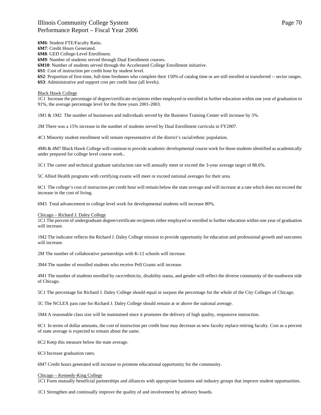### Illinois Community College System Performance Report – Fiscal Year 2006

**6M6**: Student FTE/Faculty Ratio.

**6M7**: Credit Hours Generated.

**6M8**: GED College-Level Enrollment.

**6M9**: Number of students served through Dual Enrollment courses.

**6M10**: Number of students served through the Accelerated College Enrollment initiative.

**6S1**: Cost of instruction per credit hour by student level.

**6S2**: Proportion of first-time, full-time freshmen who complete their 150% of catalog time or are still enrolled or transferred -- sector ranges.

**6S3**: Administrative and support cost per credit hour (all levels).

#### Black Hawk College

1C1 Increase the percentage of degree/certificate recipients either employed or enrolled in further education within one year of graduation to 91%, the average percentage level for the three years 2001-2003*.*

1M1 & 1M2 The number of businesses and individuals served by the Business Training Center will increase by 5%.

2M There was a 15% increase in the number of students served by Dual Enrollment curricula in FY2007.

4C1 Minority student enrollment will remain representative of the district's racial/ethnic population.

4M6 & 4M7 Black Hawk College will continue to provide academic developmental course work for those students identified as academically under prepared for college level course work..

5C1 The career and technical graduate satisfaction rate will annually meet or exceed the 3-year average target of 88.6%.

5C Allied Health programs with certifying exams will meet or exceed national averages for their area.

6C1 The college's cost of instruction per credit hour will remain below the state average and will increase at a rate which does not exceed the increase in the cost of living.

6M3 Total advancement to college level work for developmental students will increase 80%.

#### Chicago – Richard J. Daley College

1C1 The percent of undergraduate degree/certificate recipients either employed or enrolled in further education within one year of graduation will increase.

1M2 The indicator reflects the Richard J. Daley College mission to provide opportunity for education and professional growth and outcomes will increase.

2M The number of collaborative partnerships with K-12 schools will increase.

3M4 The number of enrolled students who receive Pell Grants will increase.

4M1 The number of students enrolled by race/ethnicity, disability status, and gender will reflect the diverse community of the southwest side of Chicago.

5C1 The percentage for Richard J. Daley College should equal or surpass the percentage for the whole of the City Colleges of Chicago.

5C The NCLEX pass rate for Richard J. Daley College should remain at or above the national average.

5M4 A reasonable class size will be maintained since it promotes the delivery of high quality, responsive instruction.

6C1 In terms of dollar amounts, the cost of instruction per credit hour may decrease as new faculty replace retiring faculty. Cost as a percent of state average is expected to remain about the same.

6C2 Keep this measure below the state average.

6C3 Increase graduation rates.

6M7 Credit hours generated will increase to promote educational opportunity for the community.

#### Chicago – Kennedy-King College

1C1 Form mutually beneficial partnerships and alliances with appropriate business and industry groups that improve student opportunities.

1C1 Strengthen and continually improve the quality of and involvement by advisory boards.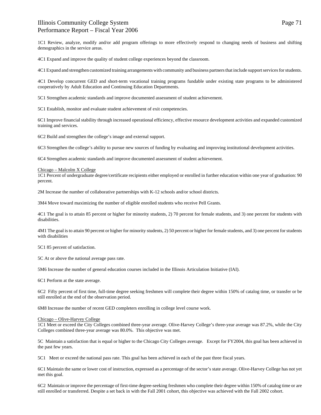1C1 Review, analyze, modify and/or add program offerings to more effectively respond to changing needs of business and shifting demographics in the service areas.

4C1 Expand and improve the quality of student college experiences beyond the classroom.

4C1 Expand and strengthen customized training arrangements with community and business partners that include support services for students.

4C1 Develop concurrent GED and short-term vocational training programs fundable under existing state programs to be administered cooperatively by Adult Education and Continuing Education Departments.

5C1 Strengthen academic standards and improve documented assessment of student achievement.

5C1 Establish, monitor and evaluate student achievement of exit competencies.

6C1 Improve financial stability through increased operational efficiency, effective resource development activities and expanded customized training and services.

6C2 Build and strengthen the college's image and external support.

6C3 Strengthen the college's ability to pursue new sources of funding by evaluating and improving institutional development activities.

6C4 Strengthen academic standards and improve documented assessment of student achievement.

#### Chicago – Malcolm X College

1C1 Percent of undergraduate degree/certificate recipients either employed or enrolled in further education within one year of graduation: 90 percent.

2M Increase the number of collaborative partnerships with K-12 schools and/or school districts.

3M4 Move toward maximizing the number of eligible enrolled students who receive Pell Grants.

4C1 The goal is to attain 85 percent or higher for minority students, 2) 70 percent for female students, and 3) one percent for students with disabilities.

4M1 The goal is to attain 90 percent or higher for minority students, 2) 50 percent or higher for female students, and 3) one percent for students with disabilities

5C1 85 percent of satisfaction.

5C At or above the national average pass rate.

5M6 Increase the number of general education courses included in the Illinois Articulation Initiative (IAI).

6C1 Perform at the state average.

6C2 Fifty percent of first time, full-time degree seeking freshmen will complete their degree within 150% of catalog time, or transfer or be still enrolled at the end of the observation period.

6M8 Increase the number of recent GED completers enrolling in college level course work.

#### Chicago – Olive-Harvey College

1C1 Meet or exceed the City Colleges combined three-year average. Olive-Harvey College's three-year average was 87.2%, while the City Colleges combined three-year average was 80.0%. This objective was met.

5C Maintain a satisfaction that is equal or higher to the Chicago City Colleges average. Except for FY2004, this goal has been achieved in the past few years.

5C1 Meet or exceed the national pass rate. This goal has been achieved in each of the past three fiscal years.

6C1 Maintain the same or lower cost of instruction, expressed as a percentage of the sector's state average. Olive-Harvey College has not yet met this goal.

6C2 Maintain or improve the percentage of first-time degree-seeking freshmen who complete their degree within 150% of catalog time or are still enrolled or transferred. Despite a set back in with the Fall 2001 cohort, this objective was achieved with the Fall 2002 cohort.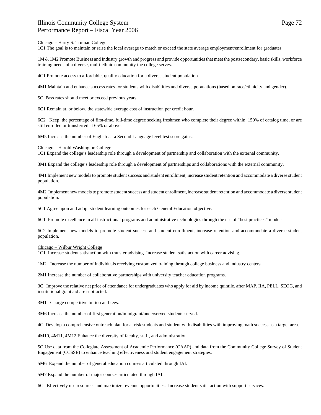### Chicago – Harry S. Truman College

1C1 The goal is to maintain or raise the local average to match or exceed the state average employment/enrollment for graduates.

1M & 1M2 Promote Business and Industry growth and progress and provide opportunities that meet the postsecondary, basic skills, workforce training needs of a diverse, multi-ethnic community the college serves.

4C1 Promote access to affordable, quality education for a diverse student population.

4M1 Maintain and enhance success rates for students with disabilities and diverse populations (based on race/ethnicity and gender).

5C Pass rates should meet or exceed previous years.

6C1 Remain at, or below, the statewide average cost of instruction per credit hour.

6C2 Keep the percentage of first-time, full-time degree seeking freshmen who complete their degree within 150% of catalog time, or are still enrolled or transferred at 65% or above.

6M5 Increase the number of English-as-a Second Language level test score gains.

#### Chicago – Harold Washington College

1C1 Expand the college's leadership role through a development of partnership and collaboration with the external community.

3M1 Expand the college's leadership role through a development of partnerships and collaborations with the external community.

4M1 Implement new models to promote student success and student enrollment, increase student retention and accommodate a diverse student population.

4M2 Implement new models to promote student success and student enrollment, increase student retention and accommodate a diverse student population.

5C1 Agree upon and adopt student learning outcomes for each General Education objective.

6C1 Promote excellence in all instructional programs and administrative technologies through the use of "best practices" models.

6C2 Implement new models to promote student success and student enrollment, increase retention and accommodate a diverse student population.

### Chicago – Wilbur Wright College

1C1 Increase student satisfaction with transfer advising Increase student satisfaction with career advising.

1M2 Increase the number of individuals receiving customized training through college business and industry centers.

2M1 Increase the number of collaborative partnerships with university teacher education programs.

3C Improve the relative net price of attendance for undergraduates who apply for aid by income quintile, after MAP, IIA, PELL, SEOG, and institutional grant aid are subtracted.

3M1 Charge competitive tuition and fees.

3M6 Increase the number of first generation/immigrant/underserved students served.

4C Develop a comprehensive outreach plan for at risk students and student with disabilities with improving math success as a target area.

4M10, 4M11, 4M12 Enhance the diversity of faculty, staff, and administration.

5C Use data from the Collegiate Assessment of Academic Performance (CAAP) and data from the Community College Survey of Student Engagement (CCSSE) to enhance teaching effectiveness and student engagement strategies.

5M6 Expand the number of general education courses articulated through IAI.

5M7 Expand the number of major courses articulated through IAI..

6C Effectively use resources and maximize revenue opportunities. Increase student satisfaction with support services.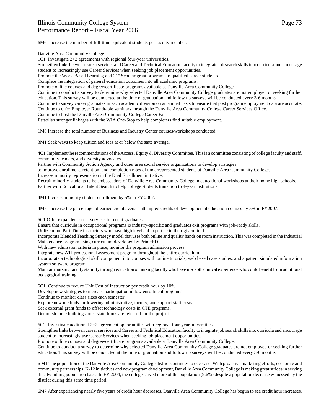6M6 Increase the number of full-time equivalent students per faculty member.

### Danville Area Community College

1C1 Investigate 2+2 agreements with regional four-year universities.

Strengthen links between career services and Career and Technical Education faculty to integrate job search skills into curricula and encourage student to increasingly use Career Services when seeking job placement opportunities.

Promote the Work-Based Learning and  $21<sup>st</sup>$  Scholar grant programs to qualified career students.

Complete the integration of general education outcomes into all academic programs.

Promote online courses and degree/certificate programs available at Danville Area Community College.

Continue to conduct a survey to determine why selected Danville Area Community College graduates are not employed or seeking further education. This survey will be conducted at the time of graduation and follow up surveys will be conducted every 3-6 months.

Continue to survey career graduates in each academic division on an annual basis to ensure that post program employment data are accurate. Continue to offer Employer Roundtable seminars through the Danville Area Community College Career Services Office.

Continue to host the Danville Area Community College Career Fair.

Establish stronger linkages with the WIA One-Stop to help completers find suitable employment.

1M6 Increase the total number of Business and Industry Center courses/workshops conducted.

3M1 Seek ways to keep tuition and fees at or below the state average.

4C1 Implement the recommendations of the Access, Equity & Diversity Committee. This is a committee consisting of college faculty and staff, community leaders, and diversity advocates.

Partner with Community Action Agency and other area social service organizations to develop strategies

to improve enrollment,.retention, and completion rates of underrepresented students at Danville Area Community College.

Increase minority representation in the Dual Enrollment initiative.

Recruit minority students to be ambassadors of Danville Area Community College in educational workshops at their home high schools. Partner with Educational Talent Search to help college students transition to 4-year institutions.

4M1 Increase minority student enrollment by 5% in FY 2007.

4M7 Increase the percentage of earned credits versus attempted credits of developmental education courses by 5% in FY2007.

5C1 Offer expanded career services to recent graduates.

Ensure that curricula in occupational programs is industry-specific and graduates exit programs with job-ready skills.

Utilize more Part-Time instructors who have high levels of expertise in their given field

Incorporate Blended Teaching Strategy model that uses both online and quality hands on room instruction. This was completed in the Industrial Maintenance program using curriculum developed by PrimeED.

With new admission criteria in place, monitor the program admission process.

Integrate new ATI professional assessment program throughout the entire curriculum

Incorporate a technological skill component into courses with online tutorials; web based case studies, and a patient simulated information system software program.

Maintain nursing faculty stability through education of nursing faculty who have in-depth clinical experience who could benefit from additional pedagogical training.

6C1 Continue to reduce Unit Cost of Instruction per credit hour by 10% .

Develop new strategies to increase participation in low enrollment programs.

Continue to monitor class sizes each semester.

Explore new methods for lowering administrative, faculty, and support staff costs.

Seek external grant funds to offset technology costs in CTE programs.

Demolish three buildings once state funds are released for the project.

6C2 Investigate additional 2+2 agreement opportunities with regional four-year universities.

Strengthen links between career services and Career and Technical Education faculty to integrate job search skills into curricula and encourage student to increasingly use Career Services when seeking job placement opportunities..

Promote online courses and degree/certificate programs available at Danville Area Community College.

Continue to conduct a survey to determine why selected Danville Area Community College graduates are not employed or seeking further education. This survey will be conducted at the time of graduation and follow up surveys will be conducted every 3-6 months.

6 M1 The population of the Danville Area Community College district continues to decrease. With proactive marketing efforts, corporate and community partnerships, K-12 initiatives and new program development, Danville Area Community College is making great strides in serving this dwindling population base. In FY 2004, the college served more of the population (9.6%) despite a population decrease witnessed by the district during this same time period.

6M7 After experiencing nearly five years of credit hour decreases, Danville Area Community College has begun to see credit hour increases.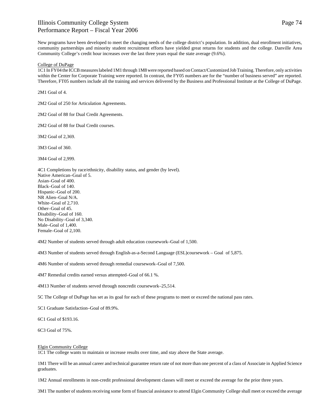New programs have been developed to meet the changing needs of the college district's population. In addition, dual enrollment initiatives, community partnerships and minority student recruitment efforts have yielded great returns for students and the college. Danville Area Community College's credit hour increases over the last three years equal the state average (9.6%).

#### College of DuPage

1C1 In FY04 the ICCB measures labeled 1M1 through 1M8 were reported based on Contact/Customized Job Training. Therefore, only activities within the Center for Corporate Training were reported. In contrast, the FY05 numbers are for the "number of business served" are reported. Therefore, FT05 numbers include all the training and services delivered by the Business and Professional Institute at the College of DuPage.

2M1 Goal of 4.

2M2 Goal of 250 for Articulation Agreements.

2M2 Goal of 88 for Dual Credit Agreements.

2M2 Goal of 88 for Dual Credit courses.

3M2 Goal of 2,369.

3M3 Goal of 360.

3M4 Goal of 2,999.

4C1 Completions by race/ethnicity, disability status, and gender (by level). Native American–Goal of 5. Asian–Goal of 400. Black–Goal of 140. Hispanic–Goal of 200. NR Alien–Goal N/A. White–Goal of 2,710. Other–Goal of 45. Disability–Goal of 160. No Disability–Goal of 3,340. Male–Goal of 1,400. Female–Goal of 2,100.

4M2 Number of students served through adult education coursework–Goal of 1,500.

4M3 Number of students served through English-as-a-Second Language (ESL)coursework – Goal of 5,875.

4M6 Number of students served through remedial coursework–Goal of 7,500.

4M7 Remedial credits earned versus attempted–Goal of 66.1 %.

4M13 Number of students served through noncredit coursework–25,514.

5C The College of DuPage has set as its goal for each of these programs to meet or exceed the national pass rates.

5C1 Graduate Satisfaction–Goal of 89.9%.

6C1 Goal of \$193.16.

6C3 Goal of 75%.

#### Elgin Community College

1C1 The college wants to maintain or increase results over time, and stay above the State average.

1M1 There will be an annual career and technical guarantee return rate of not more than one percent of a class of Associate in Applied Science graduates.

1M2 Annual enrollments in non-credit professional development classes will meet or exceed the average for the prior three years.

3M1 The number of students receiving some form of financial assistance to attend Elgin Community College shall meet or exceed the average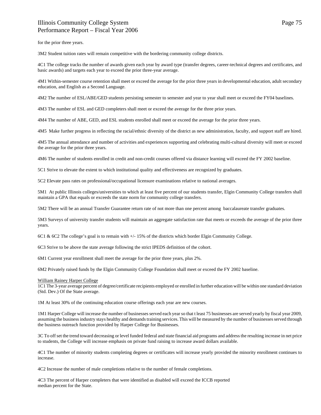for the prior three years.

3M2 Student tuition rates will remain competitive with the bordering community college districts.

4C1 The college tracks the number of awards given each year by award type (transfer degrees, career-technical degrees and certificates, and basic awards) and targets each year to exceed the prior three-year average.

4M1 Within-semester course retention shall meet or exceed the average for the prior three years in developmental education, adult secondary education, and English as a Second Language.

4M2 The number of ESL/ABE/GED students persisting semester to semester and year to year shall meet or exceed the FY04 baselines.

4M3 The number of ESL and GED completers shall meet or exceed the average for the three prior years.

4M4 The number of ABE, GED, and ESL students enrolled shall meet or exceed the average for the prior three years.

4M5 Make further progress in reflecting the racial/ethnic diversity of the district as new administration, faculty, and support staff are hired.

4M5 The annual attendance and number of activities and experiences supporting and celebrating multi-cultural diversity will meet or exceed the average for the prior three years.

4M6 The number of students enrolled in credit and non-credit courses offered via distance learning will exceed the FY 2002 baseline.

5C1 Strive to elevate the extent to which institutional quality and effectiveness are recognized by graduates.

5C2 Elevate pass rates on professional/occupational licensure examinations relative to national averages.

5M1 At public Illinois colleges/universities to which at least five percent of our students transfer, Elgin Community College transfers shall maintain a GPA that equals or exceeds the state norm for community college transfers.

5M2 There will be an annual Transfer Guarantee return rate of not more than one percent among baccalaureate transfer graduates.

5M3 Surveys of university transfer students will maintain an aggregate satisfaction rate that meets or exceeds the average of the prior three years.

6C1 & 6C2 The college's goal is to remain with +/- 15% of the districts which border Elgin Community College.

6C3 Strive to be above the state average following the strict IPEDS definition of the cohort.

6M1 Current year enrollment shall meet the average for the prior three years, plus 2%.

6M2 Privately raised funds by the Elgin Community College Foundation shall meet or exceed the FY 2002 baseline.

#### William Rainey Harper College

1C1 The 3-year average percent of degree/certificate recipients employed or enrolled in further education will be within one standard deviation (Std. Dev.) Of the State average.

1M At least 30% of the continuing education course offerings each year are new courses.

1M1 Harper College will increase the number of businesses served each year so that t least 75 businesses are served yearly by fiscal year 2009, assuming the business industry stays healthy and demands training services. This will be measured by the number of businesses served through the business outreach function provided by Harper College for Businesses.

3C To off set the trend toward decreasing or level funded federal and state financial aid programs and address the resulting increase in net price to students, the College will increase emphasis on private fund raising to increase award dollars available.

4C1 The number of minority students completing degrees or certificates will increase yearly provided the minority enrollment continues to increase.

4C2 Increase the number of male completions relative to the number of female completions.

4C3 The percent of Harper completers that were identified as disabled will exceed the ICCB reported median percent for the State.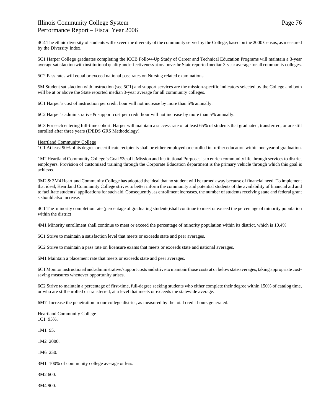4C4 The ethnic diversity of students will exceed the diversity of the community served by the College, based on the 2000 Census, as measured by the Diversity Index.

5C1 Harper College graduates completing the ICCB Follow-Up Study of Career and Technical Education Programs will maintain a 3-year average satisfaction with institutional quality and effectiveness at or above the State reported median 3-year average for all community colleges.

5C2 Pass rates will equal or exceed national pass rates on Nursing related examinations.

5M Student satisfaction with instruction (see 5C1) and support services are the mission-specific indicators selected by the College and both will be at or above the State reported median 3-year average for all community colleges.

6C1 Harper's cost of instruction per credit hour will not increase by more than 5% annually.

6C2 Harper's administrative & support cost per credit hour will not increase by more than 5% annually.

6C3 For each entering full-time cohort, Harper will maintain a success rate of at least 65% of students that graduated, transferred, or are still enrolled after three years (IPEDS GRS Methodology).

#### Heartland Community College

1C1 At least 90% of its degree or certificate recipients shall be either employed or enrolled in further education within one year of graduation.

1M2 Heartland Community College's Goal #2c of it Mission and Institutional Purposes is to enrich community life through services to district employers. Provision of customized training through the Corporate Education department is the primary vehicle through which this goal is achieved.

3M2 & 3M4 Heartland Community College has adopted the ideal that no student will be turned away because of financial need. To implement that ideal, Heartland Community College strives to better inform the community and potential students of the availability of financial aid and to facilitate students' applications for such aid. Consequently, as enrollment increases, the number of students receiving state and federal grant s should also increase.

4C1 The minority completion rate (percentage of graduating students)shall continue to meet or exceed the percentage of minority population within the district

4M1 Minority enrollment shall continue to meet or exceed the percentage of minority population within its district, which is 10.4%

5C1 Strive to maintain a satisfaction level that meets or exceeds state and peer averages.

5C2 Strive to maintain a pass rate on licensure exams that meets or exceeds state and national averages.

5M1 Maintain a placement rate that meets or exceeds state and peer averages.

6C1 Monitor instructional and administrative/support costs and strive to maintain those costs at or below state averages, taking appropriate costsaving measures whenever opportunity arises.

6C2 Strive to maintain a percentage of first-time, full-degree seeking students who either complete their degree within 150% of catalog time, or who are still enrolled or transferred, at a level that meets or exceeds the statewide average.

6M7 Increase the penetration in our college district, as measured by the total credit hours generated.

Heartland Community College 1C1 95%.

1M1 95.

1M2 2000.

1M6 250.

3M1 100% of community college average or less.

3M2 600.

3M4 900.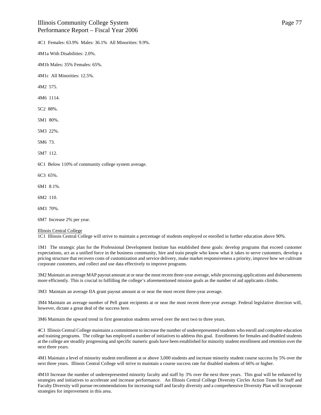4C1 Females: 63.9% Males: 36.1% All Minorities: 9.9%.

4M1a With Disabilities: 2.0%.

4M1b Males: 35% Females: 65%.

4M1c All Minorities: 12.5%.

4M2 575.

4M6 1114.

5C2 88%.

5M1 80%.

5M3 22%.

5M6 73.

5M7 112.

6C1 Below 110% of community college system average.

6C3 65%.

6M1 8.1%.

6M2 110.

6M3 70%.

6M7 Increase 2% per year.

### Illinois Central College

1C1 Illinois Central College will strive to maintain a percentage of students employed or enrolled in further education above 90%.

1M1 The strategic plan for the Professional Development Institute has established these goals: develop programs that exceed customer expectations, act as a unified force in the business community, hire and train people who know what it takes to serve customers, develop a pricing structure that recovers costs of customization and service delivery, make market responsiveness a priority, improve how we cultivate corporate customers, and collect and use data effectively to improve programs.

3M2 Maintain an average MAP payout amount at or near the most recent three-year average, while processing applications and disbursements more efficiently. This is crucial to fulfilling the college's aforementioned mission goals as the number of aid applicants climbs.

3M3 Maintain an average IIA grant payout amount at or near the most recent three-year average.

3M4 Maintain an average number of Pell grant recipients at or near the most recent three-year average. Federal legislative direction will, however, dictate a great deal of the success here.

3M6 Maintain the upward trend in first generation students served over the next two to three years.

4C1 Illinois Central College maintains a commitment to increase the number of underrepresented students who enroll and complete education and training programs. The college has employed a number of initiatives to address this goal. Enrollments for females and disabled students at the college are steadily progressing and specific numeric goals have been established for minority student enrollment and retention over the next three years.

4M1 Maintain a level of minority student enrollment at or above 3,000 students and increase minority student course success by 5% over the next three years. Illinois Central College will strive to maintain a course success rate for disabled students of 66% or higher.

4M10 Increase the number of underrepresented minority faculty and staff by 3% over the next three years. This goal will be enhanced by strategies and initiatives to accelerate and increase performance. An Illinois Central College Diversity Circles Action Team for Staff and Faculty Diversity will pursue recommendations for increasing staff and faculty diversity and a comprehensive Diversity Plan will incorporate strategies for improvement in this area.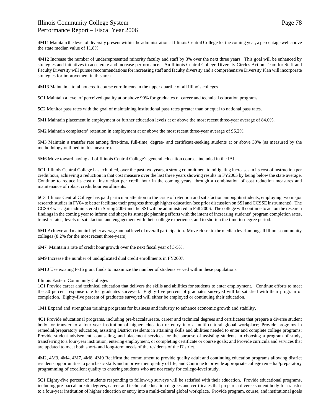4M11 Maintain the level of diversity present within the administration at Illinois Central College for the coming year, a percentage well above the state median value of 11.8%.

4M12 Increase the number of underrepresented minority faculty and staff by 3% over the next three years. This goal will be enhanced by strategies and initiatives to accelerate and increase performance. An Illinois Central College Diversity Circles Action Team for Staff and Faculty Diversity will pursue recommendations for increasing staff and faculty diversity and a comprehensive Diversity Plan will incorporate strategies for improvement in this area.

4M13 Maintain a total noncredit course enrollments in the upper quartile of all Illinois colleges.

5C1 Maintain a level of perceived quality at or above 90% for graduates of career and technical education programs.

5C2 Monitor pass rates with the goal of maintaining institutional pass rates greater than or equal to national pass rates.

5M1 Maintain placement in employment or further education levels at or above the most recent three-year average of 84.0%.

5M2 Maintain completers' retention in employment at or above the most recent three-year average of 96.2%.

5M3 Maintain a transfer rate among first-time, full-time, degree- and certificate-seeking students at or above 30% (as measured by the methodology outlined in this measure).

5M6 Move toward having all of Illinois Central College's general education courses included in the IAI.

6C1 Illinois Central College has exhibited, over the past two years, a strong commitment to mitigating increases in its cost of instruction per credit hour, achieving a reduction in that cost measure over the last three years showing results in FY2005 by being below the state average. Continue to reduce its cost of instruction per credit hour in the coming years, through a combination of cost reduction measures and maintenance of robust credit hour enrollments.

6C3 Illinois Central College has paid particular attention to the issue of retention and satisfaction among its students, employing two major research studies in FY04 to better facilitate their progress through higher education (see prior discussion on SSI and CCSSE instruments). The CCSSE was again administered in Spring 2006 and the SSI will be administered in Fall 2006. The college will continue to act on the research findings in the coming year to inform and shape its strategic planning efforts with the intent of increasing students' program completion rates, transfer rates, levels of satisfaction and engagement with their college experience, and to shorten the time-to-degree period.

6M1 Achieve and maintain higher average annual level of overall participation. Move closer to the median level among all Illinois community colleges (8.2% for the most recent three-years).

6M7 Maintain a rate of credit hour growth over the next fiscal year of 3-5%.

6M9 Increase the number of unduplicated dual credit enrollments in FY2007.

6M10 Use existing P-16 grant funds to maximize the number of students served within these populations.

### Illinois Eastern Community Colleges

1C1 Provide career and technical education that delivers the skills and abilities for students to enter employment. Continue efforts to meet the 50 percent response rate for graduates surveyed. Eighty-five percent of graduates surveyed will be satisfied with their program of completion. Eighty-five percent of graduates surveyed will either be employed or continuing their education.

1M1 Expand and strengthen training programs for business and industry to enhance economic growth and stability.

4C1 Provide educational programs, including pre-baccalaureate, career and technical degrees and certificates that prepare a diverse student body for transfer to a four-year institution of higher education or entry into a multi-cultural global workplace; Provide programs in remedial/preparatory education, assisting District residents in attaining skills and abilities needed to enter and complete college programs; Provide student advisement, counseling, and placement services for the purpose of assisting students in choosing a program of study, transferring to a four-year institution, entering employment, or completing certificate or course goals; and Provide curricula and services that are updated to meet both short- and long-term needs of the residents of the District.

4M2, 4M3, 4M4, 4M7, 4M8, 4M9 Reaffirm the commitment to provide quality adult and continuing education programs allowing district residents opportunities to gain basic skills and improve their quality of life; and Continue to provide appropriate college remedial/preparatory programming of excellent quality to entering students who are not ready for college-level study.

5C1 Eighty-five percent of students responding to follow-up surveys will be satisfied with their education. Provide educational programs, including pre-baccalaureate degrees, career and technical education degrees and certificates that prepare a diverse student body for transfer to a four-year institution of higher education or entry into a multi-cultural global workplace. Provide program, course, and institutional goals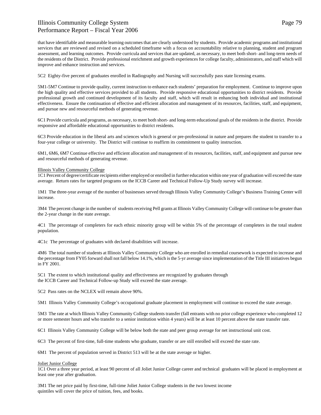that have identifiable and measurable learning outcomes that are clearly understood by students. Provide academic programs and institutional services that are reviewed and revised on a scheduled timeframe with a focus on accountability relative to planning, student and program assessment, and learning outcomes. Provide curricula and services that are updated, as necessary, to meet both short- and long-term needs of the residents of the District. Provide professional enrichment and growth experiences for college faculty, administrators, and staff which will improve and enhance instruction and services.

5C2 Eighty-five percent of graduates enrolled in Radiography and Nursing will successfully pass state licensing exams.

5M1-5M7 Continue to provide quality, current instruction to enhance each students' preparation for employment. Continue to improve upon the high quality and effective services provided to all students. Provide responsive educational opportunities to district residents. Provide professional growth and continued development of its faculty and staff, which will result in enhancing both individual and institutional effectiveness. Ensure the continuation of effective and efficient allocation and management of its resources, facilities, staff, and equipment, and pursue new and resourceful methods of generating revenue.

6C1 Provide curricula and programs, as necessary, to meet both short- and long-term educational goals of the residents in the district. Provide responsive and affordable educational opportunities to district residents.

6C3 Provide education in the liberal arts and sciences which is general or pre-professional in nature and prepares the student to transfer to a four-year college or university. The District will continue to reaffirm its commitment to quality instruction.

6M1, 6M6, 6M7 Continue effective and efficient allocation and management of its resources, facilities, staff, and equipment and pursue new and resourceful methods of generating revenue.

### Illinois Valley Community College

1C1 Percent of degree/certificate recipients either employed or enrolled in further education within one year of graduation will exceed the state average. Return rates for targeted programs on the ICCB Career and Technical Follow-Up Study survey will increase.

1M1 The three-year average of the number of businesses served through Illinois Valley Community College's Business Training Center will increase.

3M4 The percent change in the number of students receiving Pell grants at Illinois Valley Community College will continue to be greater than the 2-year change in the state average.

4C1 The percentage of completers for each ethnic minority group will be within 5% of the percentage of completers in the total student population.

4C1c The percentage of graduates with declared disabilities will increase.

4M6 The total number of students at Illinois Valley Community College who are enrolled in remedial coursework is expected to increase and the percentage from FY05 forward shall not fall below 14.1%, which is the 5-yr average since implementation of the Title III initiatives begun in FY 2001.

5C1 The extent to which institutional quality and effectiveness are recognized by graduates through the ICCB Career and Technical Follow-up Study will exceed the state average.

5C2 Pass rates on the NCLEX will remain above 90%.

5M1 Illinois Valley Community College's occupational graduate placement in employment will continue to exceed the state average.

5M3 The rate at which Illinois Valley Community College students transfer (fall entrants with no prior college experience who completed 12 or more semester hours and who transfer to a senior institution within 4 years) will be at least 10 percent above the state transfer rate.

6C1 Illinois Valley Community College will be below both the state and peer group average for net instructional unit cost.

6C3 The percent of first-time, full-time students who graduate, transfer or are still enrolled will exceed the state rate.

6M1 The percent of population served in District 513 will be at the state average or higher.

### Joliet Junior College

1C1 Over a three year period, at least 90 percent of all Joliet Junior College career and technical graduates will be placed in employment at least one year after graduation.

3M1 The net price paid by first-time, full-time Joliet Junior College students in the two lowest income quintiles will cover the price of tuition, fees, and books.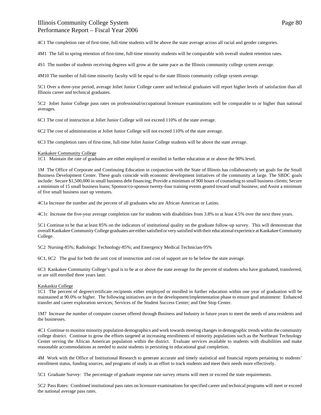4C1 The completion rate of first-time, full-time students will be above the state average across all racial and gender categories.

4M1 The fall to spring retention of first-time, full-time minority students will be comparable with overall student retention rates.

4S1 The number of students receiving degrees will grow at the same pace as the Illinois community college system average.

4M10 The number of full-time minority faculty will be equal to the state Illinois community college system average.

5C1 Over a three-year period, average Joliet Junior College career and technical graduates will report higher levels of satisfaction than all Illinois career and technical graduates.

5C2 Joliet Junior College pass rates on professional/occupational licensure examinations will be comparable to or higher than national averages.

6C1 The cost of instruction at Joliet Junior College will not exceed 110% of the state average.

6C2 The cost of administration at Joliet Junior College will not exceed 110% of the state average.

6C3 The completion rates of first-time, full-time Joliet Junior College students will be above the state average.

### Kankakee Community College

1C1 Maintain the rate of graduates are either employed or enrolled in further education at or above the 90% level.

1M The Office of Corporate and Continuing Education in conjunction with the State of Illinois has collaboratively set goals for the Small Business Development Center. These goals coincide with economic development initiatives of the community at large. The SBDC goals include: Secure \$1,500,000 in small business debt financing; Provide a minimum of 900 hours of counseling to small business clients; Secure a minimum of 15 small business loans; Sponsor/co-sponsor twenty-four training events geared toward small business; and Assist a minimum of five small business start up ventures.

4C1a Increase the number and the percent of all graduates who are African American or Latino.

4C1c Increase the five-year average completion rate for students with disabilities from 3.8% to at least 4.5% over the next three years.

5C1 Continue to be that at least 85% on the indicators of institutional quality on the graduate follow-up survey. This will demonstrate that overall Kankakee Community College graduates are either satisfied or very satisfied with their educational experience at Kankakee Community College.

5C2 Nursing-85%; Radiologic Technology-85%; and Emergency Medical Technician-95%

6C1, 6C2 The goal for both the unit cost of instruction and cost of support are to be below the state average.

6C3 Kankakee Community College's goal is to be at or above the state average for the percent of students who have graduated, transferred, or are still enrolled three years later.

### Kaskaskia College

1C1 The percent of degree/certificate recipients either employed or enrolled in further education within one year of graduation will be maintained at 90.0% or higher. The following initiatives are in the development/implementation phase to ensure goal attainment: Enhanced transfer and career exploration services; Services of the Student Success Center; and One Stop Center.

1M7 Increase the number of computer courses offered through Business and Industry in future years to meet the needs of area residents and the businesses.

4C1 Continue to monitor minority population demographics and work towards meeting changes in demographic trends within the community college district. Continue to grow the efforts targeted at increasing enrollments of minority populations such as the Northeast Technology Center serving the African American population within the district. Evaluate services available to students with disabilities and make reasonable accommodations as needed to assist students in persisting to educational goal completion.

4M Work with the Office of Institutional Research to generate accurate and timely statistical and financial reports pertaining to students' enrollment status, funding sources, and programs of study in an effort to track students and meet their needs more effectively.

5C1 Graduate Survey: The percentage of graduate response rate survey returns will meet or exceed the state requirements.

5C2 Pass Rates: Combined institutional pass rates on licensure examinations for specified career and technical programs will meet or exceed the national average pass rates.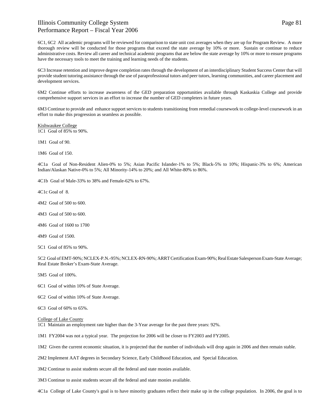6C1, 6C2 All academic programs will be reviewed for comparison to state unit cost averages when they are up for Program Review. A more thorough review will be conducted for those programs that exceed the state average by 10% or more. Sustain or continue to reduce administrative costs. Review all career and technical academic programs that are below the state average by 10% or more to ensure programs have the necessary tools to meet the training and learning needs of the students.

6C3 Increase retention and improve degree completion rates through the development of an interdisciplinary Student Success Center that will provide student tutoring assistance through the use of paraprofessional tutors and peer tutors, learning communities, and career placement and development services.

6M2 Continue efforts to increase awareness of the GED preparation opportunities available through Kaskaskia College and provide comprehensive support services in an effort to increase the number of GED completers in future years.

6M3 Continue to provide and enhance support services to students transitioning from remedial coursework to college-level coursework in an effort to make this progression as seamless as possible.

Kishwaukee College 1C1 Goal of 85% to 90%.

1M1 Goal of 90.

1M6 Goal of 150.

4C1a Goal of Non-Resident Alien-0% to 5%; Asian Pacific Islander-1% to 5%; Black-5% to 10%; Hispanic-3% to 6%; American Indian/Alaskan Native-0% to 5%; All Minority-14% to 20%; and All White-80% to 86%.

4C1b Goal of Male-33% to 38% and Female-62% to 67%.

4C1c Goal of 8.

- 4M2 Goal of 500 to 600.
- 4M3 Goal of 500 to 600.
- 4M6 Goal of 1600 to 1700

4M9 Goal of 1500.

5C1 Goal of 85% to 90%.

5C2 Goal of EMT-90%; NCLEX-P.N.-95%; NCLEX-RN-90%; ARRT Certification Exam-90%; Real Estate Salesperson Exam-State Average; Real Estate Broker's Exam-State Average.

5M5 Goal of 100%.

- 6C1 Goal of within 10% of State Average.
- 6C2 Goal of within 10% of State Average.

6C3 Goal of 60% to 65%.

College of Lake County

1C1 Maintain an employment rate higher than the 3-Year average for the past three years: 92%.

1M1 FY2004 was not a typical year. The projection for 2006 will be closer to FY2003 and FY2005.

1M2 Given the current economic situation, it is projected that the number of individuals will drop again in 2006 and then remain stable.

2M2 Implement AAT degrees in Secondary Science, Early Childhood Education, and Special Education.

3M2 Continue to assist students secure all the federal and state monies available.

3M3 Continue to assist students secure all the federal and state monies available.

4C1a College of Lake County's goal is to have minority graduates reflect their make up in the college population. In 2006, the goal is to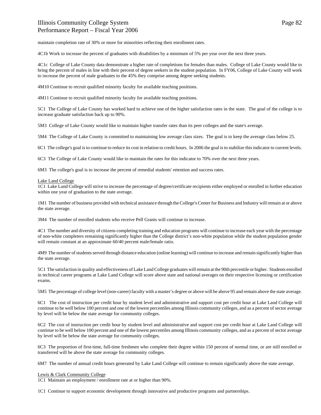maintain completion rate of 30% or more for minorities reflecting their enrollment rates.

4C1b Work to increase the percent of graduates with disabilities by a minimum of 5% per year over the next three years.

4C1c College of Lake County data demonstrate a higher rate of completions for females than males. College of Lake County would like to bring the percent of males in line with their percent of degree seekers in the student population. In FY06, College of Lake County will work to increase the percent of male graduates to the 45% they comprise among degree seeking students.

4M10 Continue to recruit qualified minority faculty for available teaching positions.

4M11 Continue to recruit qualified minority faculty for available teaching positions.

5C1 The College of Lake County has worked hard to achieve one of the higher satisfaction rates in the state. The goal of the college is to increase graduate satisfaction back up to 90%.

5M3 College of Lake County would like to maintain higher transfer rates than its peer colleges and the state's average.

5M4 The College of Lake County is committed to maintaining low average class sizes. The goal is to keep the average class below 25.

6C1 The college's goal is to continue to reduce its cost in relation to credit hours. In 2006 the goal is to stabilize this indicator to current levels.

6C3 The College of Lake County would like to maintain the rates for this indicator to 70% over the next three years.

6M3 The college's goal is to increase the percent of remedial students' retention and success rates.

Lake Land College

1C1 Lake Land College will strive to increase the percentage of degree/certificate recipients either employed or enrolled in further education within one year of graduation to the state average.

1M1 The number of business provided with technical assistance through the College's Center for Business and Industry will remain at or above the state average.

3M4 The number of enrolled students who receive Pell Grants will continue to increase.

4C1 The number and diversity of citizens completing training and education programs will continue to increase each year with the percentage of non-white completers remaining significantly higher than the College district's non-white population while the student population gender will remain constant at an approximate 60/40 percent male/female ratio.

4M9 The number of students served through distance education (online learning) will continue to increase and remain significantly higher than the state average.

5C1 The satisfaction in quality and effectiveness of Lake Land College graduates will remain at the 90th percentile or higher. Students enrolled in technical career programs at Lake Land College will score above state and national averages on their respective licensing or certification exams.

5M5 The percentage of college level (non-career) faculty with a master's degree or above will be above 95 and remain above the state average.

6C1 The cost of instruction per credit hour by student level and administrative and support cost per credit hour at Lake Land College will continue to be well below 100 percent and one of the lowest percentiles among Illinois community colleges, and as a percent of sector average by level will be below the state average for community colleges.

6C2 The cost of instruction per credit hour by student level and administrative and support cost per credit hour at Lake Land College will continue to be well below 100 percent and one of the lowest percentiles among Illinois community colleges, and as a percent of sector average by level will be below the state average for community colleges.

6C3 The proportion of first-time, full-time freshmen who complete their degree within 150 percent of normal time, or are still enrolled or transferred will be above the state average for community colleges.

6M7 The number of annual credit hours generated by Lake Land College will continue to remain significantly above the state average.

### Lewis & Clark Community College

1C1 Maintain an employment / enrollment rate at or higher than 90%.

1C1 Continue to support economic development through innovative and productive programs and partnerships.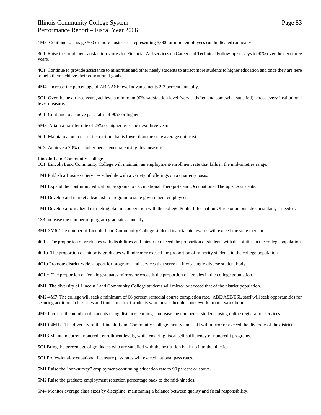1M3 Continue to engage 500 or more businesses representing 5,000 or more employees (unduplicated) annually.

3C1 Raise the combined satisfaction scores for Financial Aid services on Career and Technical Follow-up surveys to 90% over the next three years.

4C1 Continue to provide assistance to minorities and other needy students to attract more students to higher education and once they are here to help them achieve their educational goals.

4M4 Increase the percentage of ABE/ASE level advancements 2-3 percent annually.

5C1 Over the next three years, achieve a minimum 90% satisfaction level (very satisfied and somewhat satisfied) across every institutional level measure.

5C1 Continue to achieve pass rates of 90% or higher.

5M3 Attain a transfer rate of 25% or higher over the next three years.

6C1 Maintain a unit cost of instruction that is lower than the state average unit cost.

6C3 Achieve a 70% or higher persistence rate using this measure.

#### Lincoln Land Community College

1C1 Lincoln Land Community College will maintain an employment/enrollment rate that falls in the mid-nineties range.

1M1 Publish a Business Services schedule with a variety of offerings on a quarterly basis.

1M1 Expand the continuing education programs to Occupational Therapists and Occupational Therapist Assistants.

1M1 Develop and market a leadership program to state government employees.

1M1 Develop a formalized marketing plan in cooperation with the college Public Information Office or an outside consultant, if needed.

1S3 Increase the number of program graduates annually.

3M1-3M6 The number of Lincoln Land Community College student financial aid awards will exceed the state median.

4C1a The proportion of graduates with disabilities will mirror or exceed the proportion of students with disabilities in the college population.

4C1b The proportion of minority graduates will mirror or exceed the proportion of minority students in the college population.

4C1b Promote district-wide support for programs and services that serve an increasingly diverse student body.

4C1c: The proportion of female graduates mirrors or exceeds the proportion of females in the college population.

4M1 The diversity of Lincoln Land Community College students will mirror or exceed that of the district population.

4M2-4M7 The college will seek a minimum of 66 percent remedial course completion rate. ABE/ASE/ESL staff will seek opportunities for securing additional class sites and times to attract students who must schedule coursework around work hours.

4M9 Increase the number of students using distance learning. Increase the number of students using online registration services.

4M10-4M12 The diversity of the Lincoln Land Community College faculty and staff will mirror or exceed the diversity of the district.

4M13 Maintain current noncredit enrollment levels, while ensuring fiscal self sufficiency of noncredit programs.

5C1 Bring the percentage of graduates who are satisfied with the institution back up into the nineties.

5C1 Professional/occupational licensure pass rates will exceed national pass rates.

5M1 Raise the "non-survey" employment/continuing education rate to 90 percent or above.

5M2 Raise the graduate employment retention percentage back to the mid-nineties.

5M4 Monitor average class sizes by discipline, maintaining a balance between quality and fiscal responsibility.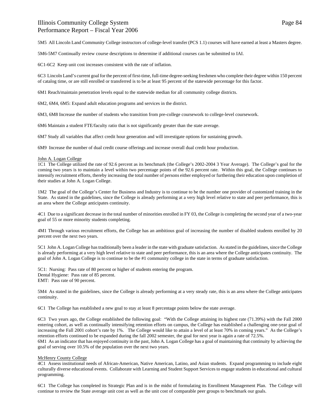5M5 All Lincoln Land Community College instructors of college-level transfer (PCS 1.1) courses will have earned at least a Masters degree.

5M6-5M7 Continually review course descriptions to determine if additional courses can be submitted to IAI.

6C1-6C2 Keep unit cost increases consistent with the rate of inflation.

6C3 Lincoln Land's current goal for the percent of first-time, full-time degree-seeking freshmen who complete their degree within 150 percent of catalog time, or are still enrolled or transferred is to be at least 95 percent of the statewide percentage for this factor.

6M1 Reach/maintain penetration levels equal to the statewide median for all community college districts.

6M2, 6M4, 6M5: Expand adult education programs and services in the district.

6M3, 6M8 Increase the number of students who transition from pre-college coursework to college-level coursework.

6M6 Maintain a student FTE/faculty ratio that is not significantly greater than the state average.

6M7 Study all variables that affect credit hour generation and will investigate options for sustaining growth.

6M9 Increase the number of dual credit course offerings and increase overall dual credit hour production.

#### John A. Logan College

1C1 The College utilized the rate of 92.6 percent as its benchmark (the College's 2002-2004 3 Year Average). The College's goal for the coming two years is to maintain a level within two percentage points of the 92.6 percent rate. Within this goal, the College continues to intensify recruitment efforts, thereby increasing the total number of persons either employed or furthering their education upon completion of their studies at John A. Logan College.

1M2 The goal of the College's Center for Business and Industry is to continue to be the number one provider of customized training in the State. As stated in the guidelines, since the College is already performing at a very high level relative to state and peer performance, this is an area where the College anticipates continuity.

4C1 Due to a significant decrease in the total number of minorities enrolled in FY 03, the College is completing the second year of a two-year goal of 55 or more minority students completing.

4M1 Through various recruitment efforts, the College has an ambitious goal of increasing the number of disabled students enrolled by 20 percent over the next two years.

5C1 John A. Logan College has traditionally been a leader in the state with graduate satisfaction. As stated in the guidelines, since the College is already performing at a very high level relative to state and peer performance, this is an area where the College anticipates continuity. The goal of John A. Logan College is to continue to be the #1 community college in the state in terms of graduate satisfaction.

5C1: Nursing: Pass rate of 80 percent or higher of students entering the program. Dental Hygiene: Pass rate of 85 percent. EMT: Pass rate of 90 percent.

5M4 As stated in the guidelines, since the College is already performing at a very steady rate, this is an area where the College anticipates continuity.

6C1 The College has established a new goal to stay at least 8 percentage points below the state average.

6C3 Two years ago, the College established the following goal: "With the College attaining its highest rate (71.39%) with the Fall 2000 entering cohort, as well as continually intensifying retention efforts on campus, the College has established a challenging one-year goal of increasing the Fall 2001 cohort's rate by 1%. The College would like to attain a level of at least 70% in coming years." As the College's retention efforts continued to be expanded during the fall 2002 semester, the goal for next year is again a rate of 72.5%.

6M1 As an indicator that has enjoyed continuity in the past, John A. Logan College has a goal of maintaining that continuity by achieving the goal of serving over 10.5% of the population over the next two years.

#### McHenry County College

4C1 Assess institutional needs of African-American, Native American, Latino, and Asian students. Expand programming to include eight culturally diverse educational events. Collaborate with Learning and Student Support Services to engage students in educational and cultural programming.

6C1 The College has completed its Strategic Plan and is in the midst of formulating its Enrollment Management Plan. The College will continue to review the State average unit cost as well as the unit cost of comparable peer groups to benchmark our goals.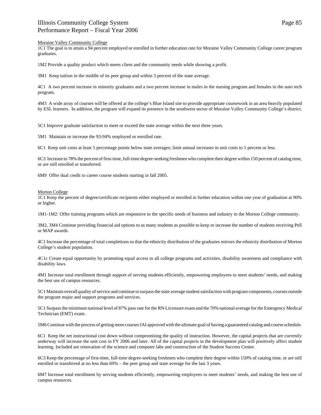### Moraine Valley Community College

1C1 The goal is to attain a 94 percent employed or enrolled in further education rate for Moraine Valley Community College career program graduates.

1M2 Provide a quality product which meets client and the community needs while showing a profit.

3M1 Keep tuition in the middle of its peer group and within 3 percent of the state average.

4C1 A two percent increase in minority graduates and a two percent increase in males in the nursing program and females in the auto tech program.

4M3 A wide array of courses will be offered at the college's Blue Island site to provide appropriate coursework in an area heavily populated by ESL learners. In addition, the program will expand its presence in the southwest sector of Moraine Valley Community College's district.

5C1 Improve graduate satisfaction to meet or exceed the state average within the next three years.

5M1 Maintain or increase the 93-94% employed or enrolled rate.

6C1 Keep unit costs at least 5 percentage points below state averages; limit annual increases in unit costs to 5 percent or less.

6C3 Increase to 78% the percent of first-time, full-time degree-seeking freshmen who complete their degree within 150 percent of catalog time, or are still enrolled or transferred.

6M9 Offer dual credit to career course students starting in fall 2005.

#### Morton College

1C1 Keep the percent of degree/certificate recipients either employed or enrolled in further education within one year of graduation at 90% or higher.

1M1-1M2: Offer training programs which are responsive to the specific needs of business and industry in the Morton College community.

3M2, 3M4 Continue providing financial aid options to as many students as possible to keep or increase the number of students receiving Pell or MAP awards.

4C1 Increase the percentage of total completions so that the ethnicity distribution of the graduates mirrors the ethnicity distribution of Morton College's student population.

4C1c Create equal opportunity by promoting equal access to all college programs and activities, disability awareness and compliance with disability laws.

4M1 Increase total enrollment through support of serving students efficiently, empowering employees to meet students' needs, and making the best use of campus resources.

5C1 Maintain overall quality of service and continue to surpass the state average student satisfaction with program components, courses outside the program major and support programs and services.

5C1 Surpass the minimum national level of 87% pass rate for the RN Licensure exam and the 70% national average for the Emergency Medical Technician (EMT) exam.

5M6 Continue with the process of getting more courses IAI approved with the ultimate goal of having a guaranteed catalog and course schedule.

6C1 Keep the net instructional cost down without compromising the quality of instruction. However, the capital projects that are currently underway will increase the unit cost in FY 2006 and later. All of the capital projects in the development plan will positively affect student learning. Included are renovation of the science and computer labs and construction of the Student Success Center.

6C3 Keep the percentage of first-time, full-time degree-seeking freshmen who complete their degree within 150% of catalog time, or are still enrolled or transferred at no less than 69% – the peer group and state average for the last 3 years.

6M7 Increase total enrollment by serving students efficiently, empowering employees to meet students' needs, and making the best use of campus resources.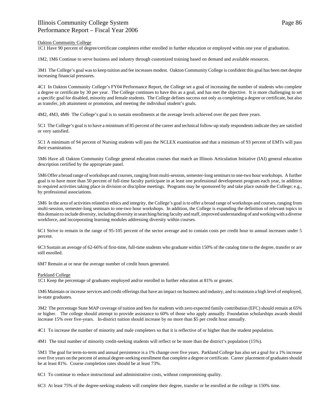### Oakton Community College

1C1 Have 90 percent of degree/certificate completers either enrolled in further education or employed within one year of graduation.

1M2, 1M6 Continue to serve business and industry through customized training based on demand and available resources.

3M1 The College's goal was to keep tuition and fee increases modest. Oakton Community College is confident this goal has been met despite increasing financial pressures.

4C1 In Oakton Community College's FY04 Performance Report, the College set a goal of increasing the number of students who complete a degree or certificate by 30 per year. The College continues to have this as a goal, and has met the objective. It is more challenging to set a specific goal for disabled, minority and female students. The College defines success not only as completing a degree or certificate, but also as transfer, job attainment or promotion, and meeting the individual student's goals.

4M2, 4M3, 4M6 The College's goal is to sustain enrollments at the average levels achieved over the past three years.

5C1 The College's goal is to have a minimum of 85 percent of the career and technical follow-up study respondents indicate they are satisfied or very satisfied.

5C1 A minimum of 94 percent of Nursing students will pass the NCLEX examination and that a minimum of 93 percent of EMTs will pass their examination.

5M6 Have all Oakton Community College general education courses that match an Illinois Articulation Initiative (IAI) general education description certified by the appropriate panel.

5M6 Offer a broad range of workshops and courses, ranging from multi-session, semester-long seminars to one-two hour workshops. A further goal is to have more than 50 percent of full-time faculty participate in at least one professional development program each year, in addition to required activities taking place in division or discipline meetings. Programs may be sponsored by and take place outside the College; e.g., by professional associations.

5M6 In the area of activities related to ethics and integrity, the College's goal is to offer a broad range of workshops and courses, ranging from multi-session, semester-long seminars to one-two hour workshops. In addition, the College is expanding the definition of relevant topics in this domain to include diversity, including diversity in searching/hiring faculty and staff, improved understanding of and working with a diverse workforce, and incorporating learning modules addressing diversity within courses.

6C1 Strive to remain in the range of 95-105 percent of the sector average and to contain costs per credit hour to annual increases under 5 percent.

6C3 Sustain an average of 62-66% of first-time, full-time students who graduate within 150% of the catalog time to the degree, transfer or are still enrolled.

6M7 Remain at or near the average number of credit hours generated.

### Parkland College

1C1 Keep the percentage of graduates employed and/or enrolled in further education at 81% or greater.

1M6 Maintain or increase services and credit offerings that have an impact on business and industry, and to maintain a high level of employed, in-state graduates.

3M2 The percentage State MAP coverage of tuition and fees for students with zero expected family contribution (EFC) should remain at 65% or higher. The college should attempt to provide assistance to 60% of those who apply annually. Foundation scholarships awards should increase 15% over five-years. In-district tuition should increase by no more than \$5 per credit hour annually.

4C1 To increase the number of minority and male completers so that it is reflective of or higher than the student population.

4M1 The total number of minority credit-seeking students will reflect or be more than the district's population (15%).

5M3 The goal for term-to-term and annual persistence is a 1% change over five years. Parkland College has also set a goal for a 1% increase over five years on the percent of annual degree-seeking enrollment that complete a degree or certificate. Career placement of graduates should be at least 81%. Course completion rates should be at least 73%.

6C1 To continue to reduce instructional and administrative costs, without compromising quality.

6C3 At least 75% of the degree-seeking students will complete their degree, transfer or be enrolled at the college in 150% time.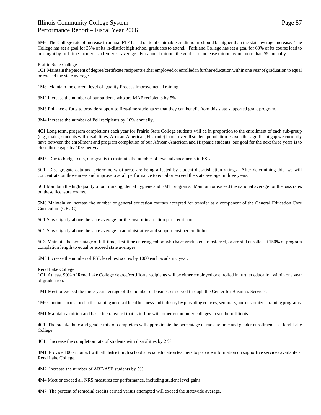6M6 The College rate of increase in annual FTE based on total claimable credit hours should be higher than the state average increase. The College has set a goal for 35% of its in-district high school graduates to attend. Parkland College has set a goal for 60% of its course load to be taught by full-time faculty as a five-year average. For annual tuition, the goal is to increase tuition by no more than \$5 annually.

### Prairie State College

1C1 Maintain the percent of degree/certificate recipients either employed or enrolled in further education within one year of graduation to equal or exceed the state average.

1M8 Maintain the current level of Quality Process Improvement Training.

3M2 Increase the number of our students who are MAP recipients by 5%.

3M3 Enhance efforts to provide support to first-time students so that they can benefit from this state supported grant program.

3M4 Increase the number of Pell recipients by 10% annually.

4C1 Long term, program completions each year for Prairie State College students will be in proportion to the enrollment of each sub-group (e.g., males, students with disabilities, African-American, Hispanic) in our overall student population. Given the significant gap we currently have between the enrollment and program completion of our African-American and Hispanic students, our goal for the next three years is to close those gaps by 10% per year.

4M5 Due to budget cuts, our goal is to maintain the number of level advancements in ESL.

5C1 Dissagregate data and determine what areas are being affected by student dissatisfaction ratings. After determining this, we will concentrate on those areas and improve overall performance to equal or exceed the state average in three years.

5C1 Maintain the high quality of our nursing, dental hygiene and EMT programs. Maintain or exceed the national average for the pass rates on these licensure exams.

5M6 Maintain or increase the number of general education courses accepted for transfer as a component of the General Education Core Curriculum (GECC).

6C1 Stay slightly above the state average for the cost of instruction per credit hour.

6C2 Stay slightly above the state average in administrative and support cost per credit hour.

6C3 Maintain the percentage of full-time, first-time entering cohort who have graduated, transferred, or are still enrolled at 150% of program completion length to equal or exceed state averages.

6M5 Increase the number of ESL level test scores by 1000 each academic year.

Rend Lake College

1C1 At least 90% of Rend Lake College degree/certificate recipients will be either employed or enrolled in further education within one year of graduation.

1M1 Meet or exceed the three-year average of the number of businesses served through the Center for Business Services.

1M6 Continue to respond to the training needs of local business and industry by providing courses, seminars, and customized training programs.

3M1 Maintain a tuition and basic fee rate/cost that is in-line with other community colleges in southern Illinois.

4C1 The racial/ethnic and gender mix of completers will approximate the percentage of racial/ethnic and gender enrollments at Rend Lake College.

4C1c Increase the completion rate of students with disabilities by 2 %.

4M1 Provide 100% contact with all district high school special education teachers to provide information on supportive services available at Rend Lake College.

4M2 Increase the number of ABE/ASE students by 5%.

4M4 Meet or exceed all NRS measures for performance, including student level gains.

4M7 The percent of remedial credits earned versus attempted will exceed the statewide average.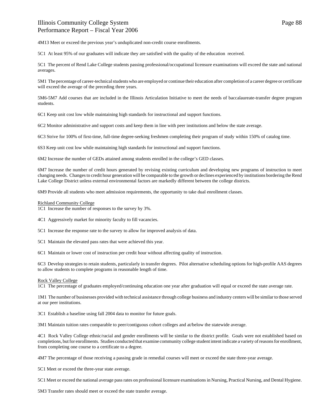4M13 Meet or exceed the previous year's unduplicated non-credit course enrollments.

5C1 At least 95% of our graduates will indicate they are satisfied with the quality of the education received.

5C1 The percent of Rend Lake College students passing professional/occupational licensure examinations will exceed the state and national averages.

5M1 The percentage of career-technical students who are employed or continue their education after completion of a career degree or certificate will exceed the average of the preceding three years.

5M6-5M7 Add courses that are included in the Illinois Articulation Initiative to meet the needs of baccalaureate-transfer degree program students.

6C1 Keep unit cost low while maintaining high standards for instructional and support functions.

6C2 Monitor administrative and support costs and keep them in line with peer institutions and below the state average.

6C3 Strive for 100% of first-time, full-time degree-seeking freshmen completing their program of study within 150% of catalog time.

6S3 Keep unit cost low while maintaining high standards for instructional and support functions.

6M2 Increase the number of GEDs attained among students enrolled in the college's GED classes.

6M7 Increase the number of credit hours generated by revising existing curriculum and developing new programs of instruction to meet changing needs. Changes to credit hour generation will be comparable to the growth or declines experienced by institutions bordering the Rend Lake College District unless external environmental factors are markedly different between the college districts.

6M9 Provide all students who meet admission requirements, the opportunity to take dual enrollment classes.

#### Richland Community College

1C1 Increase the number of responses to the survey by 3%.

4C1 Aggressively market for minority faculty to fill vacancies.

5C1 Increase the response rate to the survey to allow for improved analysis of data.

5C1 Maintain the elevated pass rates that were achieved this year.

6C1 Maintain or lower cost of instruction per credit hour without affecting quality of instruction.

6C3 Develop strategies to retain students, particularly in transfer degrees. Pilot alternative scheduling options for high-profile AAS degrees to allow students to complete programs in reasonable length of time.

#### Rock Valley College

1C1 The percentage of graduates employed/continuing education one year after graduation will equal or exceed the state average rate.

1M1 The number of businesses provided with technical assistance through college business and industry centers will be similar to those served at our peer institutions.

3C1 Establish a baseline using fall 2004 data to monitor for future goals.

3M1 Maintain tuition rates comparable to peer/contiguous cohort colleges and at/below the statewide average.

4C1 Rock Valley College ethnic/racial and gender enrollments will be similar to the district profile. Goals were not established based on completions, but for enrollments. Studies conducted that examine community college student intent indicate a variety of reasons for enrollment, from completing one course to a certificate to a degree.

4M7 The percentage of those receiving a passing grade in remedial courses will meet or exceed the state three-year average.

5C1 Meet or exceed the three-year state average.

5C1 Meet or exceed the national average pass rates on professional licensure examinations in Nursing, Practical Nursing, and Dental Hygiene.

5M3 Transfer rates should meet or exceed the state transfer average.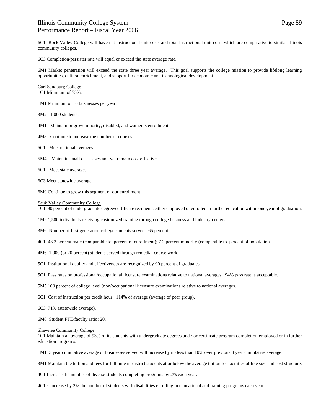6C1 Rock Valley College will have net instructional unit costs and total instructional unit costs which are comparative to similar Illinois community colleges.

6C3 Completion/persister rate will equal or exceed the state average rate.

6M1 Market penetration will exceed the state three year average. This goal supports the college mission to provide lifelong learning opportunities, cultural enrichment, and support for economic and technological development.

#### Carl Sandburg College

1C1 Minimum of 75%.

- 1M1 Minimum of 10 businesses per year.
- 3M2 1,000 students.
- 4M1 Maintain or grow minority, disabled, and women's enrollment.
- 4M8 Continue to increase the number of courses.
- 5C1 Meet national averages.
- 5M4 Maintain small class sizes and yet remain cost effective.
- 6C1 Meet state average.
- 6C3 Meet statewide average.
- 6M9 Continue to grow this segment of our enrollment.

#### Sauk Valley Community College

1C1 90 percent of undergraduate degree/certificate recipients either employed or enrolled in further education within one year of graduation.

- 1M2 1,500 individuals receiving customized training through college business and industry centers.
- 3M6 Number of first generation college students served: 65 percent.
- 4C1 43.2 percent male (comparable to percent of enrollment); 7.2 percent minority (comparable to percent of population.
- 4M6 1,000 (or 20 percent) students served through remedial course work.
- 5C1 Institutional quality and effectiveness are recognized by 90 percent of graduates.
- 5C1 Pass rates on professional/occupational licensure examinations relative to national averages: 94% pass rate is acceptable.
- 5M5 100 percent of college level (non/occupational licensure examinations relative to national averages.
- 6C1 Cost of instruction per credit hour: 114% of average (average of peer group).
- 6C3 71% (statewide average).
- 6M6 Student FTE/faculty ratio: 20.

#### Shawnee Community College

1C1 Maintain an average of 93% of its students with undergraduate degrees and / or certificate program completion employed or in further education programs.

1M1 3 year cumulative average of businesses served will increase by no less than 10% over previous 3 year cumulative average.

3M1 Maintain the tuition and fees for full time in-district students at or below the average tuition for facilities of like size and cost structure.

4C1 Increase the number of diverse students completing programs by 2% each year.

4C1c Increase by 2% the number of students with disabilities enrolling in educational and training programs each year.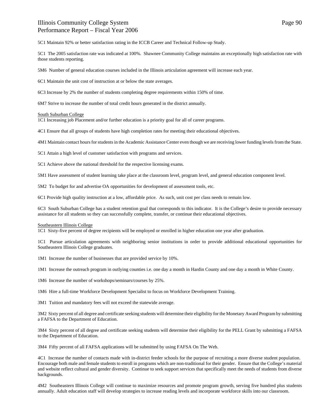5C1 Maintain 92% or better satisfaction rating in the ICCB Career and Technical Follow-up Study.

5C1 The 2005 satisfaction rate was indicated at 100%. Shawnee Community College maintains an exceptionally high satisfaction rate with those students reporting.

5M6 Number of general education courses included in the Illinois articulation agreement will increase each year.

6C1 Maintain the unit cost of instruction at or below the state averages.

6C3 Increase by 2% the number of students completing degree requirements within 150% of time.

6M7 Strive to increase the number of total credit hours generated in the district annually.

#### South Suburban College

1C1 Increasing job Placement and/or further education is a priority goal for all of career programs.

4C1 Ensure that all groups of students have high completion rates for meeting their educational objectives.

4M1 Maintain contact hours for students in the Academic Assistance Center even though we are receiving lower funding levels from the State.

5C1 Attain a high level of customer satisfaction with programs and services.

5C1 Achieve above the national threshold for the respective licensing exams.

5M1 Have assessment of student learning take place at the classroom level, program level, and general education component level.

5M2 To budget for and advertise OA opportunities for development of assessment tools, etc.

6C1 Provide high quality instruction at a low, affordable price. As such, unit cost per class needs to remain low.

6C3 South Suburban College has a student retention goal that corresponds to this indicator. It is the College's desire to provide necessary assistance for all students so they can successfully complete, transfer, or continue their educational objectives.

#### Southeastern Illinois College

1C1 Sixty-five percent of degree recipients will be employed or enrolled in higher education one year after graduation.

1C1 Pursue articulation agreements with neighboring senior institutions in order to provide additional educational opportunities for Southeastern Illinois College graduates.

1M1 Increase the number of businesses that are provided service by 10%.

1M1 Increase the outreach program in outlying counties i.e. one day a month in Hardin County and one day a month in White County.

1M6 Increase the number of workshops/seminars/courses by 25%.

1M6 Hire a full-time Workforce Development Specialist to focus on Workforce Development Training.

3M1 Tuition and mandatory fees will not exceed the statewide average.

3M2 Sixty percent of all degree and certificate seeking students will determine their eligibility for the Monetary Award Program by submitting a FAFSA to the Department of Education.

3M4 Sixty percent of all degree and certificate seeking students will determine their eligibility for the PELL Grant by submitting a FAFSA to the Department of Education.

3M4 Fifty percent of all FAFSA applications will be submitted by using FAFSA On The Web.

4C1 Increase the number of contacts made with in-district feeder schools for the purpose of recruiting a more diverse student population. Encourage both male and female students to enroll in programs which are non-traditional for their gender. Ensure that the College's material and website reflect cultural and gender diversity. Continue to seek support services that specifically meet the needs of students from diverse backgrounds.

4M2 Southeastern Illinois College will continue to maximize resources and promote program growth, serving five hundred plus students annually. Adult education staff will develop strategies to increase reading levels and incorporate workforce skills into our classroom.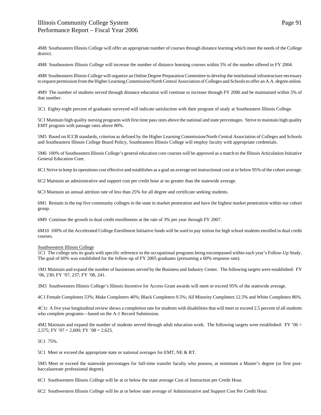4M8 Southeastern Illinois College will offer an appropriate number of courses through distance learning which meet the needs of the College district.

4M8 Southeastern Illinois College will increase the number of distance learning courses within 5% of the number offered in FY 2004.

4M8 Southeastern Illinois College will organize an Online Degree Preparation Committee to develop the institutional infrastructure necessary to request permission from the Higher Learning Commission/North Central Association of Colleges and Schools to offer an A.A. degree online.

4M9 The number of students served through distance education will continue to increase through FY 2006 and be maintained within 5% of that number.

5C1 Eighty-eight percent of graduates surveyed will indicate satisfaction with their program of study at Southeastern Illinois College.

5C1 Maintain high quality nursing programs with first time pass rates above the national and state percentages. Strive to maintain high quality EMT program with passage rates above 80%.

5M5 Based on ICCB standards, criterion as defined by the Higher Learning Commission/North Central Association of Colleges and Schools and Southeastern Illinois College Board Policy, Southeastern Illinois College will employ faculty with appropriate credentials.

5M6 100% of Southeastern Illinois College's general education core courses will be approved as a match to the Illinois Articulation Initiative General Education Core.

6C1 Strive to keep its operations cost effective and establishes as a goal an average net instructional cost at or below 95% of the cohort average.

6C2 Maintain an administrative and support cost per credit hour at no greater than the statewide average.

6C3 Maintain an annual attrition rate of less than 25% for all degree and certificate seeking students.

6M1 Remain in the top five community colleges in the state in market penetration and have the highest market penetration within our cohort group.

6M9 Continue the growth in dual credit enrollments at the rate of 3% per year through FY 2007.

6M10 100% of the Accelerated College Enrollment Initiative funds will be used to pay tuition for high school students enrolled in dual credit courses.

### Southwestern Illinois College

1C1 The college sets its goals with specific reference to the occupational programs being encompassed within each year's Follow-Up Study. The goal of 60% was established for the follow-up of FY 2005 graduates (presuming a 60% response rate).

1M1 Maintain and expand the number of businesses served by the Business and Industry Center. The following targets were established: FY '06, 230; FY '07, 237; FY '08, 241.

3M3 Southwestern Illinois College's Illinois Incentive for Access Grant awards will meet or exceed 95% of the statewide average.

4C1 Female Completers 53%; Make Completers 46%; Black Completers 9.5%; All Minority Completers 12.5% and White Completers 86%.

4C1c A five year longitudinal review shows a completion rate for students with disabilities that will meet or exceed 2.5 percent of all students who complete programs—based on the A-1 Record Submission.

4M2 Maintain and expand the number of students served through adult education work. The following targets were established: FY '06 = 2,575; FY '07 = 2,600; FY '08 = 2,625.

5C1 75%.

5C1 Meet or exceed the appropriate state or national averages for EMT, NE & RT.

5M5 Meet or exceed the statewide percentages for full-time transfer faculty who possess, at minimum a Master's degree (or first postbaccalaureate professional degree).

6C1 Southwestern Illinois College will be at or below the state average Cost of Instruction per Credit Hour.

6C2 Southwestern Illinois College will be at or below state average of Administrative and Support Cost Per Credit Hour.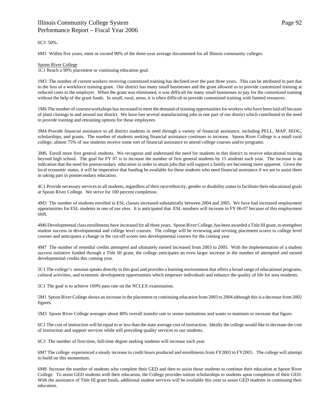### 6C3 50%.

6M1 Within five years, meet or exceed 90% of the three-year average documented for all Illinois community colleges.

### Spoon River College

1C1 Reach a 90% placement or continuing education goal.

1M3 The number of current workers receiving customized training has declined over the past three years. This can be attributed in part due to the loss of a workforce training grant. Our district has many small businesses and the grant allowed us to provide customized training at reduced costs to the employer. When the grant was eliminated, it was difficult for many small businesses to pay for the customized training without the help of the grant funds. In small, rural, areas, it is often difficult to provide customized training with limited resources.

1M6 The number of courses/workshops has increased to meet the demand of training opportunities for workers who have been laid off because of plant closings in and around our district. We have lost several manufacturing jobs in one part of our district which contributed to the need to provide training and retraining options for those employees.

3M4 Provide financial assistance to all district students in need through a variety of financial assistance, including PELL, MAP, SEOG, scholarships, and grants. The number of students seeking financial assistance continues to increase. Spoon River College is a small rural college; almost 75% of our students receive some sort of financial assistance to attend college courses and/or programs.

3M6 Enroll more first general students. We recognize and understand the need for students in this district to receive educational training beyond high school. The goal for FY 07 is to increase the number of first general students by 15 students each year. The increase is an indication that the need for postsecondary education in order to attain jobs that will support a family are becoming more apparent. Given the local economic status, it will be imperative that funding be available for these students who need financial assistance if we are to assist them in taking part in postsecondary education.

4C1 Provide necessary services to all students, regardless of their race/ethnicity, gender or disability status to facilitate their educational goals at Spoon River College. We strive for 100 percent completion.

4M3 The number of students enrolled in ESL classes increased substantially between 2004 and 2005. We have had increased employment opportunities for ESL students in one of our sites. It is anticipated that ESL numbers will increase in FY 06-07 because of this employment shift.

4M6 Developmental class enrollments have increased for all three years. Spoon River College, has been awarded a Title III grant, to strengthen student success in developmental and college level courses. The college will be reviewing and revising placement scores to college level courses and anticipates a change in the cut-off scores into developmental courses for the coming year

4M7 The number of remedial credits attempted and ultimately earned increased from 2003 to 2005. With the implementation of a student success initiative funded through a Title III grant, the college anticipates an even larger increase in the number of attempted and earned developmental credits this coming year.

5C1 The college's mission speaks directly to this goal and provides a learning environment that offers a broad range of educational programs, cultural activities, and economic development opportunities which empower individuals and enhance the quality of life for area residents.

5C1 The goal is to achieve 100% pass rate on the NCLEX examination.

5M1 Spoon River College shows an increase in the placement or continuing education from 2003 to 2004 although this is a decrease from 2002 figures.

5M3 Spoon River College averages about 40% overall transfer rate to senior institutions and wants to maintain or increase that figure.

6C1 The cost of instruction will be equal to or less than the state average cost of instruction. Ideally the college would like to decrease the cost of instruction and support services while still providing quality services to our students.

6C3 The number of first-time, full-time degree seeking students will increase each year.

6M7 The college experienced a steady increase in credit hours produced and enrollments from FY2003 to FY2005. The college will attempt to build on this momentum.

6M8 Increase the number of students who complete their GED and then to assist those students to continue their education at Spoon River College. To assist GED students with their education, the College provides tuition scholarships to students upon completion of their GED. With the assistance of Title III grant funds, additional student services will be available this year to assist GED students in continuing their education.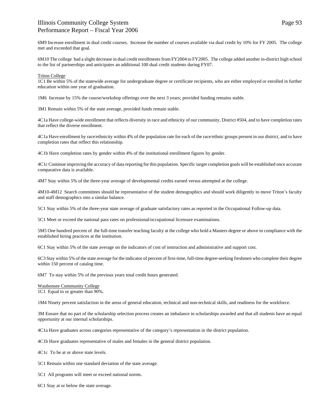6M9 Increase enrollment in dual credit courses. Increase the number of courses available via dual credit by 10% for FY 2005. The college met and exceeded that goal.

6M10 The college had a slight decrease in dual credit enrollments from FY2004 to FY2005. The college added another in-district high school to the list of partnerships and anticipates an additional 100 dual credit students during FY07.

#### Triton College

1C1 Be within 5% of the statewide average for undergraduate degree or certificate recipients, who are either employed or enrolled in further education within one year of graduation.

1M6 Increase by 15% the course/workshop offerings over the next 3 years; provided funding remains stable.

3M1 Remain within 5% of the state average, provided funds remain stable.

4C1a Have college-wide enrollment that reflects diversity in race and ethnicity of our community, District #504, and to have completion rates that reflect the diverse enrollment.

4C1a Have enrollment by race/ethnicity within 4% of the population rate for each of the race/ethnic groups present in our district, and to have completion rates that reflect this relationship.

4C1b Have completion rates by gender within 4% of the institutional enrollment figures by gender.

4C1c Continue improving the accuracy of data reporting for this population. Specific target completion goals will be established once accurate comparative data is available.

4M7 Stay within 5% of the three-year average of developmental credits earned versus attempted at the college.

4M10-4M12 Search committees should be representative of the student demographics and should work diligently to move Triton's faculty and staff demographics into a similar balance.

5C1 Stay within 5% of the three-year state average of graduate satisfactory rates as reported in the Occupational Follow-up data.

5C1 Meet or exceed the national pass rates on professional/occupational licensure examinations.

5M5 One hundred percent of the full-time transfer teaching faculty at the college who hold a Masters degree or above in compliance with the established hiring practices at the institution.

6C1 Stay within 5% of the state average on the indicators of cost of instruction and administrative and support cost.

6C3 Stay within 5% of the state average for the indicator of percent of first-time, full-time degree-seeking freshmen who complete their degree within 150 percent of catalog time.

6M7 To stay within 5% of the previous years total credit hours generated.

Waubonsee Community College 1C1 Equal to or greater than 90%.

1M4 Ninety percent satisfaction in the areas of general education, technical and non-technical skills, and readiness for the workforce.

3M Ensure that no part of the scholarship selection process creates an imbalance in scholarships awarded and that all students have an equal opportunity at our internal scholarships.

4C1a Have graduates across categories representative of the category's representation in the district population.

4C1b Have graduates representative of males and females in the general district population.

4C1c To be at or above state levels.

5C1 Remain within one standard deviation of the state average.

5C1 All programs will meet or exceed national norms.

6C1 Stay at or below the state average.